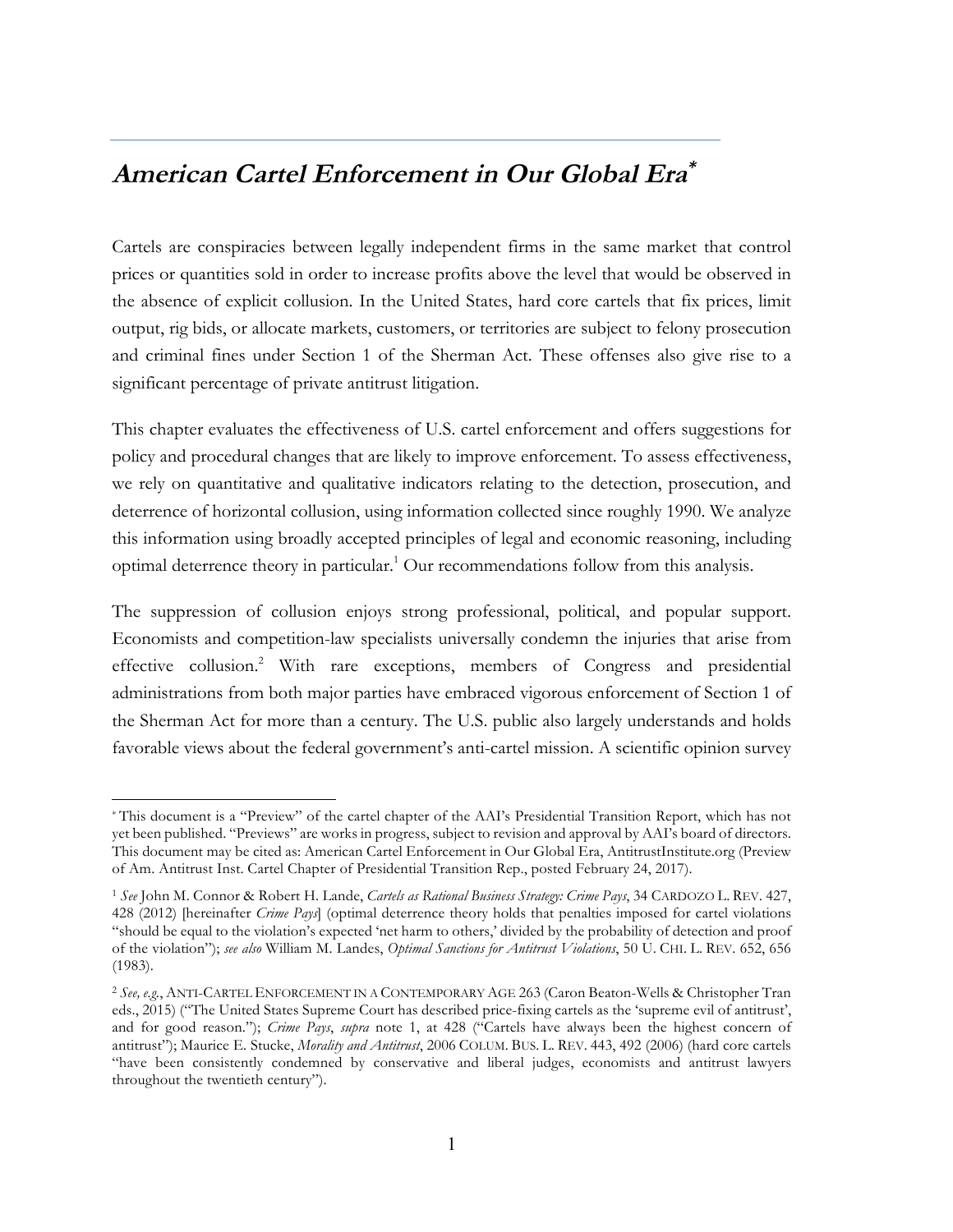# **American Cartel Enforcement in Our Global Era\***

Cartels are conspiracies between legally independent firms in the same market that control prices or quantities sold in order to increase profits above the level that would be observed in the absence of explicit collusion. In the United States, hard core cartels that fix prices, limit output, rig bids, or allocate markets, customers, or territories are subject to felony prosecution and criminal fines under Section 1 of the Sherman Act. These offenses also give rise to a significant percentage of private antitrust litigation.

This chapter evaluates the effectiveness of U.S. cartel enforcement and offers suggestions for policy and procedural changes that are likely to improve enforcement. To assess effectiveness, we rely on quantitative and qualitative indicators relating to the detection, prosecution, and deterrence of horizontal collusion, using information collected since roughly 1990. We analyze this information using broadly accepted principles of legal and economic reasoning, including optimal deterrence theory in particular.1 Our recommendations follow from this analysis.

The suppression of collusion enjoys strong professional, political, and popular support. Economists and competition-law specialists universally condemn the injuries that arise from effective collusion.2 With rare exceptions, members of Congress and presidential administrations from both major parties have embraced vigorous enforcement of Section 1 of the Sherman Act for more than a century. The U.S. public also largely understands and holds favorable views about the federal government's anti-cartel mission. A scientific opinion survey

<sup>\*</sup> This document is a "Preview" of the cartel chapter of the AAI's Presidential Transition Report, which has not yet been published. "Previews" are works in progress, subject to revision and approval by AAI's board of directors. This document may be cited as: American Cartel Enforcement in Our Global Era, AntitrustInstitute.org (Preview of Am. Antitrust Inst. Cartel Chapter of Presidential Transition Rep., posted February 24, 2017).

<sup>1</sup> *See* John M. Connor & Robert H. Lande, *Cartels as Rational Business Strategy: Crime Pays*, 34 CARDOZO L. REV. 427, 428 (2012) [hereinafter *Crime Pays*] (optimal deterrence theory holds that penalties imposed for cartel violations "should be equal to the violation's expected 'net harm to others,' divided by the probability of detection and proof of the violation"); *see also* William M. Landes, *Optimal Sanctions for Antitrust Violations*, 50 U. CHI. L. REV. 652, 656 (1983).

<sup>2</sup> *See, e.g.*, ANTI-CARTEL ENFORCEMENT IN A CONTEMPORARY AGE 263 (Caron Beaton-Wells & Christopher Tran eds., 2015) ("The United States Supreme Court has described price-fixing cartels as the 'supreme evil of antitrust', and for good reason."); *Crime Pays*, *supra* note 1, at 428 ("Cartels have always been the highest concern of antitrust"); Maurice E. Stucke, *Morality and Antitrust*, 2006 COLUM. BUS. L. REV. 443, 492 (2006) (hard core cartels "have been consistently condemned by conservative and liberal judges, economists and antitrust lawyers throughout the twentieth century").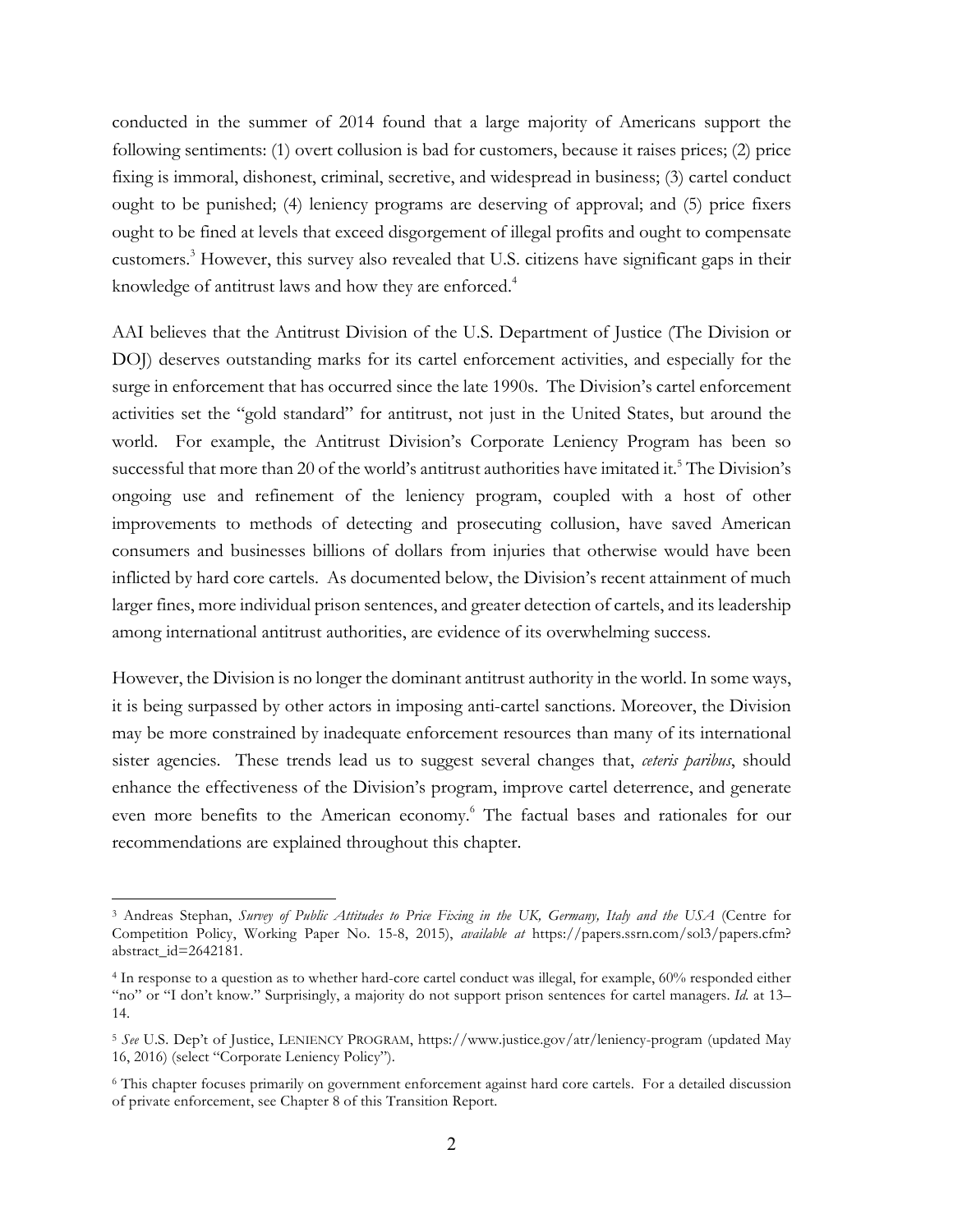conducted in the summer of 2014 found that a large majority of Americans support the following sentiments: (1) overt collusion is bad for customers, because it raises prices; (2) price fixing is immoral, dishonest, criminal, secretive, and widespread in business; (3) cartel conduct ought to be punished; (4) leniency programs are deserving of approval; and (5) price fixers ought to be fined at levels that exceed disgorgement of illegal profits and ought to compensate customers.3 However, this survey also revealed that U.S. citizens have significant gaps in their knowledge of antitrust laws and how they are enforced.<sup>4</sup>

AAI believes that the Antitrust Division of the U.S. Department of Justice (The Division or DOJ) deserves outstanding marks for its cartel enforcement activities, and especially for the surge in enforcement that has occurred since the late 1990s. The Division's cartel enforcement activities set the "gold standard" for antitrust, not just in the United States, but around the world. For example, the Antitrust Division's Corporate Leniency Program has been so successful that more than 20 of the world's antitrust authorities have imitated it. <sup>5</sup> The Division's ongoing use and refinement of the leniency program, coupled with a host of other improvements to methods of detecting and prosecuting collusion, have saved American consumers and businesses billions of dollars from injuries that otherwise would have been inflicted by hard core cartels. As documented below, the Division's recent attainment of much larger fines, more individual prison sentences, and greater detection of cartels, and its leadership among international antitrust authorities, are evidence of its overwhelming success.

However, the Division is no longer the dominant antitrust authority in the world. In some ways, it is being surpassed by other actors in imposing anti-cartel sanctions. Moreover, the Division may be more constrained by inadequate enforcement resources than many of its international sister agencies. These trends lead us to suggest several changes that, *ceteris paribus*, should enhance the effectiveness of the Division's program, improve cartel deterrence, and generate even more benefits to the American economy.<sup>6</sup> The factual bases and rationales for our recommendations are explained throughout this chapter.

<sup>&</sup>lt;sup>3</sup> Andreas Stephan, *Survey of Public Attitudes to Price Fixing in the UK, Germany, Italy and the USA (Centre for* Competition Policy, Working Paper No. 15-8, 2015), *available at* https://papers.ssrn.com/sol3/papers.cfm? abstract\_id=2642181.

<sup>4</sup> In response to a question as to whether hard-core cartel conduct was illegal, for example, 60% responded either "no" or "I don't know." Surprisingly, a majority do not support prison sentences for cartel managers. *Id.* at 13– 14.

<sup>5</sup> *See* U.S. Dep't of Justice, LENIENCY PROGRAM, https://www.justice.gov/atr/leniency-program (updated May 16, 2016) (select "Corporate Leniency Policy").

<sup>6</sup> This chapter focuses primarily on government enforcement against hard core cartels. For a detailed discussion of private enforcement, see Chapter 8 of this Transition Report.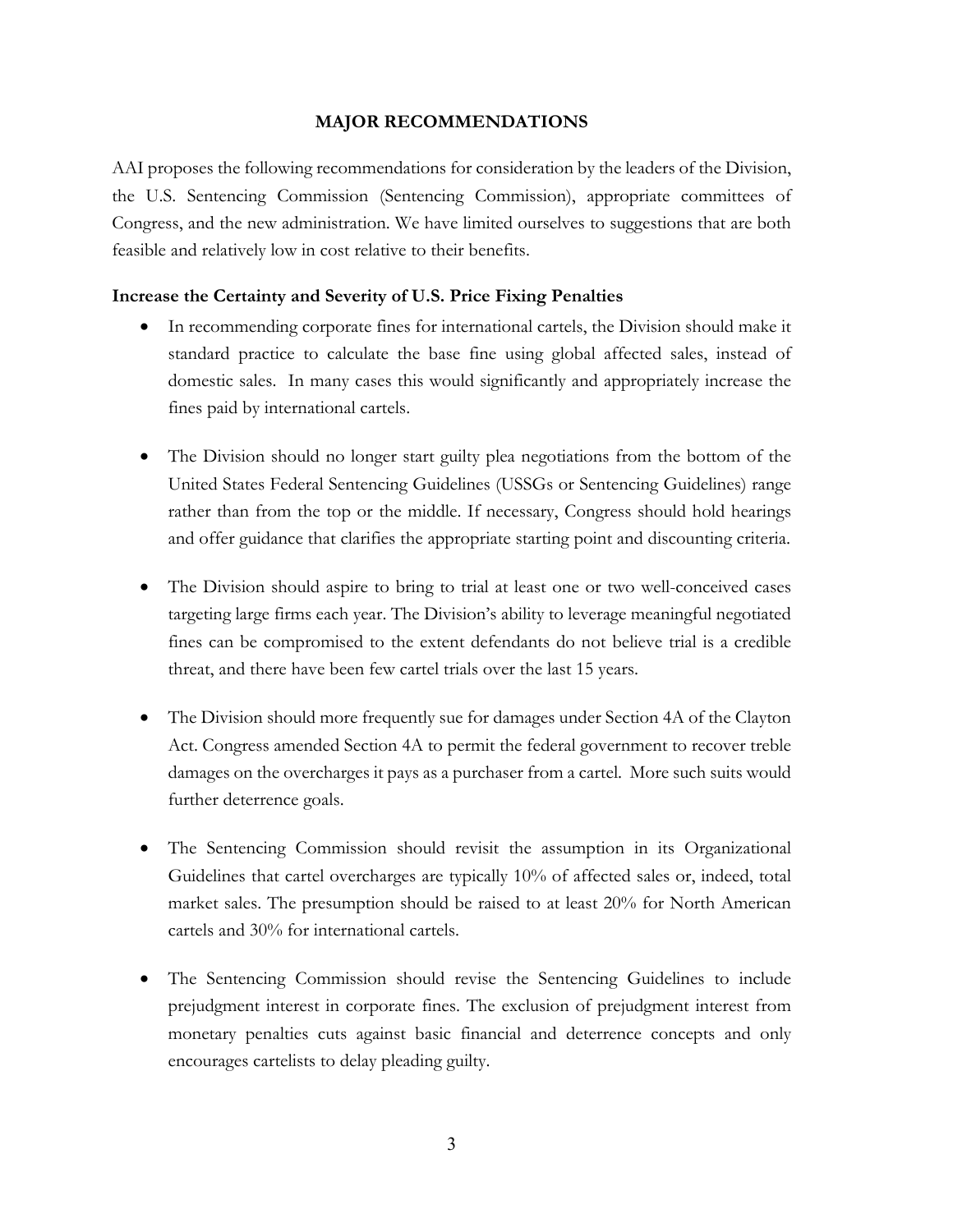#### **MAJOR RECOMMENDATIONS**

AAI proposes the following recommendations for consideration by the leaders of the Division, the U.S. Sentencing Commission (Sentencing Commission), appropriate committees of Congress, and the new administration. We have limited ourselves to suggestions that are both feasible and relatively low in cost relative to their benefits.

#### **Increase the Certainty and Severity of U.S. Price Fixing Penalties**

- In recommending corporate fines for international cartels, the Division should make it standard practice to calculate the base fine using global affected sales, instead of domestic sales. In many cases this would significantly and appropriately increase the fines paid by international cartels.
- The Division should no longer start guilty plea negotiations from the bottom of the United States Federal Sentencing Guidelines (USSGs or Sentencing Guidelines) range rather than from the top or the middle. If necessary, Congress should hold hearings and offer guidance that clarifies the appropriate starting point and discounting criteria.
- The Division should aspire to bring to trial at least one or two well-conceived cases targeting large firms each year. The Division's ability to leverage meaningful negotiated fines can be compromised to the extent defendants do not believe trial is a credible threat, and there have been few cartel trials over the last 15 years.
- The Division should more frequently sue for damages under Section 4A of the Clayton Act. Congress amended Section 4A to permit the federal government to recover treble damages on the overcharges it pays as a purchaser from a cartel. More such suits would further deterrence goals.
- The Sentencing Commission should revisit the assumption in its Organizational Guidelines that cartel overcharges are typically 10% of affected sales or, indeed, total market sales. The presumption should be raised to at least 20% for North American cartels and 30% for international cartels.
- The Sentencing Commission should revise the Sentencing Guidelines to include prejudgment interest in corporate fines. The exclusion of prejudgment interest from monetary penalties cuts against basic financial and deterrence concepts and only encourages cartelists to delay pleading guilty.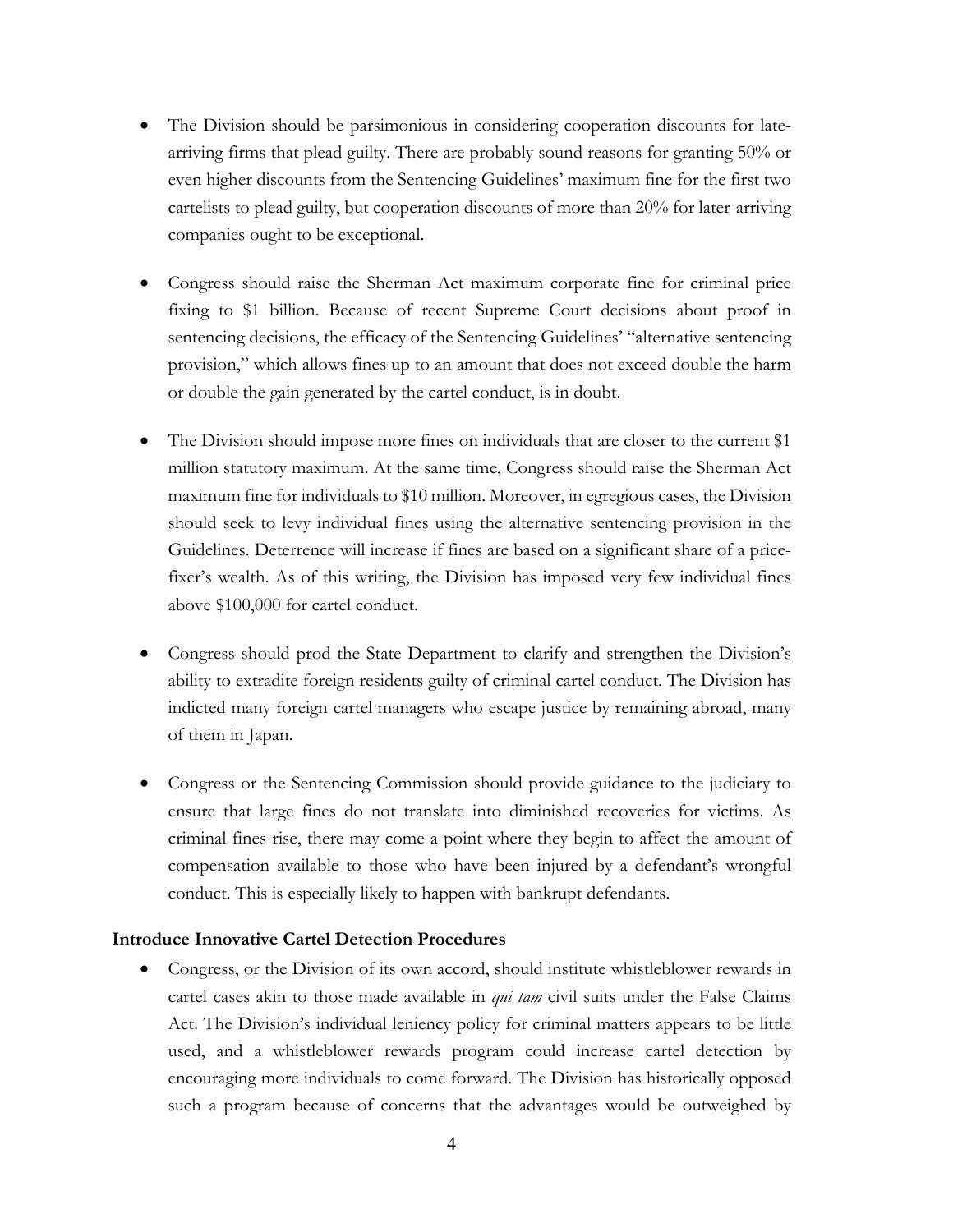- The Division should be parsimonious in considering cooperation discounts for latearriving firms that plead guilty. There are probably sound reasons for granting 50% or even higher discounts from the Sentencing Guidelines' maximum fine for the first two cartelists to plead guilty, but cooperation discounts of more than 20% for later-arriving companies ought to be exceptional.
- Congress should raise the Sherman Act maximum corporate fine for criminal price fixing to \$1 billion. Because of recent Supreme Court decisions about proof in sentencing decisions, the efficacy of the Sentencing Guidelines' "alternative sentencing provision," which allows fines up to an amount that does not exceed double the harm or double the gain generated by the cartel conduct, is in doubt.
- The Division should impose more fines on individuals that are closer to the current \$1 million statutory maximum. At the same time, Congress should raise the Sherman Act maximum fine for individuals to \$10 million. Moreover, in egregious cases, the Division should seek to levy individual fines using the alternative sentencing provision in the Guidelines. Deterrence will increase if fines are based on a significant share of a pricefixer's wealth. As of this writing, the Division has imposed very few individual fines above \$100,000 for cartel conduct.
- Congress should prod the State Department to clarify and strengthen the Division's ability to extradite foreign residents guilty of criminal cartel conduct. The Division has indicted many foreign cartel managers who escape justice by remaining abroad, many of them in Japan.
- Congress or the Sentencing Commission should provide guidance to the judiciary to ensure that large fines do not translate into diminished recoveries for victims. As criminal fines rise, there may come a point where they begin to affect the amount of compensation available to those who have been injured by a defendant's wrongful conduct. This is especially likely to happen with bankrupt defendants.

#### **Introduce Innovative Cartel Detection Procedures**

• Congress, or the Division of its own accord, should institute whistleblower rewards in cartel cases akin to those made available in *qui tam* civil suits under the False Claims Act. The Division's individual leniency policy for criminal matters appears to be little used, and a whistleblower rewards program could increase cartel detection by encouraging more individuals to come forward. The Division has historically opposed such a program because of concerns that the advantages would be outweighed by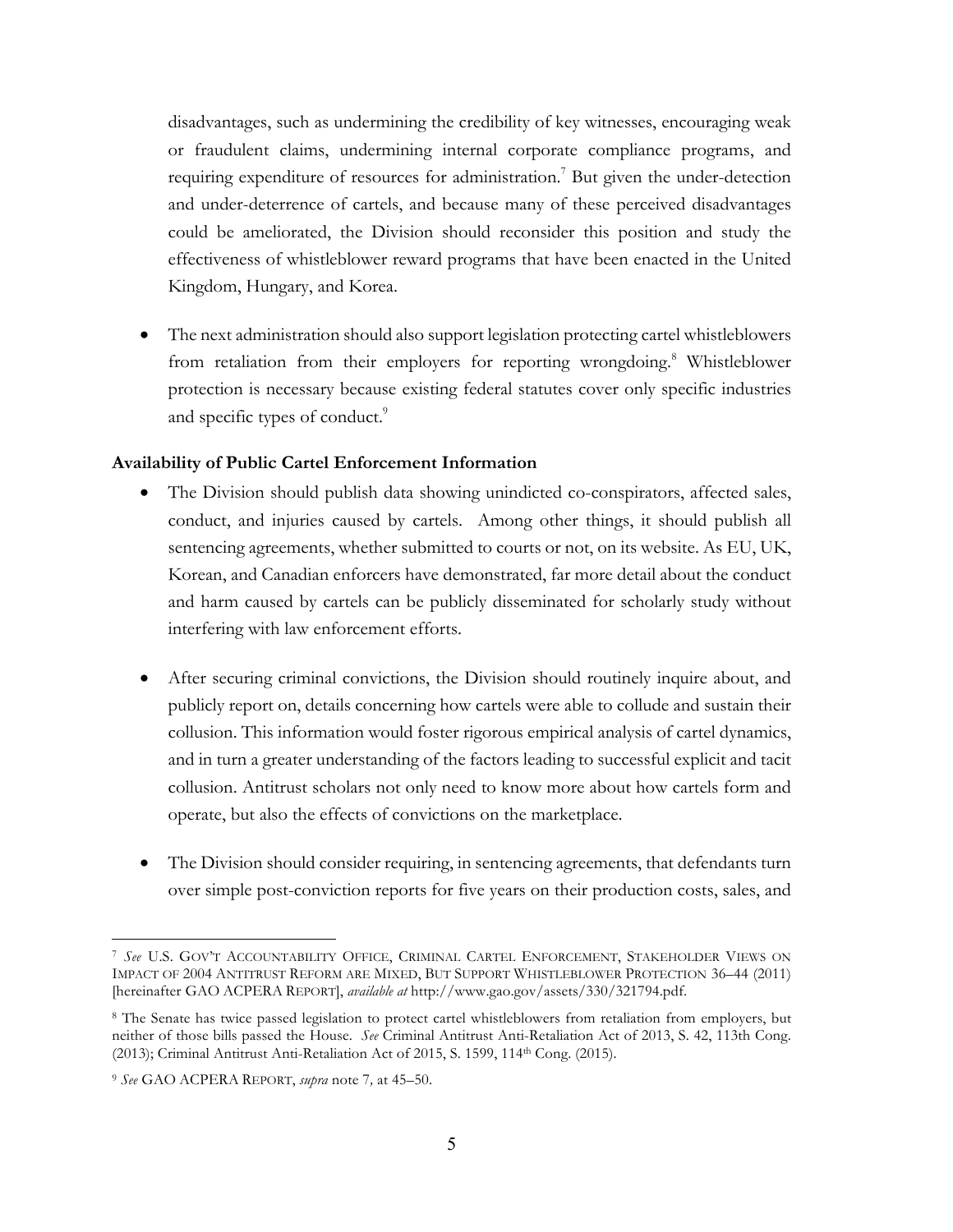disadvantages, such as undermining the credibility of key witnesses, encouraging weak or fraudulent claims, undermining internal corporate compliance programs, and requiring expenditure of resources for administration.<sup>7</sup> But given the under-detection and under-deterrence of cartels, and because many of these perceived disadvantages could be ameliorated, the Division should reconsider this position and study the effectiveness of whistleblower reward programs that have been enacted in the United Kingdom, Hungary, and Korea.

• The next administration should also support legislation protecting cartel whistleblowers from retaliation from their employers for reporting wrongdoing.<sup>8</sup> Whistleblower protection is necessary because existing federal statutes cover only specific industries and specific types of conduct.<sup>9</sup>

# **Availability of Public Cartel Enforcement Information**

- The Division should publish data showing unindicted co-conspirators, affected sales, conduct, and injuries caused by cartels. Among other things, it should publish all sentencing agreements, whether submitted to courts or not, on its website. As EU, UK, Korean, and Canadian enforcers have demonstrated, far more detail about the conduct and harm caused by cartels can be publicly disseminated for scholarly study without interfering with law enforcement efforts.
- After securing criminal convictions, the Division should routinely inquire about, and publicly report on, details concerning how cartels were able to collude and sustain their collusion. This information would foster rigorous empirical analysis of cartel dynamics, and in turn a greater understanding of the factors leading to successful explicit and tacit collusion. Antitrust scholars not only need to know more about how cartels form and operate, but also the effects of convictions on the marketplace.
- The Division should consider requiring, in sentencing agreements, that defendants turn over simple post-conviction reports for five years on their production costs, sales, and

 $\overline{a}$ <sup>7</sup> *See* U.S. GOV'T ACCOUNTABILITY OFFICE, CRIMINAL CARTEL ENFORCEMENT, STAKEHOLDER VIEWS ON IMPACT OF 2004 ANTITRUST REFORM ARE MIXED, BUT SUPPORT WHISTLEBLOWER PROTECTION 36–44 (2011) [hereinafter GAO ACPERA REPORT], *available at* http://www.gao.gov/assets/330/321794.pdf.

<sup>&</sup>lt;sup>8</sup> The Senate has twice passed legislation to protect cartel whistleblowers from retaliation from employers, but neither of those bills passed the House. *See* Criminal Antitrust Anti-Retaliation Act of 2013, S. 42, 113th Cong. (2013); Criminal Antitrust Anti-Retaliation Act of 2015, S. 1599, 114th Cong. (2015).

<sup>9</sup> *See* GAO ACPERA REPORT, *supra* note 7*,* at 45–50.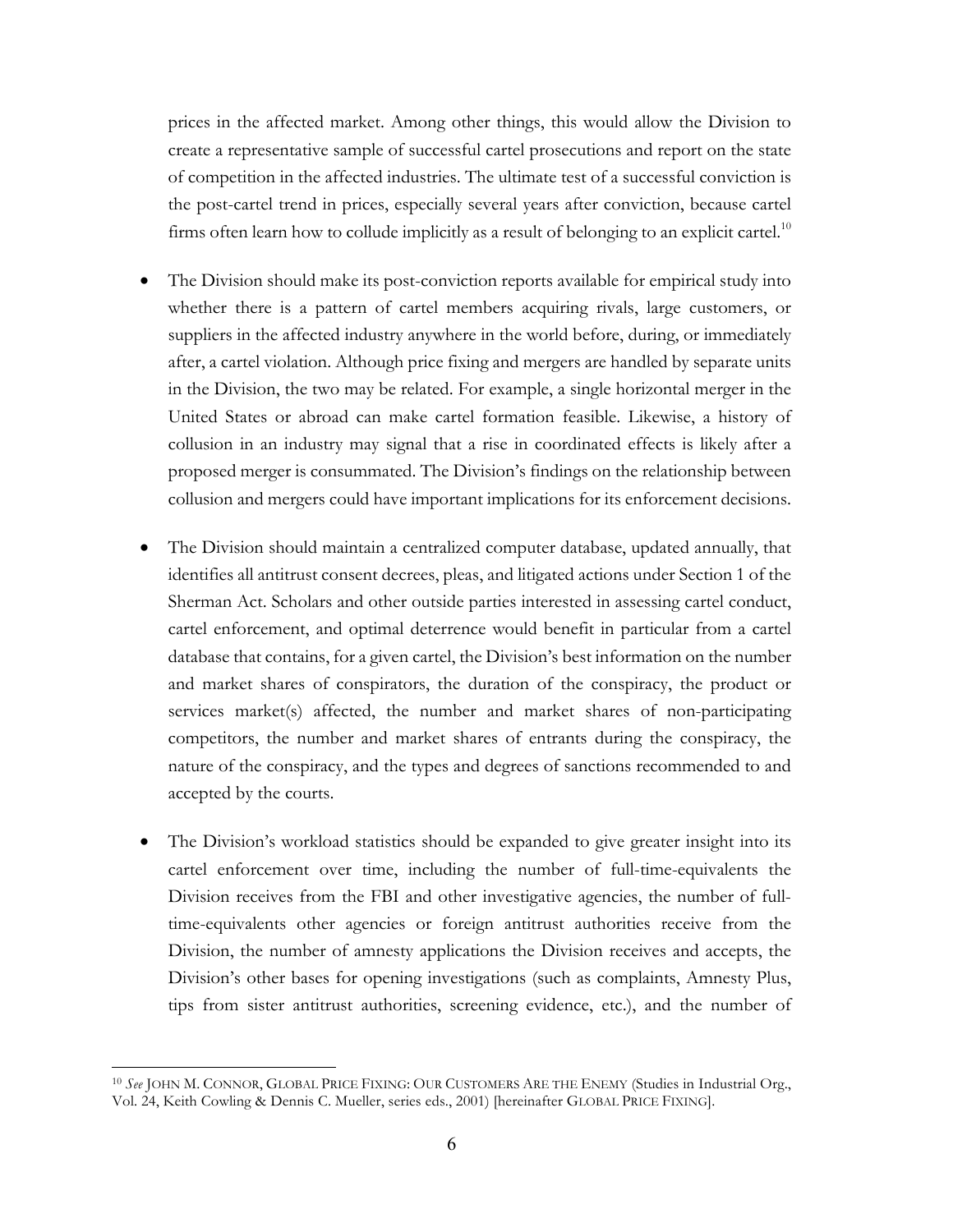prices in the affected market. Among other things, this would allow the Division to create a representative sample of successful cartel prosecutions and report on the state of competition in the affected industries. The ultimate test of a successful conviction is the post-cartel trend in prices, especially several years after conviction, because cartel firms often learn how to collude implicitly as a result of belonging to an explicit cartel.<sup>10</sup>

- The Division should make its post-conviction reports available for empirical study into whether there is a pattern of cartel members acquiring rivals, large customers, or suppliers in the affected industry anywhere in the world before, during, or immediately after, a cartel violation. Although price fixing and mergers are handled by separate units in the Division, the two may be related. For example, a single horizontal merger in the United States or abroad can make cartel formation feasible. Likewise, a history of collusion in an industry may signal that a rise in coordinated effects is likely after a proposed merger is consummated. The Division's findings on the relationship between collusion and mergers could have important implications for its enforcement decisions.
- The Division should maintain a centralized computer database, updated annually, that identifies all antitrust consent decrees, pleas, and litigated actions under Section 1 of the Sherman Act. Scholars and other outside parties interested in assessing cartel conduct, cartel enforcement, and optimal deterrence would benefit in particular from a cartel database that contains, for a given cartel, the Division's best information on the number and market shares of conspirators, the duration of the conspiracy, the product or services market(s) affected, the number and market shares of non-participating competitors, the number and market shares of entrants during the conspiracy, the nature of the conspiracy, and the types and degrees of sanctions recommended to and accepted by the courts.
- The Division's workload statistics should be expanded to give greater insight into its cartel enforcement over time, including the number of full-time-equivalents the Division receives from the FBI and other investigative agencies, the number of fulltime-equivalents other agencies or foreign antitrust authorities receive from the Division, the number of amnesty applications the Division receives and accepts, the Division's other bases for opening investigations (such as complaints, Amnesty Plus, tips from sister antitrust authorities, screening evidence, etc.), and the number of

<sup>10</sup> *See* JOHN M. CONNOR, GLOBAL PRICE FIXING: OUR CUSTOMERS ARE THE ENEMY (Studies in Industrial Org., Vol. 24, Keith Cowling & Dennis C. Mueller, series eds., 2001) [hereinafter GLOBAL PRICE FIXING].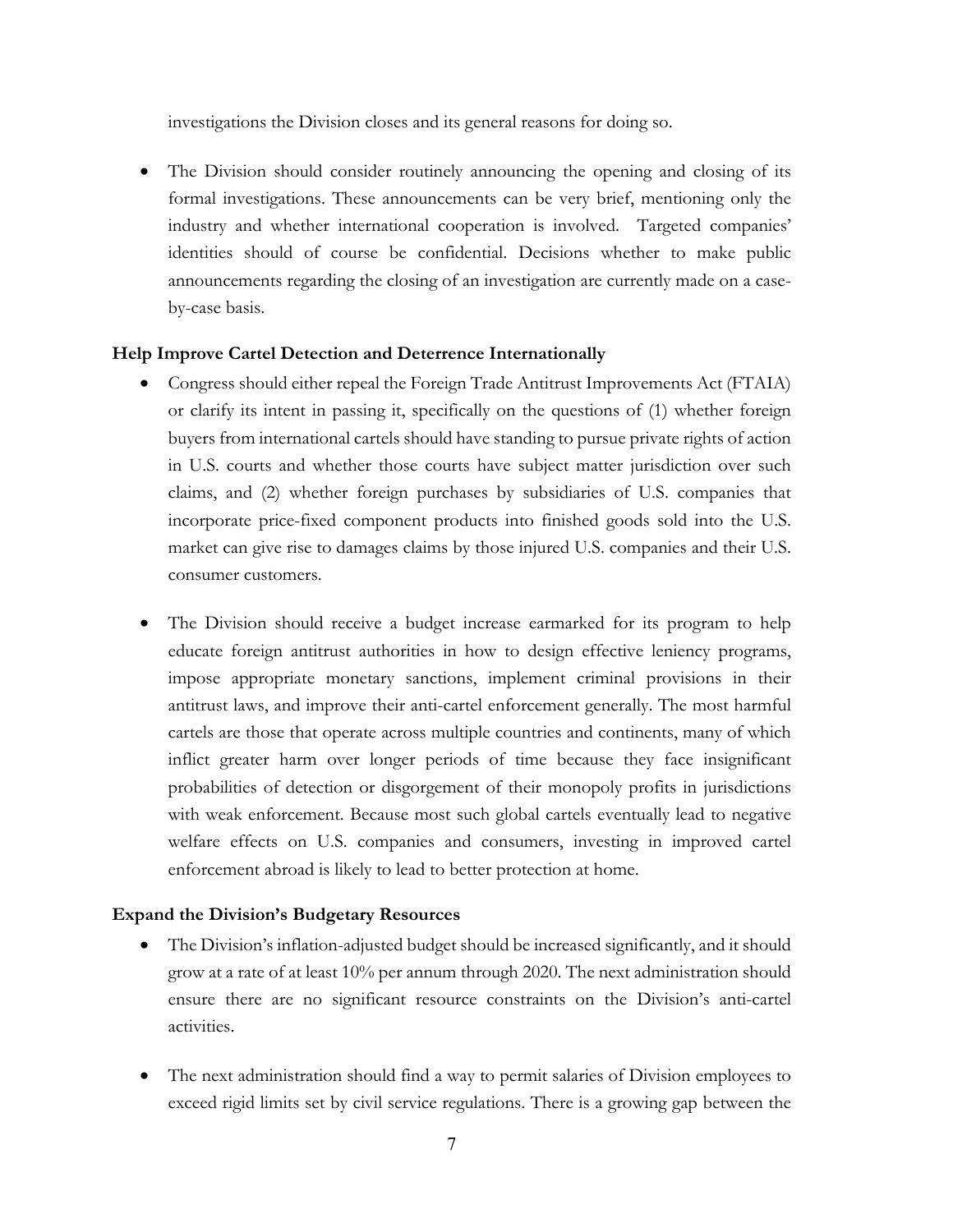investigations the Division closes and its general reasons for doing so.

• The Division should consider routinely announcing the opening and closing of its formal investigations. These announcements can be very brief, mentioning only the industry and whether international cooperation is involved. Targeted companies' identities should of course be confidential. Decisions whether to make public announcements regarding the closing of an investigation are currently made on a caseby-case basis.

#### **Help Improve Cartel Detection and Deterrence Internationally**

- Congress should either repeal the Foreign Trade Antitrust Improvements Act (FTAIA) or clarify its intent in passing it, specifically on the questions of (1) whether foreign buyers from international cartels should have standing to pursue private rights of action in U.S. courts and whether those courts have subject matter jurisdiction over such claims, and (2) whether foreign purchases by subsidiaries of U.S. companies that incorporate price-fixed component products into finished goods sold into the U.S. market can give rise to damages claims by those injured U.S. companies and their U.S. consumer customers.
- The Division should receive a budget increase earmarked for its program to help educate foreign antitrust authorities in how to design effective leniency programs, impose appropriate monetary sanctions, implement criminal provisions in their antitrust laws, and improve their anti-cartel enforcement generally. The most harmful cartels are those that operate across multiple countries and continents, many of which inflict greater harm over longer periods of time because they face insignificant probabilities of detection or disgorgement of their monopoly profits in jurisdictions with weak enforcement. Because most such global cartels eventually lead to negative welfare effects on U.S. companies and consumers, investing in improved cartel enforcement abroad is likely to lead to better protection at home.

#### **Expand the Division's Budgetary Resources**

- The Division's inflation-adjusted budget should be increased significantly, and it should grow at a rate of at least 10% per annum through 2020. The next administration should ensure there are no significant resource constraints on the Division's anti-cartel activities.
- The next administration should find a way to permit salaries of Division employees to exceed rigid limits set by civil service regulations. There is a growing gap between the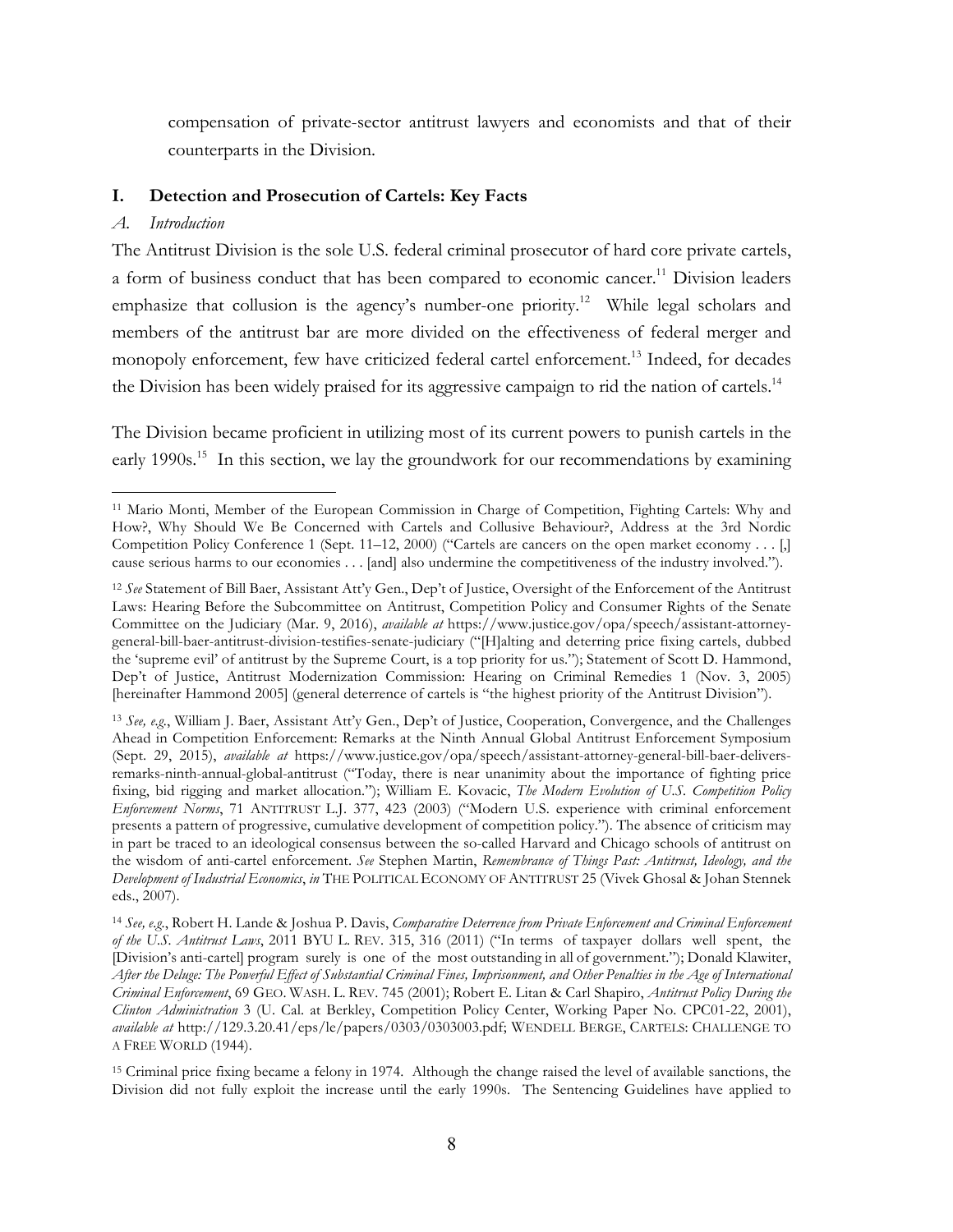compensation of private-sector antitrust lawyers and economists and that of their counterparts in the Division.

# **I. Detection and Prosecution of Cartels: Key Facts**

# *A. Introduction*

The Antitrust Division is the sole U.S. federal criminal prosecutor of hard core private cartels, a form of business conduct that has been compared to economic cancer.<sup>11</sup> Division leaders emphasize that collusion is the agency's number-one priority.<sup>12</sup> While legal scholars and members of the antitrust bar are more divided on the effectiveness of federal merger and monopoly enforcement, few have criticized federal cartel enforcement.<sup>13</sup> Indeed, for decades the Division has been widely praised for its aggressive campaign to rid the nation of cartels.<sup>14</sup>

The Division became proficient in utilizing most of its current powers to punish cartels in the early 1990s.<sup>15</sup> In this section, we lay the groundwork for our recommendations by examining

<sup>15</sup> Criminal price fixing became a felony in 1974. Although the change raised the level of available sanctions, the Division did not fully exploit the increase until the early 1990s. The Sentencing Guidelines have applied to

 $\overline{a}$ <sup>11</sup> Mario Monti, Member of the European Commission in Charge of Competition, Fighting Cartels: Why and How?, Why Should We Be Concerned with Cartels and Collusive Behaviour?, Address at the 3rd Nordic Competition Policy Conference 1 (Sept. 11–12, 2000) ("Cartels are cancers on the open market economy . . . [,] cause serious harms to our economies . . . [and] also undermine the competitiveness of the industry involved.").

<sup>12</sup> *See* Statement of Bill Baer, Assistant Att'y Gen., Dep't of Justice, Oversight of the Enforcement of the Antitrust Laws: Hearing Before the Subcommittee on Antitrust, Competition Policy and Consumer Rights of the Senate Committee on the Judiciary (Mar. 9, 2016), *available at* https://www.justice.gov/opa/speech/assistant-attorneygeneral-bill-baer-antitrust-division-testifies-senate-judiciary ("[H]alting and deterring price fixing cartels, dubbed the 'supreme evil' of antitrust by the Supreme Court, is a top priority for us."); Statement of Scott D. Hammond, Dep't of Justice, Antitrust Modernization Commission: Hearing on Criminal Remedies 1 (Nov. 3, 2005) [hereinafter Hammond 2005] (general deterrence of cartels is "the highest priority of the Antitrust Division").

<sup>13</sup> *See, e.g.*, William J. Baer, Assistant Att'y Gen., Dep't of Justice, Cooperation, Convergence, and the Challenges Ahead in Competition Enforcement: Remarks at the Ninth Annual Global Antitrust Enforcement Symposium (Sept. 29, 2015), *available at* https://www.justice.gov/opa/speech/assistant-attorney-general-bill-baer-deliversremarks-ninth-annual-global-antitrust ("Today, there is near unanimity about the importance of fighting price fixing, bid rigging and market allocation."); William E. Kovacic, *The Modern Evolution of U.S. Competition Policy Enforcement Norms*, 71 ANTITRUST L.J. 377, 423 (2003) ("Modern U.S. experience with criminal enforcement presents a pattern of progressive, cumulative development of competition policy."). The absence of criticism may in part be traced to an ideological consensus between the so-called Harvard and Chicago schools of antitrust on the wisdom of anti-cartel enforcement. *See* Stephen Martin, *Remembrance of Things Past: Antitrust, Ideology, and the Development of Industrial Economics*, *in* THE POLITICAL ECONOMY OF ANTITRUST 25 (Vivek Ghosal & Johan Stennek eds., 2007).

<sup>14</sup> *See, e.g.*, Robert H. Lande & Joshua P. Davis, *Comparative Deterrence from Private Enforcement and Criminal Enforcement of the U.S. Antitrust Laws*, 2011 BYU L. REV. 315, 316 (2011) ("In terms of taxpayer dollars well spent, the [Division's anti-cartel] program surely is one of the most outstanding in all of government."); Donald Klawiter, *After the Deluge: The Powerful Effect of Substantial Criminal Fines, Imprisonment, and Other Penalties in the Age of International Criminal Enforcement*, 69 GEO. WASH. L. REV. 745 (2001); Robert E. Litan & Carl Shapiro, *Antitrust Policy During the Clinton Administration* 3 (U. Cal. at Berkley, Competition Policy Center, Working Paper No. CPC01-22, 2001), *available at* http://129.3.20.41/eps/le/papers/0303/0303003.pdf; WENDELL BERGE, CARTELS: CHALLENGE TO A FREE WORLD (1944).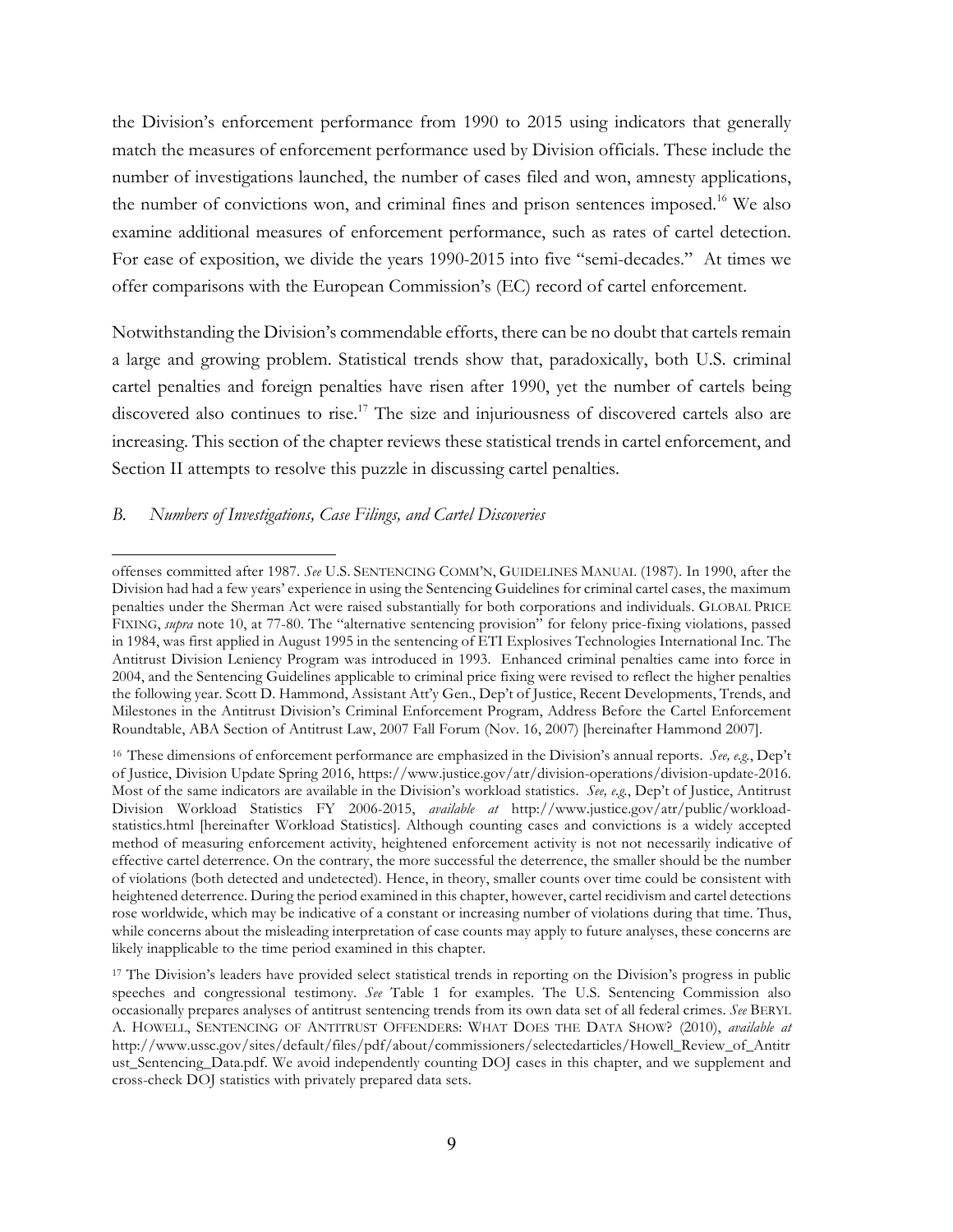the Division's enforcement performance from 1990 to 2015 using indicators that generally match the measures of enforcement performance used by Division officials. These include the number of investigations launched, the number of cases filed and won, amnesty applications, the number of convictions won, and criminal fines and prison sentences imposed.<sup>16</sup> We also examine additional measures of enforcement performance, such as rates of cartel detection. For ease of exposition, we divide the years 1990-2015 into five "semi-decades." At times we offer comparisons with the European Commission's (EC) record of cartel enforcement.

Notwithstanding the Division's commendable efforts, there can be no doubt that cartels remain a large and growing problem. Statistical trends show that, paradoxically, both U.S. criminal cartel penalties and foreign penalties have risen after 1990, yet the number of cartels being discovered also continues to rise.<sup>17</sup> The size and injuriousness of discovered cartels also are increasing. This section of the chapter reviews these statistical trends in cartel enforcement, and Section II attempts to resolve this puzzle in discussing cartel penalties.

#### *B. Numbers of Investigations, Case Filings, and Cartel Discoveries*

 $\overline{a}$ offenses committed after 1987. *See* U.S. SENTENCING COMM'N, GUIDELINES MANUAL (1987). In 1990, after the Division had had a few years' experience in using the Sentencing Guidelines for criminal cartel cases, the maximum penalties under the Sherman Act were raised substantially for both corporations and individuals. GLOBAL PRICE FIXING, *supra* note 10, at 77-80. The "alternative sentencing provision" for felony price-fixing violations, passed in 1984, was first applied in August 1995 in the sentencing of ETI Explosives Technologies International Inc. The Antitrust Division Leniency Program was introduced in 1993. Enhanced criminal penalties came into force in 2004, and the Sentencing Guidelines applicable to criminal price fixing were revised to reflect the higher penalties the following year. Scott D. Hammond, Assistant Att'y Gen., Dep't of Justice, Recent Developments, Trends, and Milestones in the Antitrust Division's Criminal Enforcement Program, Address Before the Cartel Enforcement Roundtable, ABA Section of Antitrust Law, 2007 Fall Forum (Nov. 16, 2007) [hereinafter Hammond 2007].

<sup>16</sup> These dimensions of enforcement performance are emphasized in the Division's annual reports. *See, e.g.*, Dep't of Justice, Division Update Spring 2016, https://www.justice.gov/atr/division-operations/division-update-2016. Most of the same indicators are available in the Division's workload statistics. *See, e.g.*, Dep't of Justice, Antitrust Division Workload Statistics FY 2006-2015, *available at* http://www.justice.gov/atr/public/workloadstatistics.html [hereinafter Workload Statistics]. Although counting cases and convictions is a widely accepted method of measuring enforcement activity, heightened enforcement activity is not not necessarily indicative of effective cartel deterrence. On the contrary, the more successful the deterrence, the smaller should be the number of violations (both detected and undetected). Hence, in theory, smaller counts over time could be consistent with heightened deterrence. During the period examined in this chapter, however, cartel recidivism and cartel detections rose worldwide, which may be indicative of a constant or increasing number of violations during that time. Thus, while concerns about the misleading interpretation of case counts may apply to future analyses, these concerns are likely inapplicable to the time period examined in this chapter.

<sup>17</sup> The Division's leaders have provided select statistical trends in reporting on the Division's progress in public speeches and congressional testimony. *See* Table 1 for examples. The U.S. Sentencing Commission also occasionally prepares analyses of antitrust sentencing trends from its own data set of all federal crimes. *See* BERYL A. HOWELL, SENTENCING OF ANTITRUST OFFENDERS: WHAT DOES THE DATA SHOW? (2010), *available at* http://www.ussc.gov/sites/default/files/pdf/about/commissioners/selectedarticles/Howell\_Review\_of\_Antitr ust Sentencing Data.pdf. We avoid independently counting DOJ cases in this chapter, and we supplement and cross-check DOJ statistics with privately prepared data sets.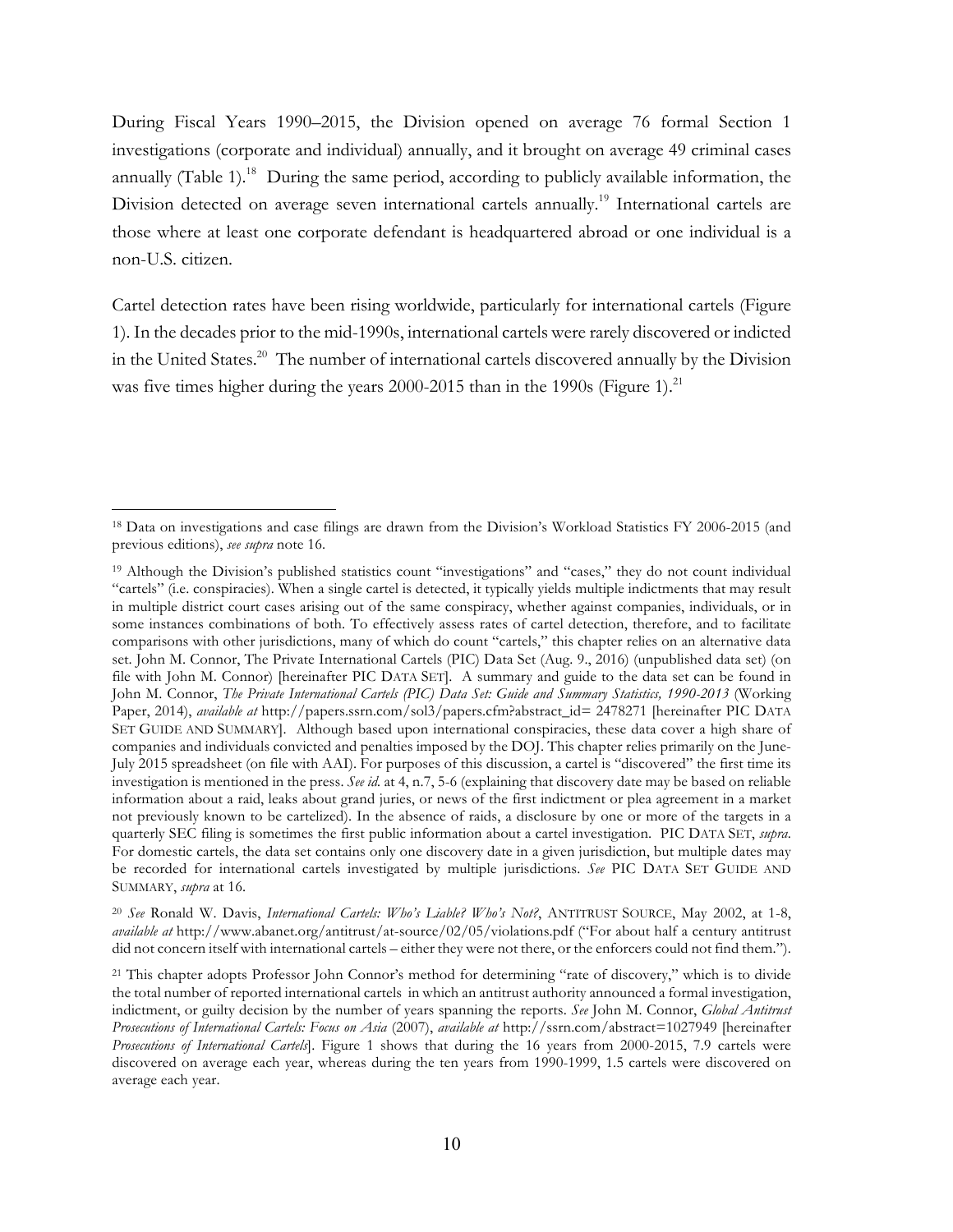During Fiscal Years 1990–2015, the Division opened on average 76 formal Section 1 investigations (corporate and individual) annually, and it brought on average 49 criminal cases annually (Table 1).<sup>18</sup> During the same period, according to publicly available information, the Division detected on average seven international cartels annually.<sup>19</sup> International cartels are those where at least one corporate defendant is headquartered abroad or one individual is a non-U.S. citizen.

Cartel detection rates have been rising worldwide, particularly for international cartels (Figure 1). In the decades prior to the mid-1990s, international cartels were rarely discovered or indicted in the United States. 20 The number of international cartels discovered annually by the Division was five times higher during the years  $2000-2015$  than in the 1990s (Figure 1).<sup>21</sup>

 $\overline{a}$ 

<sup>20</sup> *See* Ronald W. Davis, *International Cartels: Who's Liable? Who's Not?*, ANTITRUST SOURCE, May 2002, at 1-8, *available at* http://www.abanet.org/antitrust/at-source/02/05/violations.pdf ("For about half a century antitrust did not concern itself with international cartels – either they were not there, or the enforcers could not find them.").

<sup>18</sup> Data on investigations and case filings are drawn from the Division's Workload Statistics FY 2006-2015 (and previous editions), *see supra* note 16.

<sup>19</sup> Although the Division's published statistics count "investigations" and "cases," they do not count individual "cartels" (i.e. conspiracies). When a single cartel is detected, it typically yields multiple indictments that may result in multiple district court cases arising out of the same conspiracy, whether against companies, individuals, or in some instances combinations of both. To effectively assess rates of cartel detection, therefore, and to facilitate comparisons with other jurisdictions, many of which do count "cartels," this chapter relies on an alternative data set. John M. Connor, The Private International Cartels (PIC) Data Set (Aug. 9., 2016) (unpublished data set) (on file with John M. Connor) [hereinafter PIC DATA SET]. A summary and guide to the data set can be found in John M. Connor, *The Private International Cartels (PIC) Data Set: Guide and Summary Statistics, 1990-2013* (Working Paper, 2014), *available at* http://papers.ssrn.com/sol3/papers.cfm?abstract\_id= 2478271 [hereinafter PIC DATA SET GUIDE AND SUMMARY]. Although based upon international conspiracies, these data cover a high share of companies and individuals convicted and penalties imposed by the DOJ. This chapter relies primarily on the June-July 2015 spreadsheet (on file with AAI). For purposes of this discussion, a cartel is "discovered" the first time its investigation is mentioned in the press. *See id.* at 4, n.7, 5-6 (explaining that discovery date may be based on reliable information about a raid, leaks about grand juries, or news of the first indictment or plea agreement in a market not previously known to be cartelized). In the absence of raids, a disclosure by one or more of the targets in a quarterly SEC filing is sometimes the first public information about a cartel investigation. PIC DATA SET, *supra*. For domestic cartels, the data set contains only one discovery date in a given jurisdiction, but multiple dates may be recorded for international cartels investigated by multiple jurisdictions. *See* PIC DATA SET GUIDE AND SUMMARY, *supra* at 16.

<sup>21</sup> This chapter adopts Professor John Connor's method for determining "rate of discovery," which is to divide the total number of reported international cartels in which an antitrust authority announced a formal investigation, indictment, or guilty decision by the number of years spanning the reports. *See* John M. Connor, *Global Antitrust Prosecutions of International Cartels: Focus on Asia* (2007), *available at* http://ssrn.com/abstract=1027949 [hereinafter *Prosecutions of International Cartels*]. Figure 1 shows that during the 16 years from 2000-2015, 7.9 cartels were discovered on average each year, whereas during the ten years from 1990-1999, 1.5 cartels were discovered on average each year.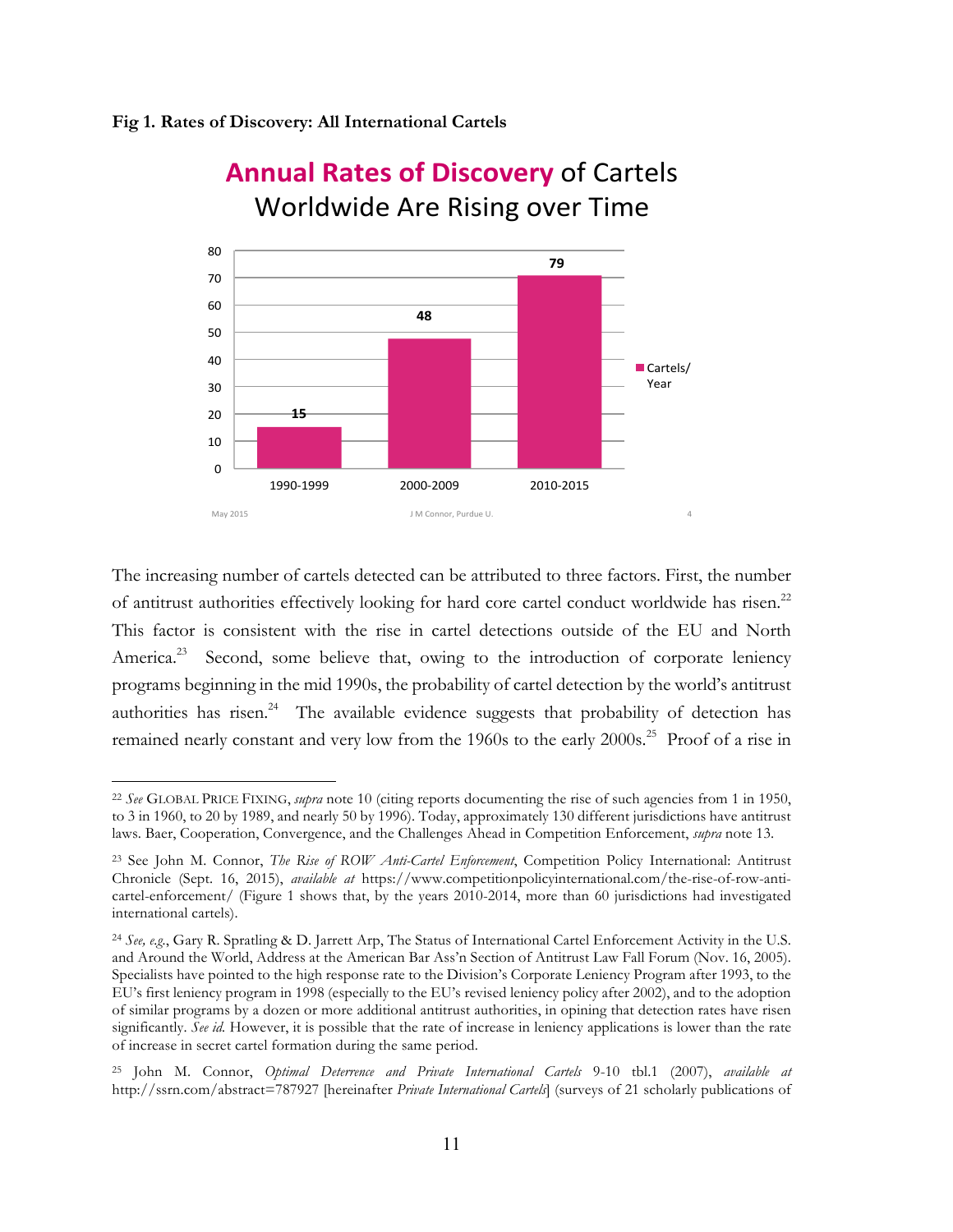#### **Fig 1. Rates of Discovery: All International Cartels**

 $\overline{a}$ 



# **Annual Rates of Discovery of Cartels** Worldwide Are Rising over Time

The increasing number of cartels detected can be attributed to three factors. First, the number of antitrust authorities effectively looking for hard core cartel conduct worldwide has risen.<sup>22</sup> This factor is consistent with the rise in cartel detections outside of the EU and North America.<sup>23</sup> Second, some believe that, owing to the introduction of corporate leniency programs beginning in the mid 1990s, the probability of cartel detection by the world's antitrust authorities has risen. $24$  The available evidence suggests that probability of detection has remained nearly constant and very low from the 1960s to the early 2000s.<sup>25</sup> Proof of a rise in

<sup>22</sup> *See* GLOBAL PRICE FIXING, *supra* note 10 (citing reports documenting the rise of such agencies from 1 in 1950, to 3 in 1960, to 20 by 1989, and nearly 50 by 1996). Today, approximately 130 different jurisdictions have antitrust laws. Baer, Cooperation, Convergence, and the Challenges Ahead in Competition Enforcement, *supra* note 13.

<sup>23</sup> See John M. Connor, *The Rise of ROW Anti-Cartel Enforcement*, Competition Policy International: Antitrust Chronicle (Sept. 16, 2015), *available at* https://www.competitionpolicyinternational.com/the-rise-of-row-anticartel-enforcement/ (Figure 1 shows that, by the years 2010-2014, more than 60 jurisdictions had investigated international cartels).

<sup>24</sup> *See, e.g.*, Gary R. Spratling & D. Jarrett Arp, The Status of International Cartel Enforcement Activity in the U.S. and Around the World, Address at the American Bar Ass'n Section of Antitrust Law Fall Forum (Nov. 16, 2005). Specialists have pointed to the high response rate to the Division's Corporate Leniency Program after 1993, to the EU's first leniency program in 1998 (especially to the EU's revised leniency policy after 2002), and to the adoption of similar programs by a dozen or more additional antitrust authorities, in opining that detection rates have risen significantly. *See id.* However, it is possible that the rate of increase in leniency applications is lower than the rate of increase in secret cartel formation during the same period.

<sup>25</sup> John M. Connor, *Optimal Deterrence and Private International Cartels* 9-10 tbl.1 (2007), *available at*  http://ssrn.com/abstract=787927 [hereinafter *Private International Cartels*] (surveys of 21 scholarly publications of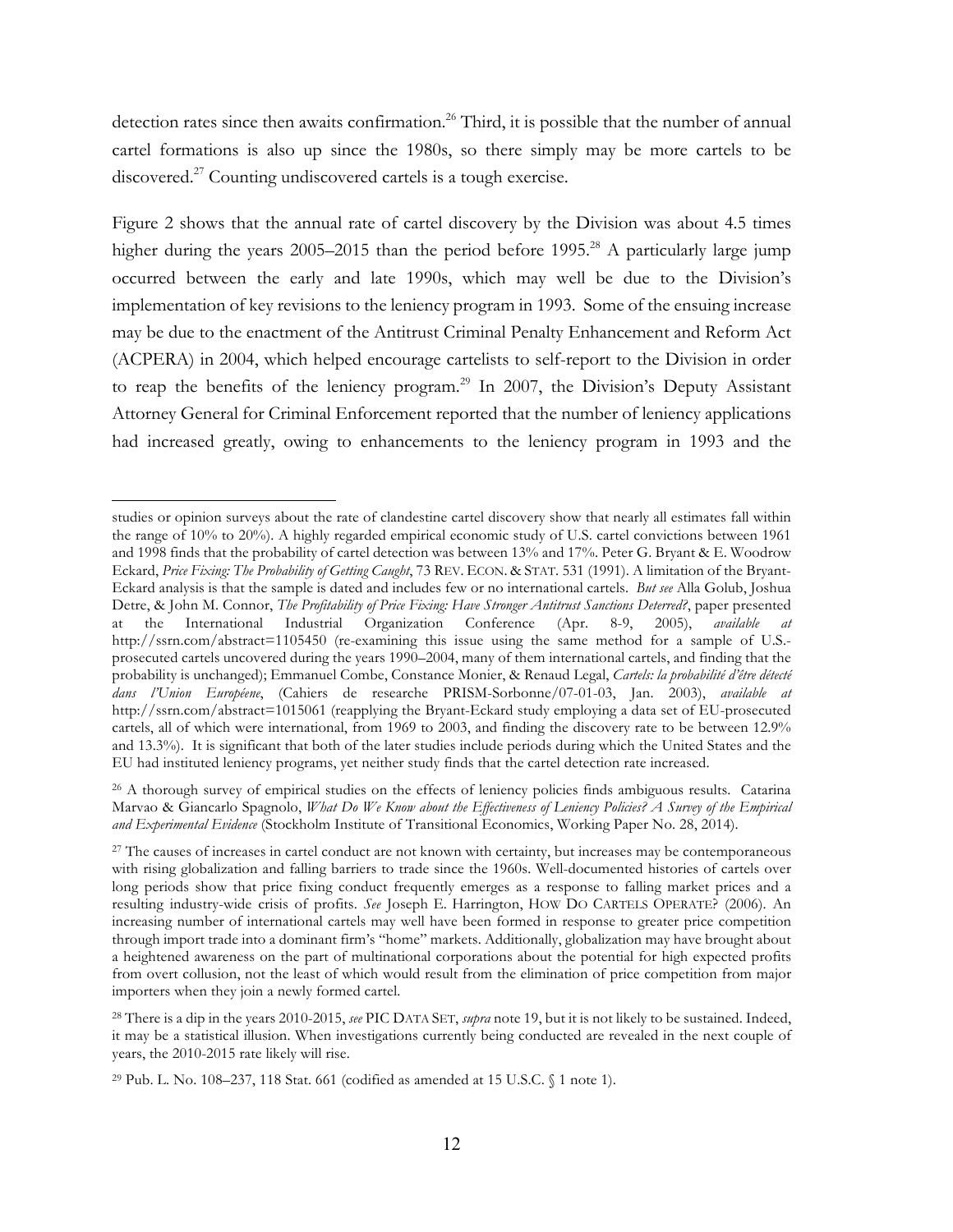detection rates since then awaits confirmation.<sup>26</sup> Third, it is possible that the number of annual cartel formations is also up since the 1980s, so there simply may be more cartels to be discovered.<sup>27</sup> Counting undiscovered cartels is a tough exercise.

Figure 2 shows that the annual rate of cartel discovery by the Division was about 4.5 times higher during the years  $2005-2015$  than the period before 1995.<sup>28</sup> A particularly large jump occurred between the early and late 1990s, which may well be due to the Division's implementation of key revisions to the leniency program in 1993. Some of the ensuing increase may be due to the enactment of the Antitrust Criminal Penalty Enhancement and Reform Act (ACPERA) in 2004, which helped encourage cartelists to self-report to the Division in order to reap the benefits of the leniency program.<sup>29</sup> In 2007, the Division's Deputy Assistant Attorney General for Criminal Enforcement reported that the number of leniency applications had increased greatly, owing to enhancements to the leniency program in 1993 and the

studies or opinion surveys about the rate of clandestine cartel discovery show that nearly all estimates fall within the range of 10% to 20%). A highly regarded empirical economic study of U.S. cartel convictions between 1961 and 1998 finds that the probability of cartel detection was between 13% and 17%. Peter G. Bryant & E. Woodrow Eckard, *Price Fixing: The Probability of Getting Caught*, 73 REV. ECON. & STAT. 531 (1991). A limitation of the Bryant-Eckard analysis is that the sample is dated and includes few or no international cartels. *But see* Alla Golub, Joshua Detre, & John M. Connor, *The Profitability of Price Fixing: Have Stronger Antitrust Sanctions Deterred?*, paper presented at the International Industrial Organization Conference (Apr. 8-9, 2005), *available at*  http://ssrn.com/abstract=1105450 (re-examining this issue using the same method for a sample of U.S. prosecuted cartels uncovered during the years 1990–2004, many of them international cartels, and finding that the probability is unchanged); Emmanuel Combe, Constance Monier, & Renaud Legal, *Cartels: la probabilité d'être détecté dans l'Union Européene*, (Cahiers de researche PRISM-Sorbonne/07-01-03, Jan. 2003), *available at*  http://ssrn.com/abstract=1015061 (reapplying the Bryant-Eckard study employing a data set of EU-prosecuted cartels, all of which were international, from 1969 to 2003, and finding the discovery rate to be between 12.9% and 13.3%). It is significant that both of the later studies include periods during which the United States and the EU had instituted leniency programs, yet neither study finds that the cartel detection rate increased.

<sup>&</sup>lt;sup>26</sup> A thorough survey of empirical studies on the effects of leniency policies finds ambiguous results. Catarina Marvao & Giancarlo Spagnolo, *What Do We Know about the Effectiveness of Leniency Policies? A Survey of the Empirical and Experimental Evidence* (Stockholm Institute of Transitional Economics, Working Paper No. 28, 2014).

<sup>&</sup>lt;sup>27</sup> The causes of increases in cartel conduct are not known with certainty, but increases may be contemporaneous with rising globalization and falling barriers to trade since the 1960s. Well-documented histories of cartels over long periods show that price fixing conduct frequently emerges as a response to falling market prices and a resulting industry-wide crisis of profits. *See* Joseph E. Harrington, HOW DO CARTELS OPERATE? (2006). An increasing number of international cartels may well have been formed in response to greater price competition through import trade into a dominant firm's "home" markets. Additionally, globalization may have brought about a heightened awareness on the part of multinational corporations about the potential for high expected profits from overt collusion, not the least of which would result from the elimination of price competition from major importers when they join a newly formed cartel.

<sup>28</sup> There is a dip in the years 2010-2015, *see* PIC DATA SET, *supra* note 19, but it is not likely to be sustained. Indeed, it may be a statistical illusion. When investigations currently being conducted are revealed in the next couple of years, the 2010-2015 rate likely will rise.

<sup>&</sup>lt;sup>29</sup> Pub. L. No. 108–237, 118 Stat. 661 (codified as amended at 15 U.S.C.  $\{1 \text{ note } 1\}$ ).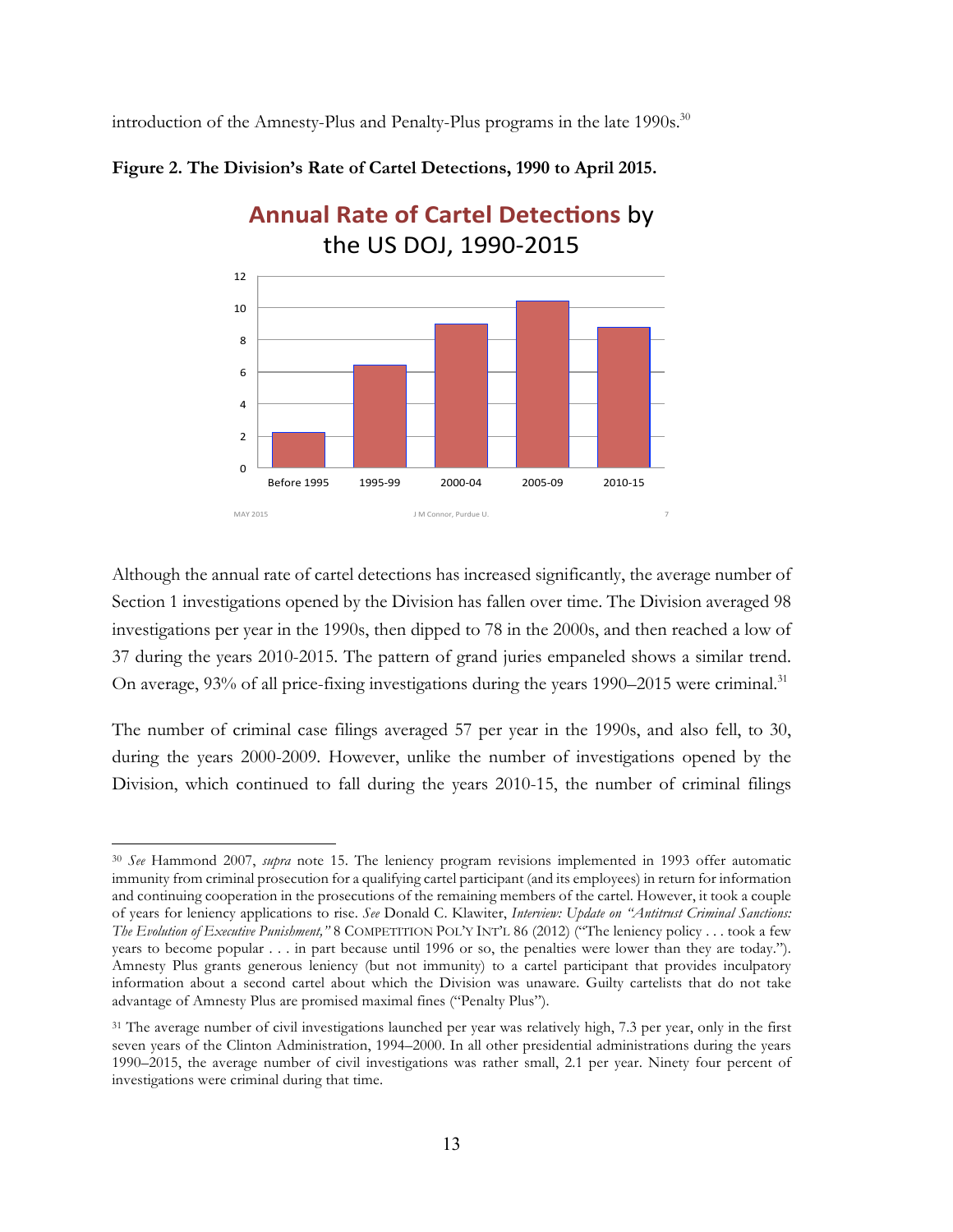introduction of the Amnesty-Plus and Penalty-Plus programs in the late  $1990s$ <sup>30</sup>



**Figure 2. The Division's Rate of Cartel Detections, 1990 to April 2015.**

Although the annual rate of cartel detections has increased significantly, the average number of Section 1 investigations opened by the Division has fallen over time. The Division averaged 98 investigations per year in the 1990s, then dipped to 78 in the 2000s, and then reached a low of 37 during the years 2010-2015. The pattern of grand juries empaneled shows a similar trend. On average, 93% of all price-fixing investigations during the years 1990–2015 were criminal.<sup>31</sup>

The number of criminal case filings averaged 57 per year in the 1990s, and also fell, to 30, during the years 2000-2009. However, unlike the number of investigations opened by the Division, which continued to fall during the years 2010-15, the number of criminal filings

 $\overline{a}$ <sup>30</sup> *See* Hammond 2007, *supra* note 15. The leniency program revisions implemented in 1993 offer automatic immunity from criminal prosecution for a qualifying cartel participant (and its employees) in return for information and continuing cooperation in the prosecutions of the remaining members of the cartel. However, it took a couple of years for leniency applications to rise. *See* Donald C. Klawiter, *Interview: Update on "Antitrust Criminal Sanctions: The Evolution of Executive Punishment,"* 8 COMPETITION POL'Y INT'L 86 (2012) ("The leniency policy . . . took a few years to become popular . . . in part because until 1996 or so, the penalties were lower than they are today."). Amnesty Plus grants generous leniency (but not immunity) to a cartel participant that provides inculpatory information about a second cartel about which the Division was unaware. Guilty cartelists that do not take advantage of Amnesty Plus are promised maximal fines ("Penalty Plus").

<sup>&</sup>lt;sup>31</sup> The average number of civil investigations launched per year was relatively high, 7.3 per year, only in the first seven years of the Clinton Administration, 1994–2000. In all other presidential administrations during the years 1990–2015, the average number of civil investigations was rather small, 2.1 per year. Ninety four percent of investigations were criminal during that time.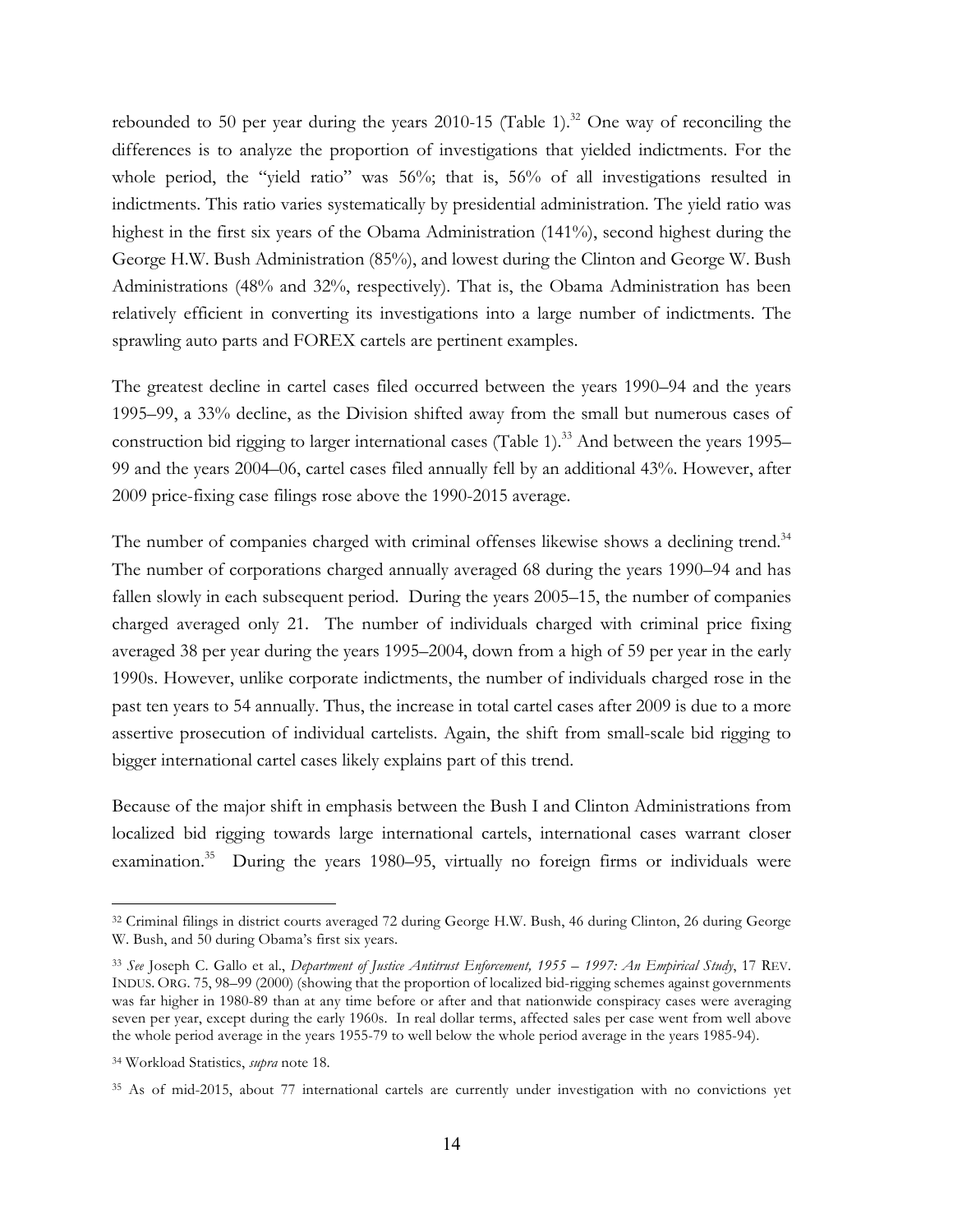rebounded to 50 per year during the years 2010-15 (Table 1).<sup>32</sup> One way of reconciling the differences is to analyze the proportion of investigations that yielded indictments. For the whole period, the "yield ratio" was 56%; that is, 56% of all investigations resulted in indictments. This ratio varies systematically by presidential administration. The yield ratio was highest in the first six years of the Obama Administration (141%), second highest during the George H.W. Bush Administration (85%), and lowest during the Clinton and George W. Bush Administrations (48% and 32%, respectively). That is, the Obama Administration has been relatively efficient in converting its investigations into a large number of indictments. The sprawling auto parts and FOREX cartels are pertinent examples.

The greatest decline in cartel cases filed occurred between the years 1990–94 and the years 1995–99, a 33% decline, as the Division shifted away from the small but numerous cases of construction bid rigging to larger international cases (Table 1).<sup>33</sup> And between the years 1995– 99 and the years 2004–06, cartel cases filed annually fell by an additional 43%. However, after 2009 price-fixing case filings rose above the 1990-2015 average.

The number of companies charged with criminal offenses likewise shows a declining trend.<sup>34</sup> The number of corporations charged annually averaged 68 during the years 1990–94 and has fallen slowly in each subsequent period. During the years 2005–15, the number of companies charged averaged only 21. The number of individuals charged with criminal price fixing averaged 38 per year during the years 1995–2004, down from a high of 59 per year in the early 1990s. However, unlike corporate indictments, the number of individuals charged rose in the past ten years to 54 annually. Thus, the increase in total cartel cases after 2009 is due to a more assertive prosecution of individual cartelists. Again, the shift from small-scale bid rigging to bigger international cartel cases likely explains part of this trend.

Because of the major shift in emphasis between the Bush I and Clinton Administrations from localized bid rigging towards large international cartels, international cases warrant closer examination.<sup>35</sup> During the years 1980–95, virtually no foreign firms or individuals were

<sup>32</sup> Criminal filings in district courts averaged 72 during George H.W. Bush, 46 during Clinton, 26 during George W. Bush, and 50 during Obama's first six years.

<sup>33</sup> *See* Joseph C. Gallo et al., *Department of Justice Antitrust Enforcement, 1955 – 1997: An Empirical Study*, 17 REV. INDUS. ORG. 75, 98–99 (2000) (showing that the proportion of localized bid-rigging schemes against governments was far higher in 1980-89 than at any time before or after and that nationwide conspiracy cases were averaging seven per year, except during the early 1960s. In real dollar terms, affected sales per case went from well above the whole period average in the years 1955-79 to well below the whole period average in the years 1985-94).

<sup>34</sup> Workload Statistics, *supra* note 18.

<sup>35</sup> As of mid-2015, about 77 international cartels are currently under investigation with no convictions yet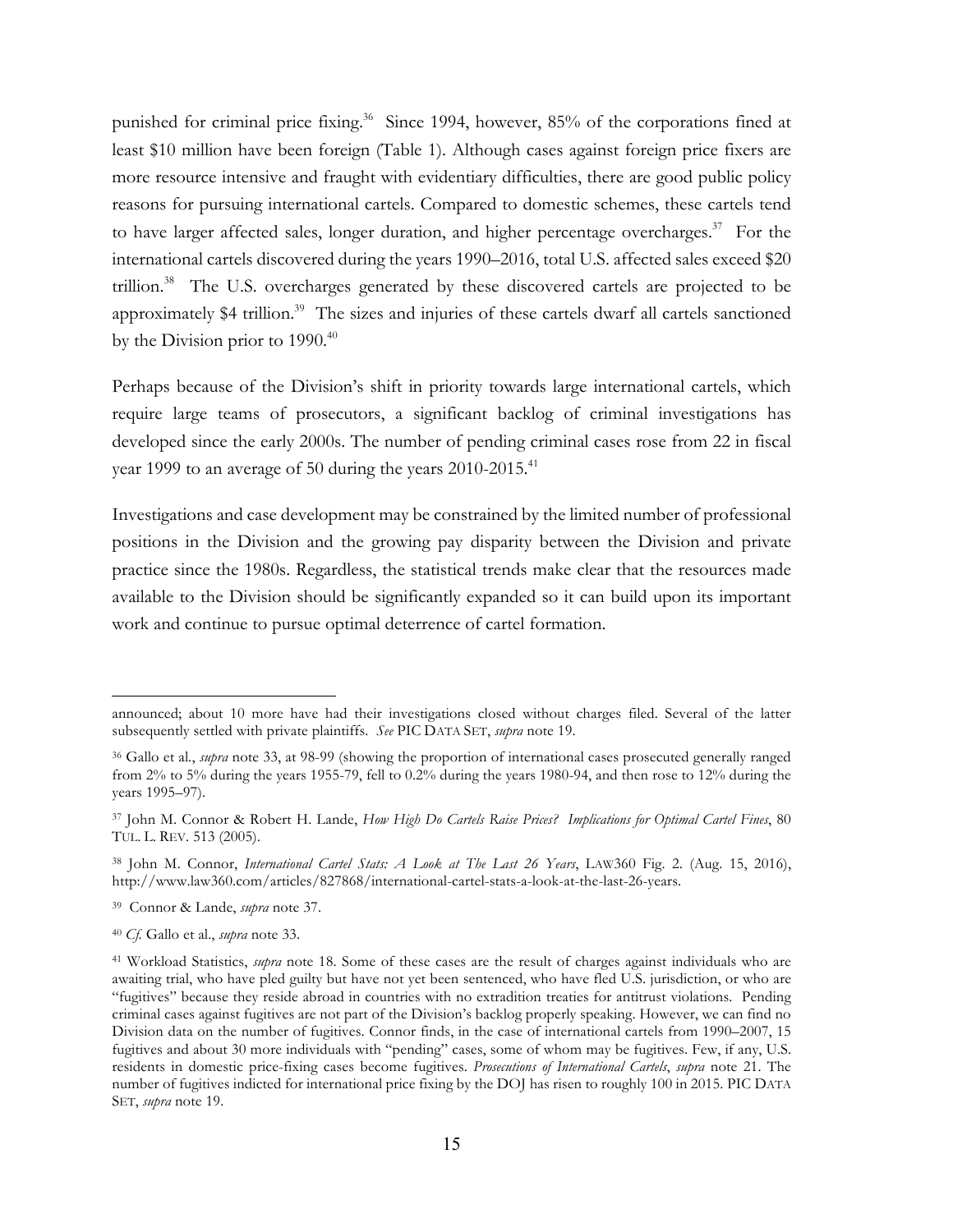punished for criminal price fixing.<sup>36</sup> Since 1994, however, 85% of the corporations fined at least \$10 million have been foreign (Table 1). Although cases against foreign price fixers are more resource intensive and fraught with evidentiary difficulties, there are good public policy reasons for pursuing international cartels. Compared to domestic schemes, these cartels tend to have larger affected sales, longer duration, and higher percentage overcharges.<sup>37</sup> For the international cartels discovered during the years 1990–2016, total U.S. affected sales exceed \$20 trillion.38 The U.S. overcharges generated by these discovered cartels are projected to be approximately \$4 trillion.<sup>39</sup> The sizes and injuries of these cartels dwarf all cartels sanctioned by the Division prior to  $1990.<sup>40</sup>$ 

Perhaps because of the Division's shift in priority towards large international cartels, which require large teams of prosecutors, a significant backlog of criminal investigations has developed since the early 2000s. The number of pending criminal cases rose from 22 in fiscal year 1999 to an average of 50 during the years  $2010$ - $2015$ .<sup>41</sup>

Investigations and case development may be constrained by the limited number of professional positions in the Division and the growing pay disparity between the Division and private practice since the 1980s. Regardless, the statistical trends make clear that the resources made available to the Division should be significantly expanded so it can build upon its important work and continue to pursue optimal deterrence of cartel formation.

- 39 Connor & Lande, *supra* note 37.
- <sup>40</sup> *Cf.* Gallo et al., *supra* note 33.

announced; about 10 more have had their investigations closed without charges filed. Several of the latter subsequently settled with private plaintiffs. *See* PIC DATA SET, *supra* note 19.

<sup>36</sup> Gallo et al*.*, *supra* note 33, at 98-99 (showing the proportion of international cases prosecuted generally ranged from 2% to 5% during the years 1955-79, fell to 0.2% during the years 1980-94, and then rose to 12% during the years 1995–97).

<sup>37</sup> John M. Connor & Robert H. Lande, *How High Do Cartels Raise Prices? Implications for Optimal Cartel Fines*, 80 TUL. L. REV. 513 (2005).

<sup>38</sup> John M. Connor, *International Cartel Stats: A Look at The Last 26 Years*, LAW360 Fig. 2. (Aug. 15, 2016), http://www.law360.com/articles/827868/international-cartel-stats-a-look-at-the-last-26-years.

<sup>41</sup> Workload Statistics, *supra* note 18. Some of these cases are the result of charges against individuals who are awaiting trial, who have pled guilty but have not yet been sentenced, who have fled U.S. jurisdiction, or who are "fugitives" because they reside abroad in countries with no extradition treaties for antitrust violations. Pending criminal cases against fugitives are not part of the Division's backlog properly speaking. However, we can find no Division data on the number of fugitives. Connor finds, in the case of international cartels from 1990–2007, 15 fugitives and about 30 more individuals with "pending" cases, some of whom may be fugitives. Few, if any, U.S. residents in domestic price-fixing cases become fugitives. *Prosecutions of International Cartels*, *supra* note 21. The number of fugitives indicted for international price fixing by the DOJ has risen to roughly 100 in 2015. PIC DATA SET, *supra* note 19.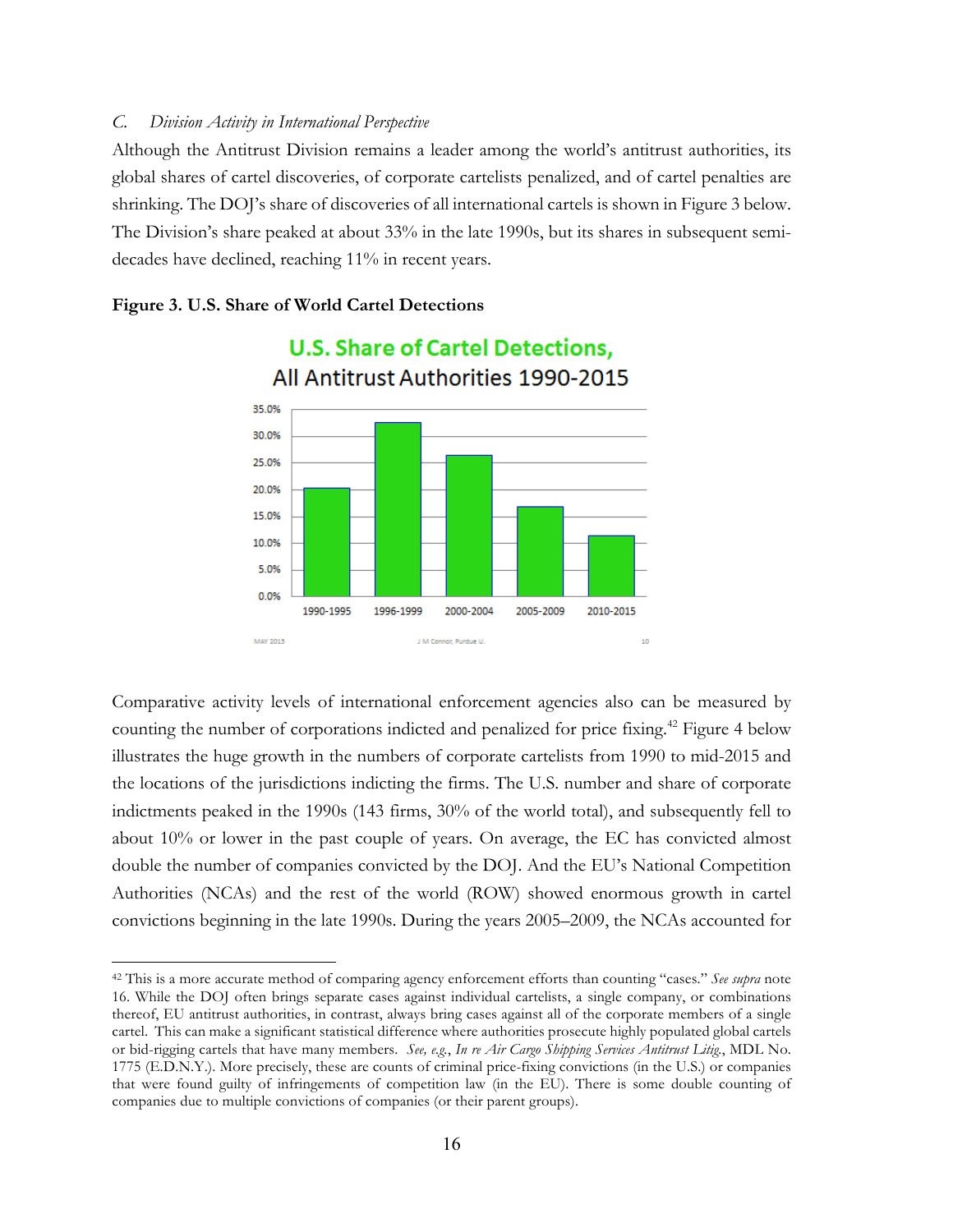#### *C. Division Activity in International Perspective*

Although the Antitrust Division remains a leader among the world's antitrust authorities, its global shares of cartel discoveries, of corporate cartelists penalized, and of cartel penalties are shrinking. The DOJ's share of discoveries of all international cartels is shown in Figure 3 below. The Division's share peaked at about 33% in the late 1990s, but its shares in subsequent semidecades have declined, reaching 11% in recent years.

**U.S. Share of Cartel Detections.** 

#### **Figure 3. U.S. Share of World Cartel Detections**

 $\overline{a}$ 



Comparative activity levels of international enforcement agencies also can be measured by counting the number of corporations indicted and penalized for price fixing.<sup>42</sup> Figure 4 below illustrates the huge growth in the numbers of corporate cartelists from 1990 to mid-2015 and the locations of the jurisdictions indicting the firms. The U.S. number and share of corporate indictments peaked in the 1990s (143 firms, 30% of the world total), and subsequently fell to about 10% or lower in the past couple of years. On average, the EC has convicted almost double the number of companies convicted by the DOJ. And the EU's National Competition Authorities (NCAs) and the rest of the world (ROW) showed enormous growth in cartel convictions beginning in the late 1990s. During the years 2005–2009, the NCAs accounted for

<sup>42</sup> This is a more accurate method of comparing agency enforcement efforts than counting "cases." *See supra* note 16. While the DOJ often brings separate cases against individual cartelists, a single company, or combinations thereof, EU antitrust authorities, in contrast, always bring cases against all of the corporate members of a single cartel. This can make a significant statistical difference where authorities prosecute highly populated global cartels or bid-rigging cartels that have many members. *See, e.g.*, *In re Air Cargo Shipping Services Antitrust Litig.*, MDL No. 1775 (E.D.N.Y.). More precisely, these are counts of criminal price-fixing convictions (in the U.S.) or companies that were found guilty of infringements of competition law (in the EU). There is some double counting of companies due to multiple convictions of companies (or their parent groups).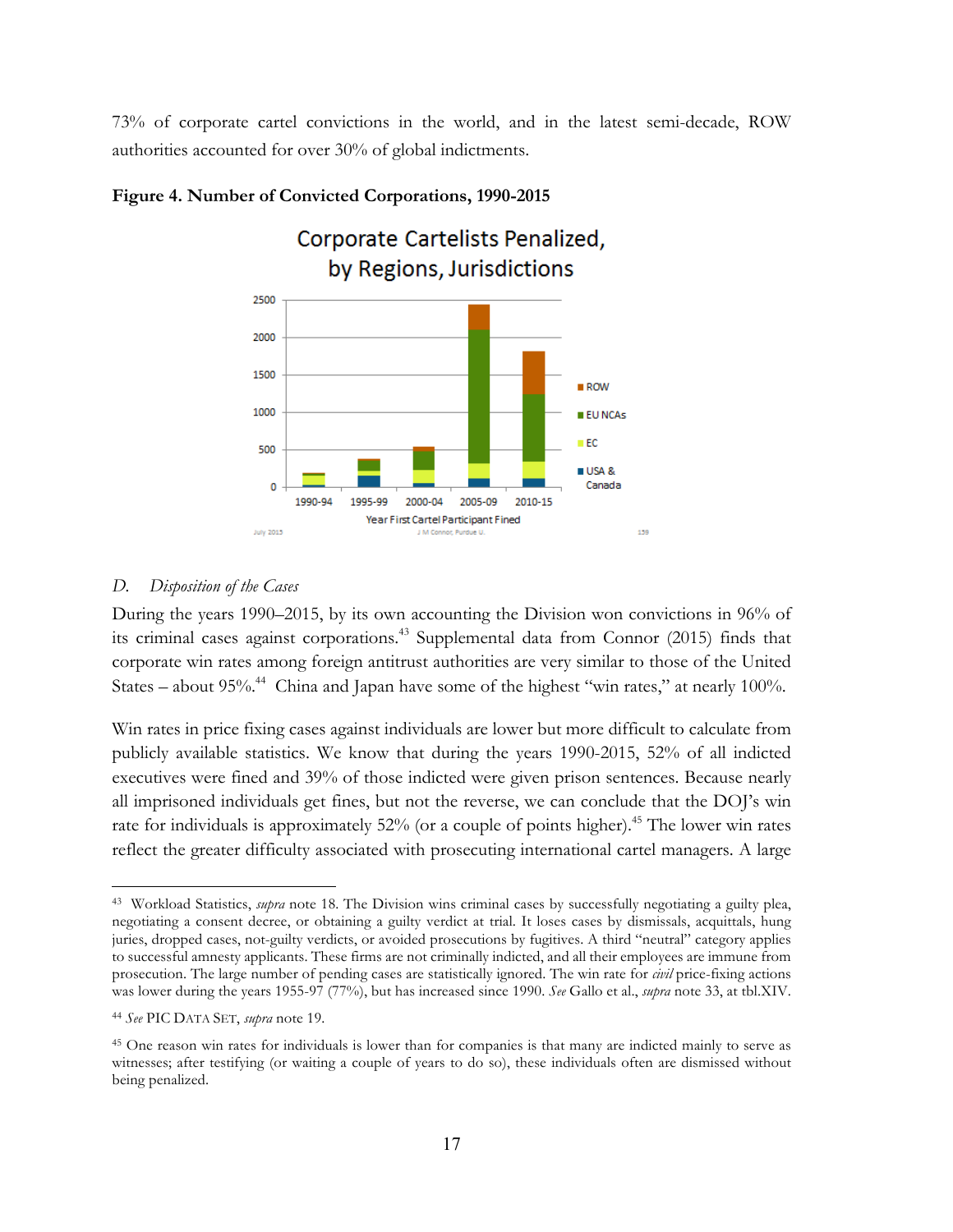73% of corporate cartel convictions in the world, and in the latest semi-decade, ROW authorities accounted for over 30% of global indictments.



### **Figure 4. Number of Convicted Corporations, 1990-2015**

# *D. Disposition of the Cases*

During the years 1990–2015, by its own accounting the Division won convictions in 96% of its criminal cases against corporations. <sup>43</sup> Supplemental data from Connor (2015) finds that corporate win rates among foreign antitrust authorities are very similar to those of the United States – about  $95\%$ .<sup>44</sup> China and Japan have some of the highest "win rates," at nearly 100%.

Win rates in price fixing cases against individuals are lower but more difficult to calculate from publicly available statistics. We know that during the years 1990-2015, 52% of all indicted executives were fined and 39% of those indicted were given prison sentences. Because nearly all imprisoned individuals get fines, but not the reverse, we can conclude that the DOJ's win rate for individuals is approximately 52% (or a couple of points higher).<sup>45</sup> The lower win rates reflect the greater difficulty associated with prosecuting international cartel managers. A large

<sup>43</sup> Workload Statistics, *supra* note 18. The Division wins criminal cases by successfully negotiating a guilty plea, negotiating a consent decree, or obtaining a guilty verdict at trial. It loses cases by dismissals, acquittals, hung juries, dropped cases, not-guilty verdicts, or avoided prosecutions by fugitives. A third "neutral" category applies to successful amnesty applicants. These firms are not criminally indicted, and all their employees are immune from prosecution. The large number of pending cases are statistically ignored. The win rate for *civil* price-fixing actions was lower during the years 1955-97 (77%), but has increased since 1990. *See* Gallo et al., *supra* note 33, at tbl.XIV.

<sup>44</sup> *See* PIC DATA SET, *supra* note 19.

<sup>45</sup> One reason win rates for individuals is lower than for companies is that many are indicted mainly to serve as witnesses; after testifying (or waiting a couple of years to do so), these individuals often are dismissed without being penalized.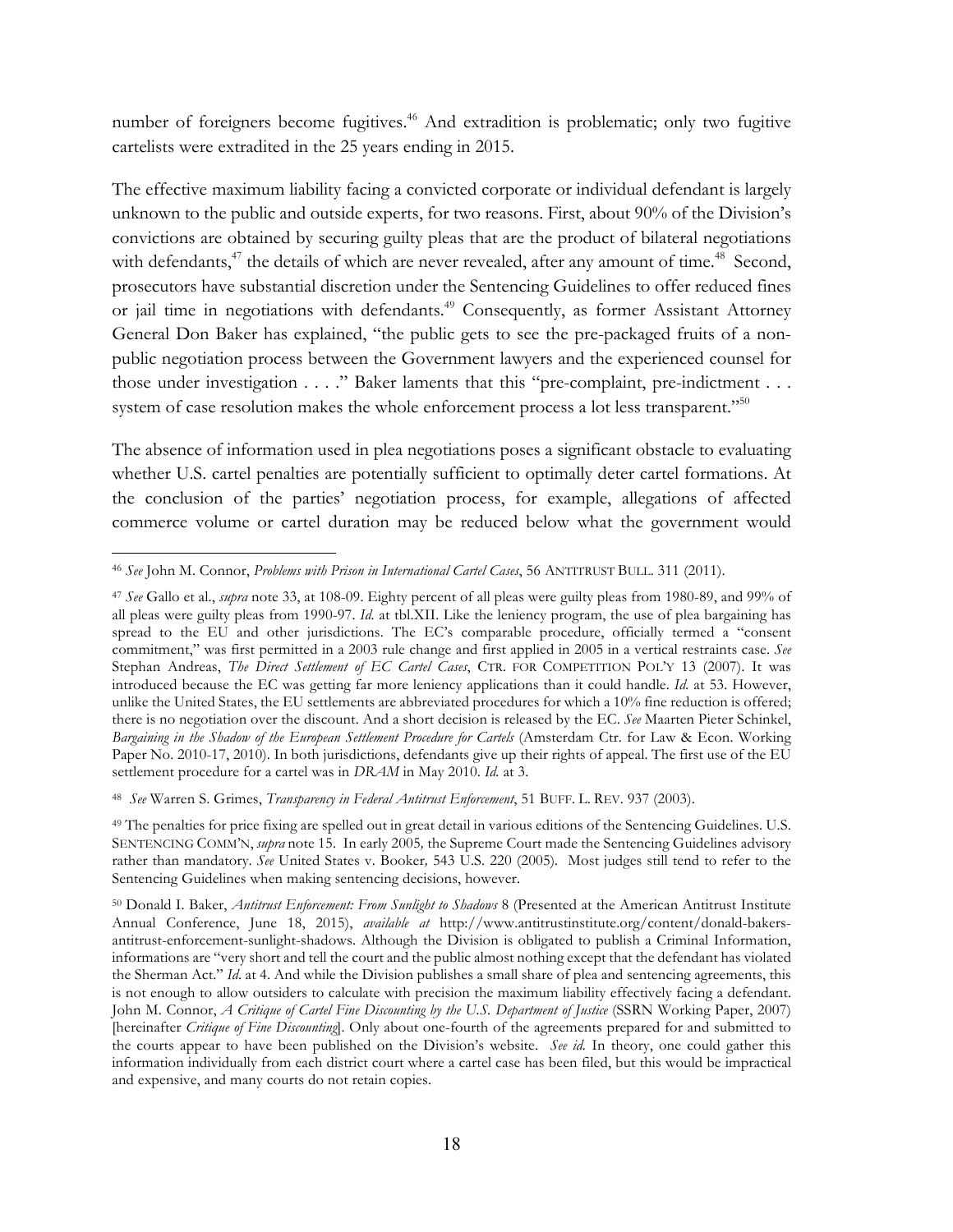number of foreigners become fugitives.<sup>46</sup> And extradition is problematic; only two fugitive cartelists were extradited in the 25 years ending in 2015.

The effective maximum liability facing a convicted corporate or individual defendant is largely unknown to the public and outside experts, for two reasons. First, about 90% of the Division's convictions are obtained by securing guilty pleas that are the product of bilateral negotiations with defendants,<sup>47</sup> the details of which are never revealed, after any amount of time.<sup>48</sup> Second, prosecutors have substantial discretion under the Sentencing Guidelines to offer reduced fines or jail time in negotiations with defendants.<sup>49</sup> Consequently, as former Assistant Attorney General Don Baker has explained, "the public gets to see the pre-packaged fruits of a nonpublic negotiation process between the Government lawyers and the experienced counsel for those under investigation . . . ." Baker laments that this "pre-complaint, pre-indictment . . . system of case resolution makes the whole enforcement process a lot less transparent."<sup>50</sup>

The absence of information used in plea negotiations poses a significant obstacle to evaluating whether U.S. cartel penalties are potentially sufficient to optimally deter cartel formations. At the conclusion of the parties' negotiation process, for example, allegations of affected commerce volume or cartel duration may be reduced below what the government would

 $\overline{a}$ <sup>46</sup> *See* John M. Connor, *Problems with Prison in International Cartel Cases*, 56 ANTITRUST BULL. 311 (2011).

<sup>47</sup> *See* Gallo et al., *supra* note 33, at 108-09. Eighty percent of all pleas were guilty pleas from 1980-89, and 99% of all pleas were guilty pleas from 1990-97. *Id.* at tbl.XII. Like the leniency program, the use of plea bargaining has spread to the EU and other jurisdictions. The EC's comparable procedure, officially termed a "consent commitment," was first permitted in a 2003 rule change and first applied in 2005 in a vertical restraints case. *See* Stephan Andreas, *The Direct Settlement of EC Cartel Cases*, CTR. FOR COMPETITION POL'Y 13 (2007). It was introduced because the EC was getting far more leniency applications than it could handle. *Id.* at 53. However, unlike the United States, the EU settlements are abbreviated procedures for which a 10% fine reduction is offered; there is no negotiation over the discount. And a short decision is released by the EC. *See* Maarten Pieter Schinkel, *Bargaining in the Shadow of the European Settlement Procedure for Cartels* (Amsterdam Ctr. for Law & Econ. Working Paper No. 2010-17, 2010). In both jurisdictions, defendants give up their rights of appeal. The first use of the EU settlement procedure for a cartel was in *DRAM* in May 2010. *Id.* at 3.

<sup>48</sup> *See* Warren S. Grimes, *Transparency in Federal Antitrust Enforcement*, 51 BUFF. L. REV. 937 (2003).

<sup>49</sup> The penalties for price fixing are spelled out in great detail in various editions of the Sentencing Guidelines. U.S. SENTENCING COMM'N, *supra* note 15. In early 2005*,* the Supreme Court made the Sentencing Guidelines advisory rather than mandatory. *See* United States v. Booker*,* 543 U.S. 220 (2005)*.* Most judges still tend to refer to the Sentencing Guidelines when making sentencing decisions, however.

<sup>50</sup> Donald I. Baker, *Antitrust Enforcement: From Sunlight to Shadows* 8 (Presented at the American Antitrust Institute Annual Conference, June 18, 2015), *available at* http://www.antitrustinstitute.org/content/donald-bakersantitrust-enforcement-sunlight-shadows. Although the Division is obligated to publish a Criminal Information, informations are "very short and tell the court and the public almost nothing except that the defendant has violated the Sherman Act." *Id*. at 4. And while the Division publishes a small share of plea and sentencing agreements, this is not enough to allow outsiders to calculate with precision the maximum liability effectively facing a defendant. John M. Connor, *A Critique of Cartel Fine Discounting by the U.S. Department of Justice* (SSRN Working Paper, 2007) [hereinafter *Critique of Fine Discounting*]. Only about one-fourth of the agreements prepared for and submitted to the courts appear to have been published on the Division's website. *See id.* In theory, one could gather this information individually from each district court where a cartel case has been filed, but this would be impractical and expensive, and many courts do not retain copies.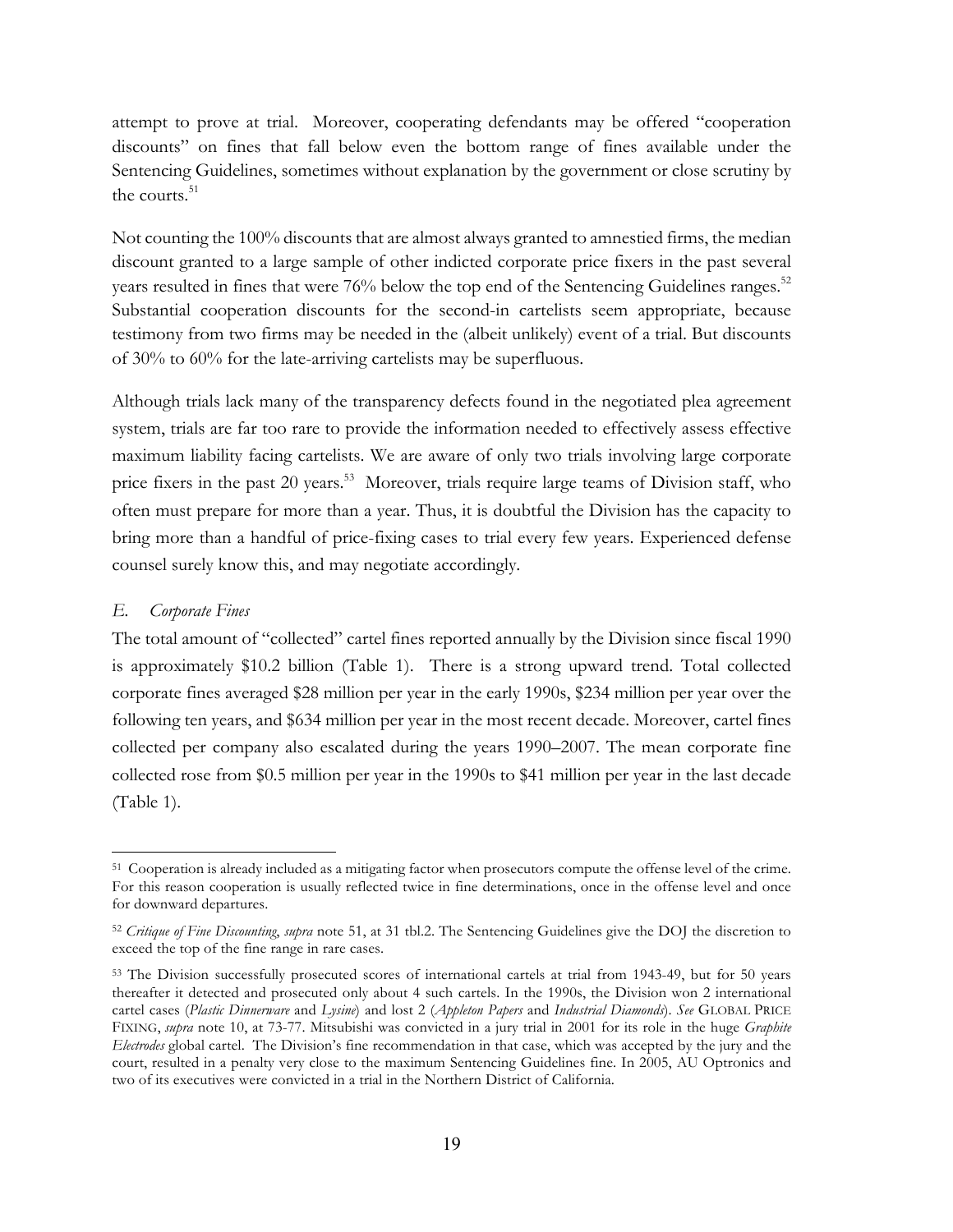attempt to prove at trial. Moreover, cooperating defendants may be offered "cooperation discounts" on fines that fall below even the bottom range of fines available under the Sentencing Guidelines, sometimes without explanation by the government or close scrutiny by the courts. 51

Not counting the 100% discounts that are almost always granted to amnestied firms, the median discount granted to a large sample of other indicted corporate price fixers in the past several years resulted in fines that were 76% below the top end of the Sentencing Guidelines ranges.<sup>52</sup> Substantial cooperation discounts for the second-in cartelists seem appropriate, because testimony from two firms may be needed in the (albeit unlikely) event of a trial. But discounts of 30% to 60% for the late-arriving cartelists may be superfluous.

Although trials lack many of the transparency defects found in the negotiated plea agreement system, trials are far too rare to provide the information needed to effectively assess effective maximum liability facing cartelists. We are aware of only two trials involving large corporate price fixers in the past 20 years.<sup>53</sup> Moreover, trials require large teams of Division staff, who often must prepare for more than a year. Thus, it is doubtful the Division has the capacity to bring more than a handful of price-fixing cases to trial every few years. Experienced defense counsel surely know this, and may negotiate accordingly.

#### *E. Corporate Fines*

 $\overline{a}$ 

The total amount of "collected" cartel fines reported annually by the Division since fiscal 1990 is approximately \$10.2 billion (Table 1). There is a strong upward trend. Total collected corporate fines averaged \$28 million per year in the early 1990s, \$234 million per year over the following ten years, and \$634 million per year in the most recent decade. Moreover, cartel fines collected per company also escalated during the years 1990–2007. The mean corporate fine collected rose from \$0.5 million per year in the 1990s to \$41 million per year in the last decade (Table 1).

<sup>51</sup> Cooperation is already included as a mitigating factor when prosecutors compute the offense level of the crime. For this reason cooperation is usually reflected twice in fine determinations, once in the offense level and once for downward departures.

<sup>52</sup> *Critique of Fine Discounting*, *supra* note 51, at 31 tbl.2. The Sentencing Guidelines give the DOJ the discretion to exceed the top of the fine range in rare cases.

<sup>53</sup> The Division successfully prosecuted scores of international cartels at trial from 1943-49, but for 50 years thereafter it detected and prosecuted only about 4 such cartels. In the 1990s, the Division won 2 international cartel cases (*Plastic Dinnerware* and *Lysine*) and lost 2 (*Appleton Papers* and *Industrial Diamonds*). *See* GLOBAL PRICE FIXING, *supra* note 10, at 73-77. Mitsubishi was convicted in a jury trial in 2001 for its role in the huge *Graphite Electrodes* global cartel. The Division's fine recommendation in that case, which was accepted by the jury and the court, resulted in a penalty very close to the maximum Sentencing Guidelines fine. In 2005, AU Optronics and two of its executives were convicted in a trial in the Northern District of California.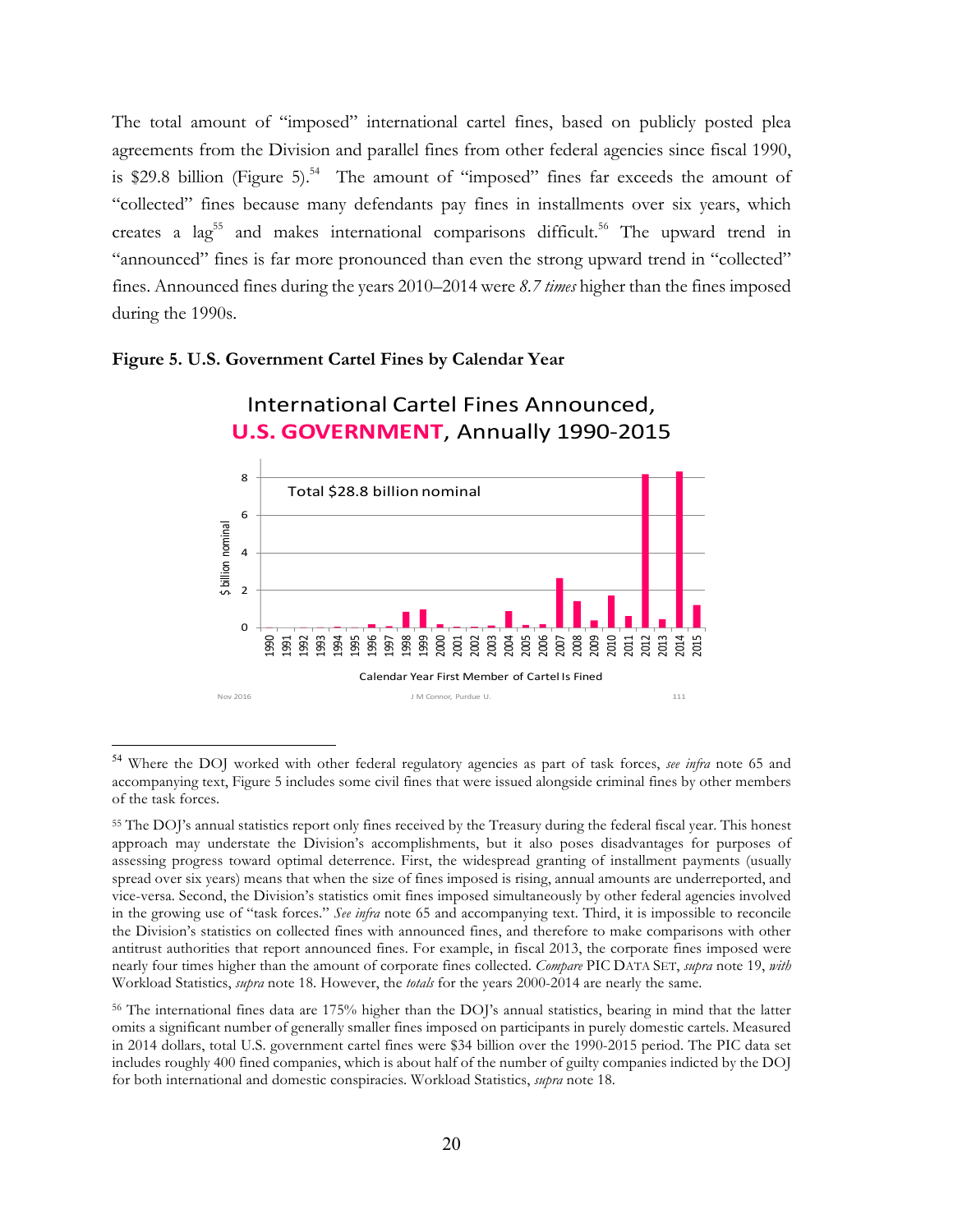The total amount of "imposed" international cartel fines, based on publicly posted plea agreements from the Division and parallel fines from other federal agencies since fiscal 1990, is \$29.8 billion (Figure 5).<sup>54</sup> The amount of "imposed" fines far exceeds the amount of "collected" fines because many defendants pay fines in installments over six years, which creates a  $\log^{55}$  and makes international comparisons difficult.<sup>56</sup> The upward trend in "announced" fines is far more pronounced than even the strong upward trend in "collected" fines. Announced fines during the years 2010–2014 were *8.7 times* higher than the fines imposed during the 1990s.

#### **U.S. GOVERNMENT**, Annually 1990-2015 8 Total \$28.8 billion nominal 6 \$ billion nominal \$ billion nominal 4 2  $\Omega$ 1994 1995 1996 1998 2002 2004 2005 2006 2007 2008 2009 2010 2011 2012 2014 1990 1993 1999 2000 2003 2013 2015 1991 1992 1997 2001 Calendar Year First Member of Cartel Is Fined Nov 2016 **January 2016** J.M. Connor, Purdue U. 111

International Cartel Fines Announced,

#### **Figure 5. U.S. Government Cartel Fines by Calendar Year**

 <sup>54</sup> Where the DOJ worked with other federal regulatory agencies as part of task forces, *see infra* note 65 and accompanying text, Figure 5 includes some civil fines that were issued alongside criminal fines by other members of the task forces.

<sup>55</sup> The DOJ's annual statistics report only fines received by the Treasury during the federal fiscal year. This honest approach may understate the Division's accomplishments, but it also poses disadvantages for purposes of assessing progress toward optimal deterrence. First, the widespread granting of installment payments (usually spread over six years) means that when the size of fines imposed is rising, annual amounts are underreported, and vice-versa. Second, the Division's statistics omit fines imposed simultaneously by other federal agencies involved in the growing use of "task forces." *See infra* note 65 and accompanying text. Third, it is impossible to reconcile the Division's statistics on collected fines with announced fines, and therefore to make comparisons with other antitrust authorities that report announced fines. For example, in fiscal 2013, the corporate fines imposed were nearly four times higher than the amount of corporate fines collected. *Compare* PIC DATA SET, *supra* note 19, *with* Workload Statistics, *supra* note 18. However, the *totals* for the years 2000-2014 are nearly the same.

<sup>56</sup> The international fines data are 175% higher than the DOJ's annual statistics, bearing in mind that the latter omits a significant number of generally smaller fines imposed on participants in purely domestic cartels. Measured in 2014 dollars, total U.S. government cartel fines were \$34 billion over the 1990-2015 period. The PIC data set includes roughly 400 fined companies, which is about half of the number of guilty companies indicted by the DOJ for both international and domestic conspiracies. Workload Statistics, *supra* note 18.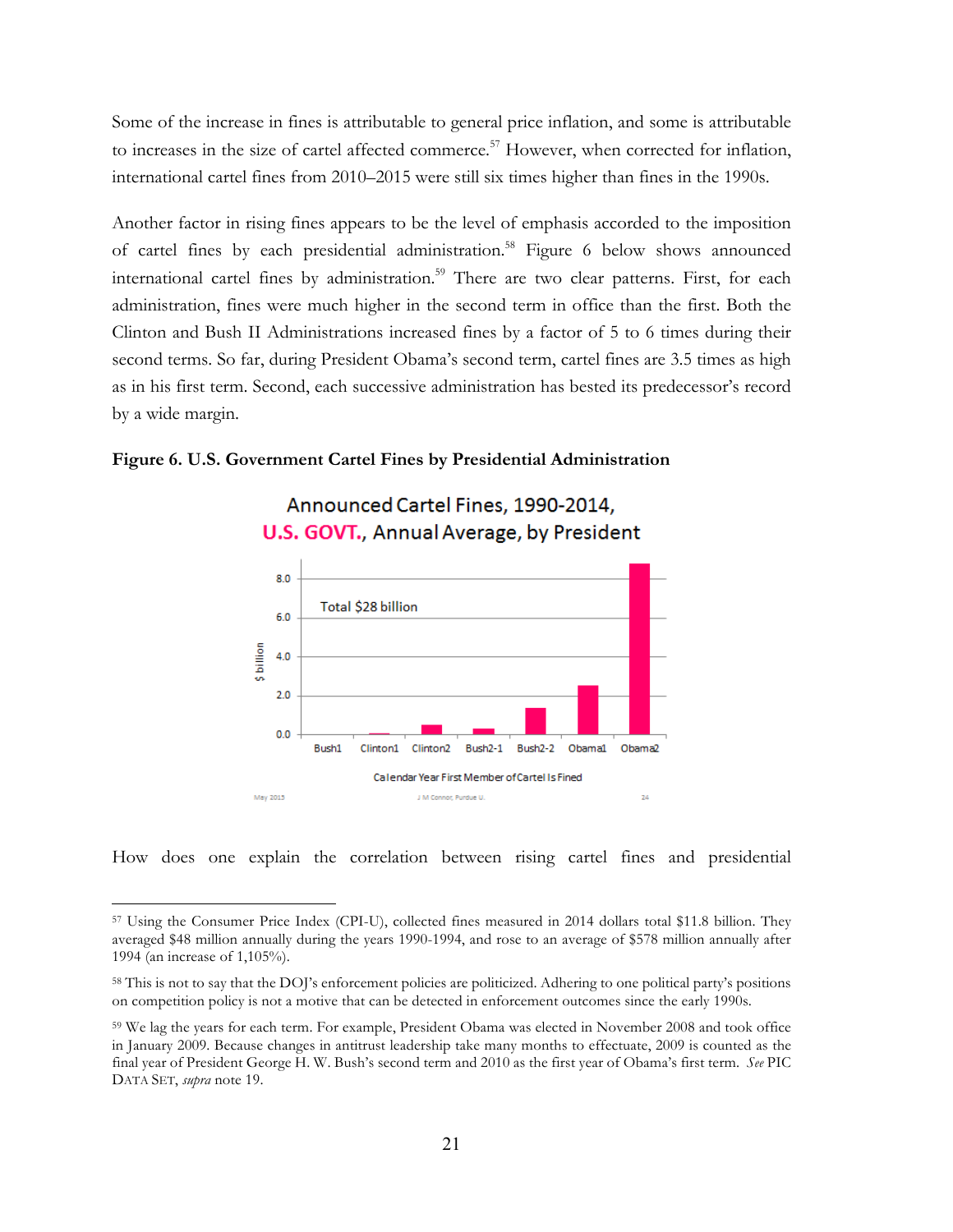Some of the increase in fines is attributable to general price inflation, and some is attributable to increases in the size of cartel affected commerce.<sup>57</sup> However, when corrected for inflation, international cartel fines from 2010–2015 were still six times higher than fines in the 1990s.

Another factor in rising fines appears to be the level of emphasis accorded to the imposition of cartel fines by each presidential administration.<sup>58</sup> Figure 6 below shows announced international cartel fines by administration.<sup>59</sup> There are two clear patterns. First, for each administration, fines were much higher in the second term in office than the first. Both the Clinton and Bush II Administrations increased fines by a factor of 5 to 6 times during their second terms. So far, during President Obama's second term, cartel fines are 3.5 times as high as in his first term. Second, each successive administration has bested its predecessor's record by a wide margin.



#### **Figure 6. U.S. Government Cartel Fines by Presidential Administration**

How does one explain the correlation between rising cartel fines and presidential

J M Connor, Purdue U

 $\overline{z}$ 

 $\overline{a}$ 

May 2015

<sup>57</sup> Using the Consumer Price Index (CPI-U), collected fines measured in 2014 dollars total \$11.8 billion. They averaged \$48 million annually during the years 1990-1994, and rose to an average of \$578 million annually after 1994 (an increase of 1,105%).

<sup>58</sup> This is not to say that the DOJ's enforcement policies are politicized. Adhering to one political party's positions on competition policy is not a motive that can be detected in enforcement outcomes since the early 1990s.

<sup>59</sup> We lag the years for each term. For example, President Obama was elected in November 2008 and took office in January 2009. Because changes in antitrust leadership take many months to effectuate, 2009 is counted as the final year of President George H. W. Bush's second term and 2010 as the first year of Obama's first term. *See* PIC DATA SET, *supra* note 19.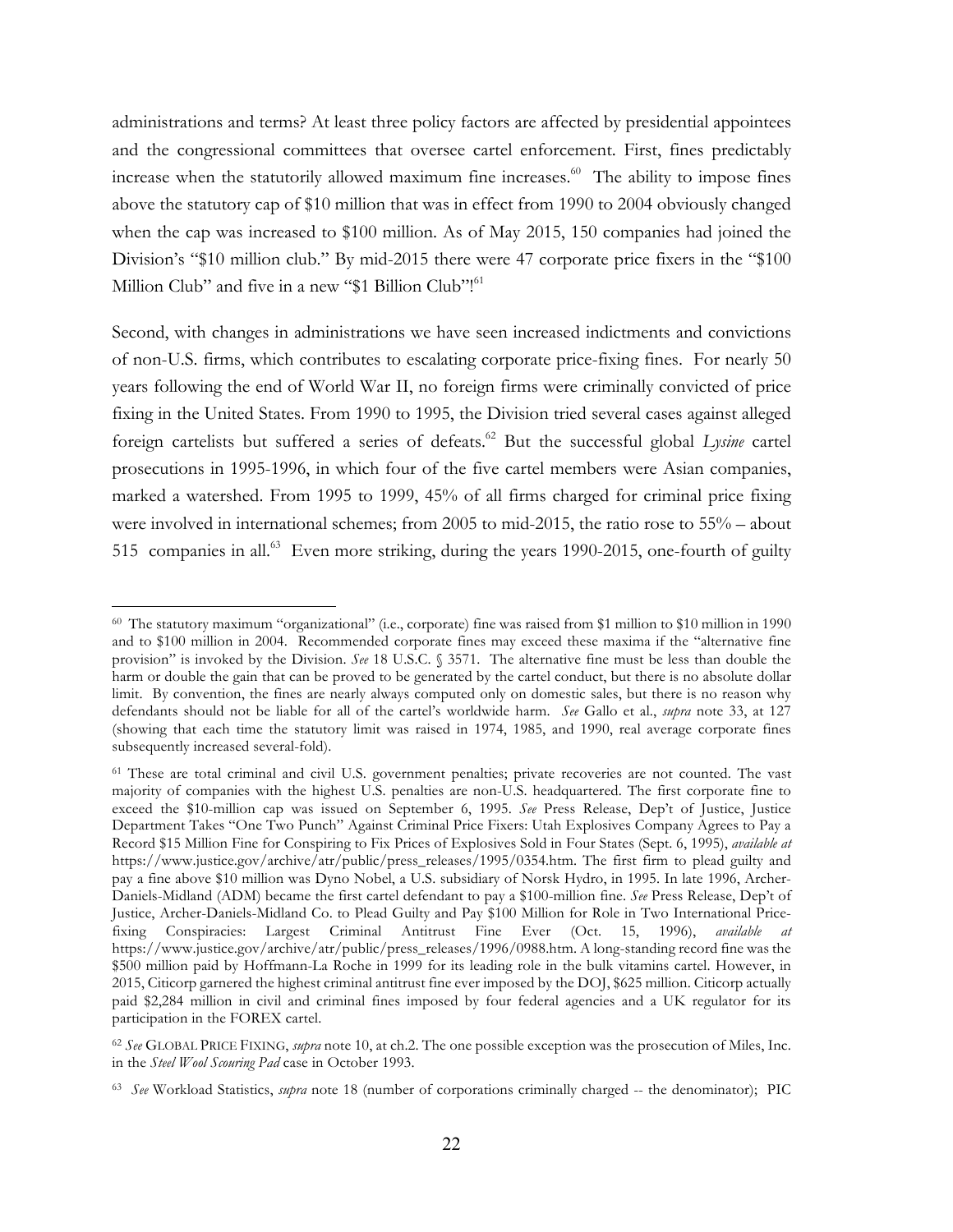administrations and terms? At least three policy factors are affected by presidential appointees and the congressional committees that oversee cartel enforcement. First, fines predictably increase when the statutorily allowed maximum fine increases. 60 The ability to impose fines above the statutory cap of \$10 million that was in effect from 1990 to 2004 obviously changed when the cap was increased to \$100 million. As of May 2015, 150 companies had joined the Division's "\$10 million club." By mid-2015 there were 47 corporate price fixers in the "\$100 Million Club" and five in a new "\$1 Billion Club"!<sup>61</sup>

Second, with changes in administrations we have seen increased indictments and convictions of non-U.S. firms, which contributes to escalating corporate price-fixing fines. For nearly 50 years following the end of World War II, no foreign firms were criminally convicted of price fixing in the United States. From 1990 to 1995, the Division tried several cases against alleged foreign cartelists but suffered a series of defeats. <sup>62</sup> But the successful global *Lysine* cartel prosecutions in 1995-1996, in which four of the five cartel members were Asian companies, marked a watershed. From 1995 to 1999, 45% of all firms charged for criminal price fixing were involved in international schemes; from 2005 to mid-2015, the ratio rose to 55% – about 515 companies in all.<sup>63</sup> Even more striking, during the years 1990-2015, one-fourth of guilty

<sup>60</sup> The statutory maximum "organizational" (i.e., corporate) fine was raised from \$1 million to \$10 million in 1990 and to \$100 million in 2004. Recommended corporate fines may exceed these maxima if the "alternative fine provision" is invoked by the Division. *See* 18 U.S.C. § 3571. The alternative fine must be less than double the harm or double the gain that can be proved to be generated by the cartel conduct, but there is no absolute dollar limit. By convention, the fines are nearly always computed only on domestic sales, but there is no reason why defendants should not be liable for all of the cartel's worldwide harm. *See* Gallo et al., *supra* note 33, at 127 (showing that each time the statutory limit was raised in 1974, 1985, and 1990, real average corporate fines subsequently increased several-fold).

<sup>61</sup> These are total criminal and civil U.S. government penalties; private recoveries are not counted. The vast majority of companies with the highest U.S. penalties are non-U.S. headquartered. The first corporate fine to exceed the \$10-million cap was issued on September 6, 1995. *See* Press Release, Dep't of Justice, Justice Department Takes "One Two Punch" Against Criminal Price Fixers: Utah Explosives Company Agrees to Pay a Record \$15 Million Fine for Conspiring to Fix Prices of Explosives Sold in Four States (Sept. 6, 1995), *available at*  https://www.justice.gov/archive/atr/public/press\_releases/1995/0354.htm. The first firm to plead guilty and pay a fine above \$10 million was Dyno Nobel, a U.S. subsidiary of Norsk Hydro, in 1995. In late 1996, Archer-Daniels-Midland (ADM) became the first cartel defendant to pay a \$100-million fine. *See* Press Release, Dep't of Justice, Archer-Daniels-Midland Co. to Plead Guilty and Pay \$100 Million for Role in Two International Pricefixing Conspiracies: Largest Criminal Antitrust Fine Ever (Oct. 15, 1996), *available at*  https://www.justice.gov/archive/atr/public/press\_releases/1996/0988.htm. A long-standing record fine was the \$500 million paid by Hoffmann-La Roche in 1999 for its leading role in the bulk vitamins cartel. However, in 2015, Citicorp garnered the highest criminal antitrust fine ever imposed by the DOJ, \$625 million. Citicorp actually paid \$2,284 million in civil and criminal fines imposed by four federal agencies and a UK regulator for its participation in the FOREX cartel.

<sup>62</sup> *See* GLOBAL PRICE FIXING, *supra* note 10, at ch.2. The one possible exception was the prosecution of Miles, Inc. in the *Steel Wool Scouring Pad* case in October 1993.

<sup>63</sup> *See* Workload Statistics, *supra* note 18 (number of corporations criminally charged -- the denominator); PIC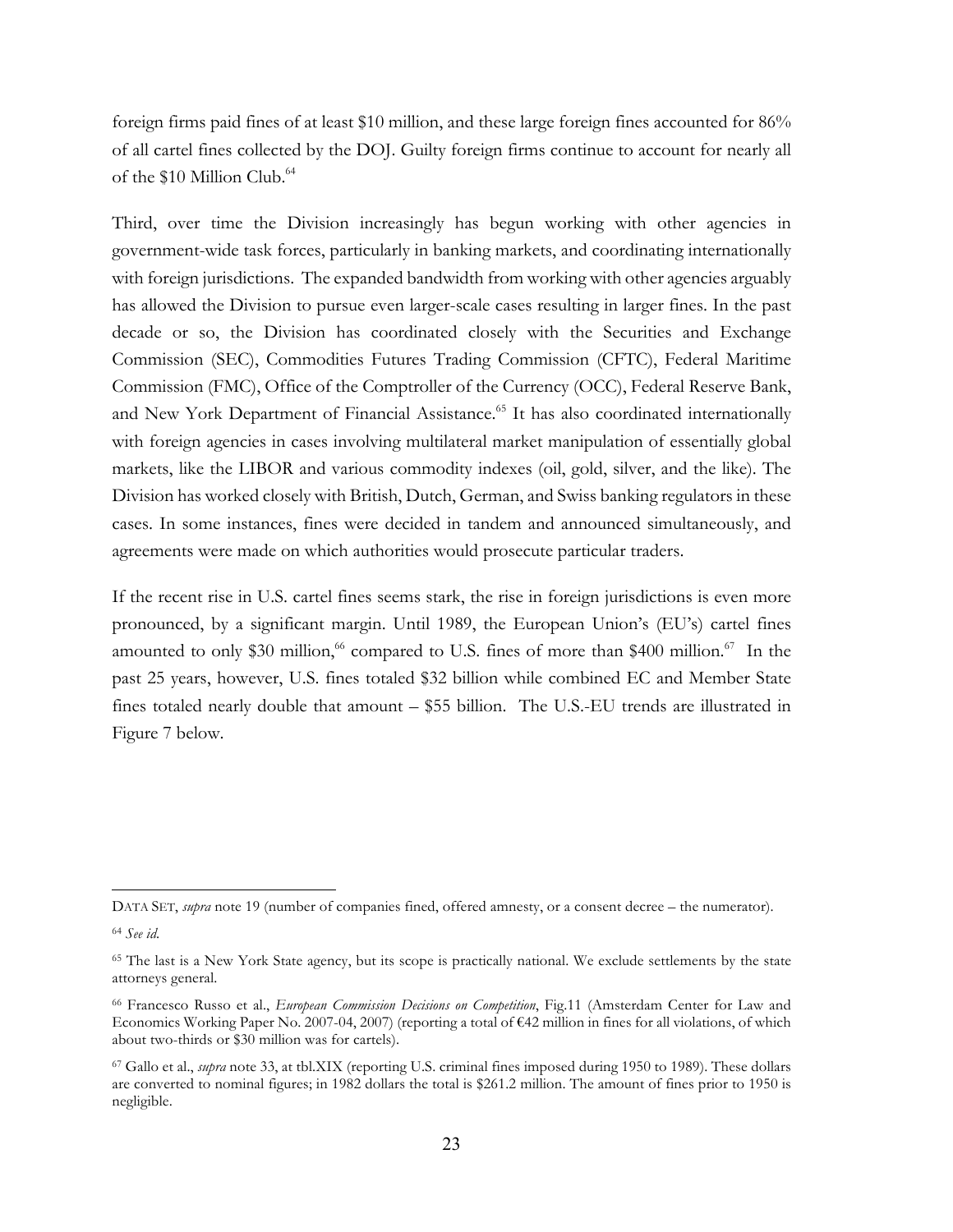foreign firms paid fines of at least \$10 million, and these large foreign fines accounted for 86% of all cartel fines collected by the DOJ. Guilty foreign firms continue to account for nearly all of the \$10 Million Club.<sup>64</sup>

Third, over time the Division increasingly has begun working with other agencies in government-wide task forces, particularly in banking markets, and coordinating internationally with foreign jurisdictions. The expanded bandwidth from working with other agencies arguably has allowed the Division to pursue even larger-scale cases resulting in larger fines. In the past decade or so, the Division has coordinated closely with the Securities and Exchange Commission (SEC), Commodities Futures Trading Commission (CFTC), Federal Maritime Commission (FMC), Office of the Comptroller of the Currency (OCC), Federal Reserve Bank, and New York Department of Financial Assistance.<sup>65</sup> It has also coordinated internationally with foreign agencies in cases involving multilateral market manipulation of essentially global markets, like the LIBOR and various commodity indexes (oil, gold, silver, and the like). The Division has worked closely with British, Dutch, German, and Swiss banking regulators in these cases. In some instances, fines were decided in tandem and announced simultaneously, and agreements were made on which authorities would prosecute particular traders.

If the recent rise in U.S. cartel fines seems stark, the rise in foreign jurisdictions is even more pronounced, by a significant margin. Until 1989, the European Union's (EU's) cartel fines amounted to only \$30 million,<sup>66</sup> compared to U.S. fines of more than \$400 million.<sup>67</sup> In the past 25 years, however, U.S. fines totaled \$32 billion while combined EC and Member State fines totaled nearly double that amount – \$55 billion. The U.S.-EU trends are illustrated in Figure 7 below.

DATA SET, *supra* note 19 (number of companies fined, offered amnesty, or a consent decree – the numerator).

<sup>64</sup> *See id*.

<sup>65</sup> The last is a New York State agency, but its scope is practically national. We exclude settlements by the state attorneys general.

<sup>66</sup> Francesco Russo et al., *European Commission Decisions on Competition*, Fig.11 (Amsterdam Center for Law and Economics Working Paper No. 2007-04, 2007) (reporting a total of €42 million in fines for all violations, of which about two-thirds or \$30 million was for cartels).

<sup>67</sup> Gallo et al., *supra* note 33, at tbl.XIX (reporting U.S. criminal fines imposed during 1950 to 1989). These dollars are converted to nominal figures; in 1982 dollars the total is \$261.2 million. The amount of fines prior to 1950 is negligible.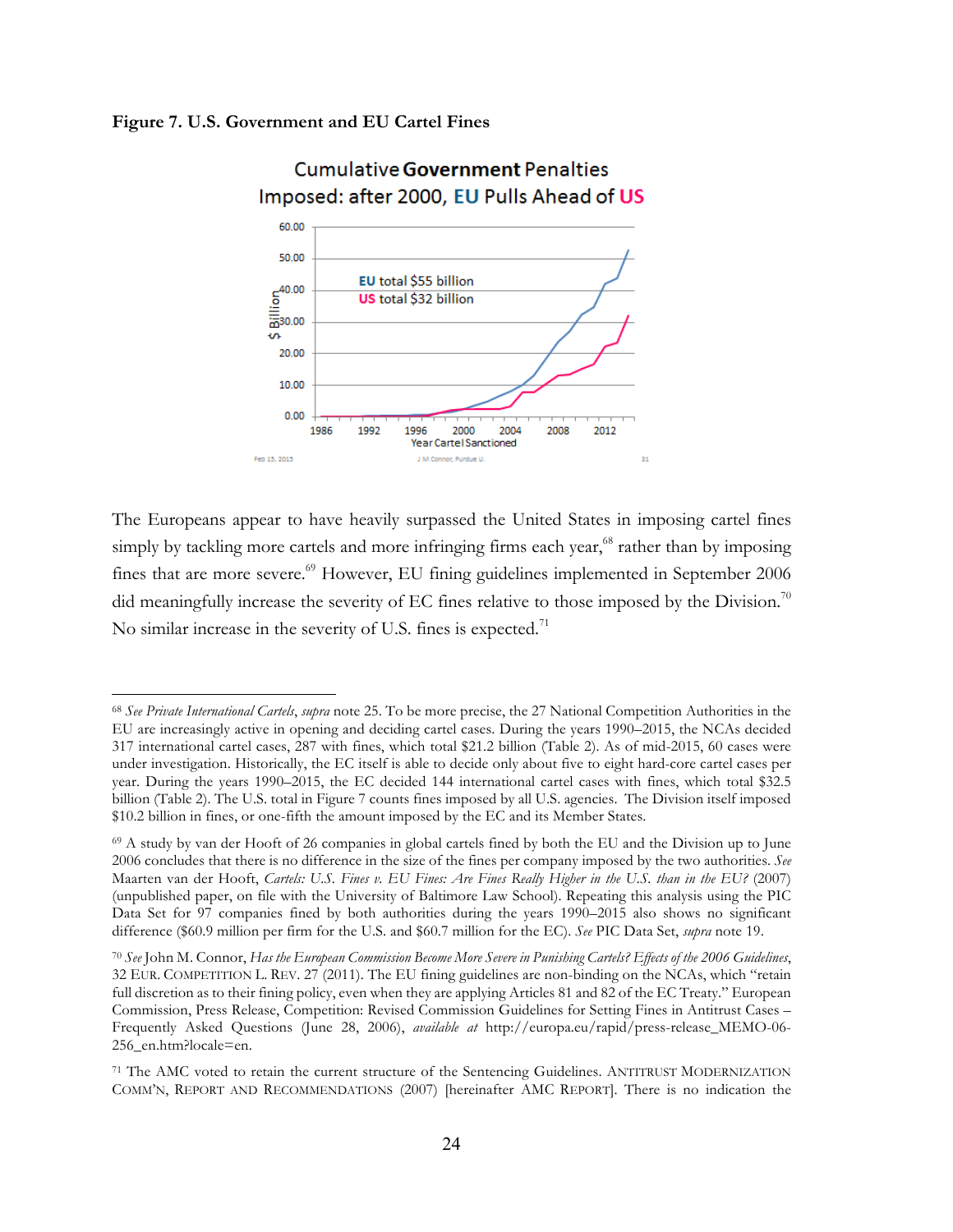#### **Figure 7. U.S. Government and EU Cartel Fines**

 $\overline{a}$ 



# **Cumulative Government Penalties** Imposed: after 2000, EU Pulls Ahead of US

The Europeans appear to have heavily surpassed the United States in imposing cartel fines simply by tackling more cartels and more infringing firms each year, $68$  rather than by imposing fines that are more severe.<sup>69</sup> However, EU fining guidelines implemented in September 2006 did meaningfully increase the severity of EC fines relative to those imposed by the Division.<sup>70</sup> No similar increase in the severity of U.S. fines is expected.<sup>71</sup>

<sup>68</sup> *See Private International Cartels*, *supra* note 25. To be more precise, the 27 National Competition Authorities in the EU are increasingly active in opening and deciding cartel cases. During the years 1990–2015, the NCAs decided 317 international cartel cases, 287 with fines, which total \$21.2 billion (Table 2). As of mid-2015, 60 cases were under investigation. Historically, the EC itself is able to decide only about five to eight hard-core cartel cases per year. During the years 1990–2015, the EC decided 144 international cartel cases with fines, which total \$32.5 billion (Table 2). The U.S. total in Figure 7 counts fines imposed by all U.S. agencies. The Division itself imposed \$10.2 billion in fines, or one-fifth the amount imposed by the EC and its Member States.

<sup>69</sup> A study by van der Hooft of 26 companies in global cartels fined by both the EU and the Division up to June 2006 concludes that there is no difference in the size of the fines per company imposed by the two authorities. *See* Maarten van der Hooft, *Cartels: U.S. Fines v. EU Fines: Are Fines Really Higher in the U.S. than in the EU?* (2007) (unpublished paper, on file with the University of Baltimore Law School). Repeating this analysis using the PIC Data Set for 97 companies fined by both authorities during the years 1990–2015 also shows no significant difference (\$60.9 million per firm for the U.S. and \$60.7 million for the EC). *See* PIC Data Set, *supra* note 19.

<sup>70</sup> *See* John M. Connor, *Has the European Commission Become More Severe in Punishing Cartels? Effects of the 2006 Guidelines*, 32 EUR. COMPETITION L. REV. 27 (2011). The EU fining guidelines are non-binding on the NCAs, which "retain full discretion as to their fining policy, even when they are applying Articles 81 and 82 of the EC Treaty." European Commission, Press Release, Competition: Revised Commission Guidelines for Setting Fines in Antitrust Cases – Frequently Asked Questions (June 28, 2006), *available at* http://europa.eu/rapid/press-release\_MEMO-06- 256\_en.htm?locale=en.

<sup>71</sup> The AMC voted to retain the current structure of the Sentencing Guidelines. ANTITRUST MODERNIZATION COMM'N, REPORT AND RECOMMENDATIONS (2007) [hereinafter AMC REPORT]. There is no indication the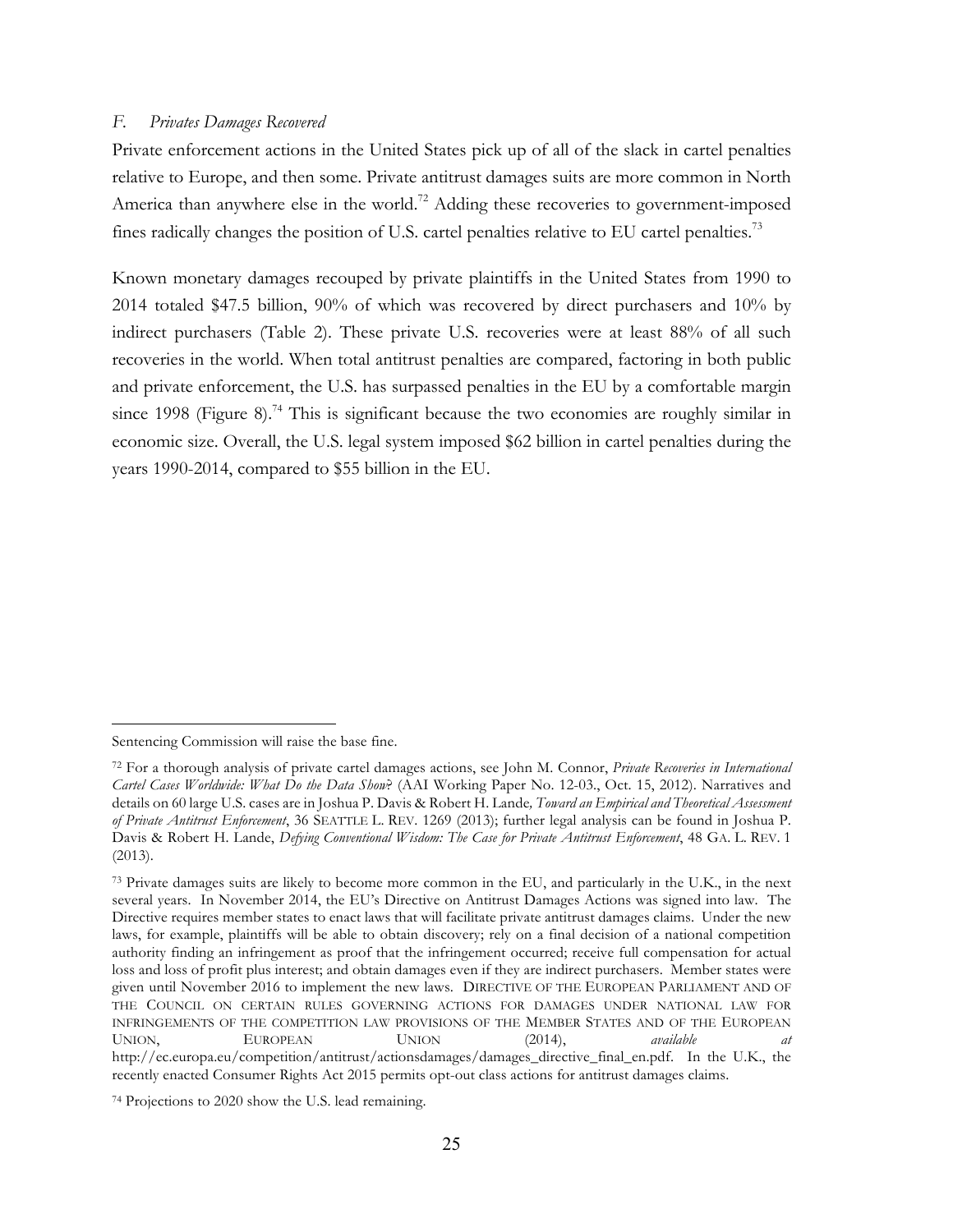#### *F. Privates Damages Recovered*

Private enforcement actions in the United States pick up of all of the slack in cartel penalties relative to Europe, and then some. Private antitrust damages suits are more common in North America than anywhere else in the world.<sup>72</sup> Adding these recoveries to government-imposed fines radically changes the position of U.S. cartel penalties relative to EU cartel penalties.<sup>73</sup>

Known monetary damages recouped by private plaintiffs in the United States from 1990 to 2014 totaled \$47.5 billion, 90% of which was recovered by direct purchasers and 10% by indirect purchasers (Table 2). These private U.S. recoveries were at least 88% of all such recoveries in the world. When total antitrust penalties are compared, factoring in both public and private enforcement, the U.S. has surpassed penalties in the EU by a comfortable margin since 1998 (Figure 8).<sup>74</sup> This is significant because the two economies are roughly similar in economic size. Overall, the U.S. legal system imposed \$62 billion in cartel penalties during the years 1990-2014, compared to \$55 billion in the EU.

Sentencing Commission will raise the base fine.

<sup>72</sup> For a thorough analysis of private cartel damages actions, see John M. Connor, *Private Recoveries in International Cartel Cases Worldwide: What Do the Data Show*? (AAI Working Paper No. 12-03., Oct. 15, 2012). Narratives and details on 60 large U.S. cases are in Joshua P. Davis & Robert H. Lande*, Toward an Empirical and Theoretical Assessment of Private Antitrust Enforcement*, 36 SEATTLE L. REV. 1269 (2013); further legal analysis can be found in Joshua P. Davis & Robert H. Lande, *Defying Conventional Wisdom: The Case for Private Antitrust Enforcement*, 48 GA. L. REV. 1 (2013).

<sup>73</sup> Private damages suits are likely to become more common in the EU, and particularly in the U.K., in the next several years. In November 2014, the EU's Directive on Antitrust Damages Actions was signed into law. The Directive requires member states to enact laws that will facilitate private antitrust damages claims. Under the new laws, for example, plaintiffs will be able to obtain discovery; rely on a final decision of a national competition authority finding an infringement as proof that the infringement occurred; receive full compensation for actual loss and loss of profit plus interest; and obtain damages even if they are indirect purchasers. Member states were given until November 2016 to implement the new laws. DIRECTIVE OF THE EUROPEAN PARLIAMENT AND OF THE COUNCIL ON CERTAIN RULES GOVERNING ACTIONS FOR DAMAGES UNDER NATIONAL LAW FOR INFRINGEMENTS OF THE COMPETITION LAW PROVISIONS OF THE MEMBER STATES AND OF THE EUROPEAN UNION, EUROPEAN UNION (2014), *available at*  http://ec.europa.eu/competition/antitrust/actionsdamages/damages\_directive\_final\_en.pdf. In the U.K., the recently enacted Consumer Rights Act 2015 permits opt-out class actions for antitrust damages claims.

<sup>74</sup> Projections to 2020 show the U.S. lead remaining.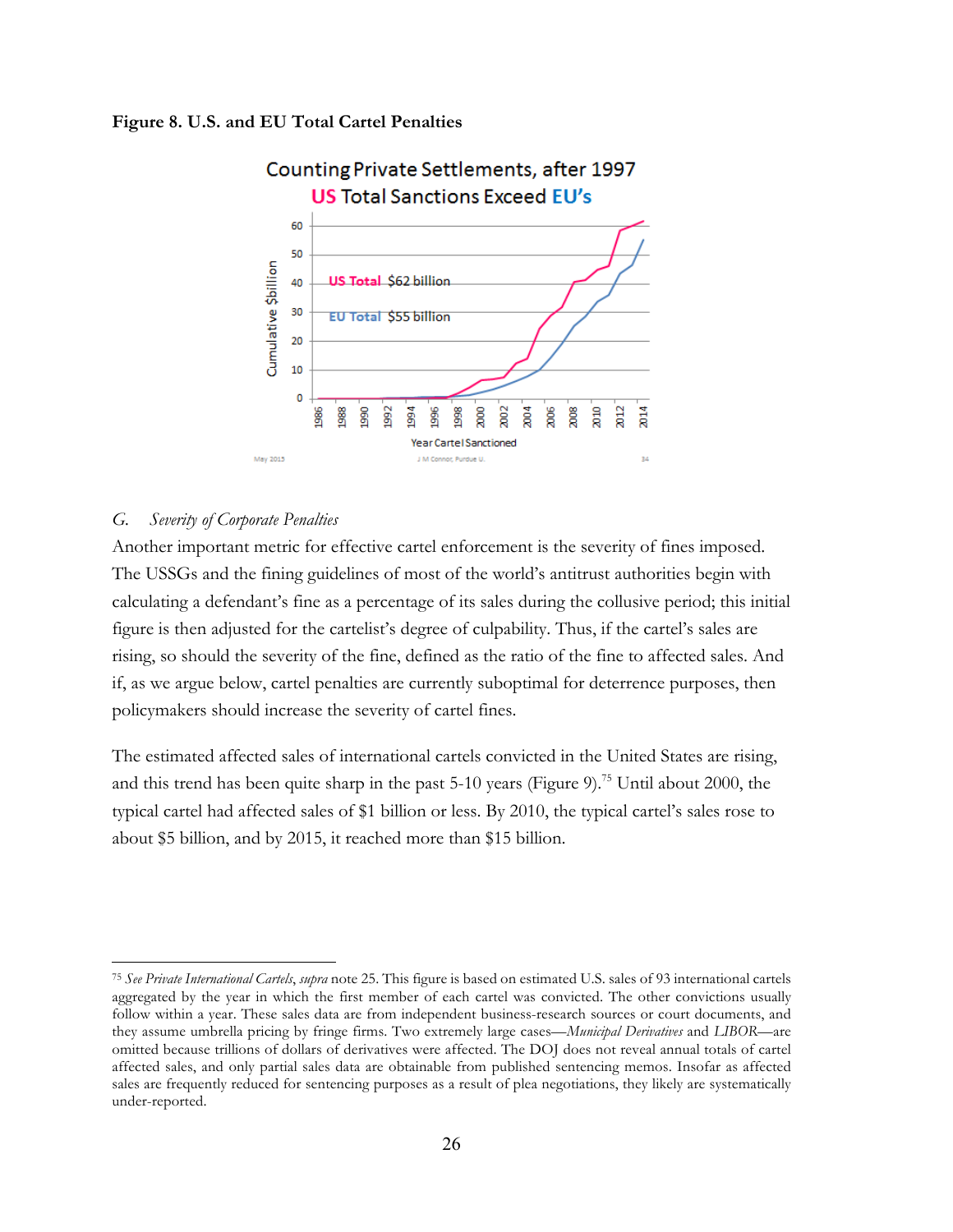#### **Figure 8. U.S. and EU Total Cartel Penalties**



#### *G. Severity of Corporate Penalties*

 $\overline{a}$ 

Another important metric for effective cartel enforcement is the severity of fines imposed. The USSGs and the fining guidelines of most of the world's antitrust authorities begin with calculating a defendant's fine as a percentage of its sales during the collusive period; this initial figure is then adjusted for the cartelist's degree of culpability. Thus, if the cartel's sales are rising, so should the severity of the fine, defined as the ratio of the fine to affected sales. And if, as we argue below, cartel penalties are currently suboptimal for deterrence purposes, then policymakers should increase the severity of cartel fines.

The estimated affected sales of international cartels convicted in the United States are rising, and this trend has been quite sharp in the past  $5-10$  years (Figure 9).<sup>75</sup> Until about 2000, the typical cartel had affected sales of \$1 billion or less. By 2010, the typical cartel's sales rose to about \$5 billion, and by 2015, it reached more than \$15 billion.

<sup>75</sup> *See Private International Cartels*, *supra* note 25. This figure is based on estimated U.S. sales of 93 international cartels aggregated by the year in which the first member of each cartel was convicted. The other convictions usually follow within a year. These sales data are from independent business-research sources or court documents, and they assume umbrella pricing by fringe firms. Two extremely large cases—*Municipal Derivatives* and *LIBOR*—are omitted because trillions of dollars of derivatives were affected. The DOJ does not reveal annual totals of cartel affected sales, and only partial sales data are obtainable from published sentencing memos. Insofar as affected sales are frequently reduced for sentencing purposes as a result of plea negotiations, they likely are systematically under-reported.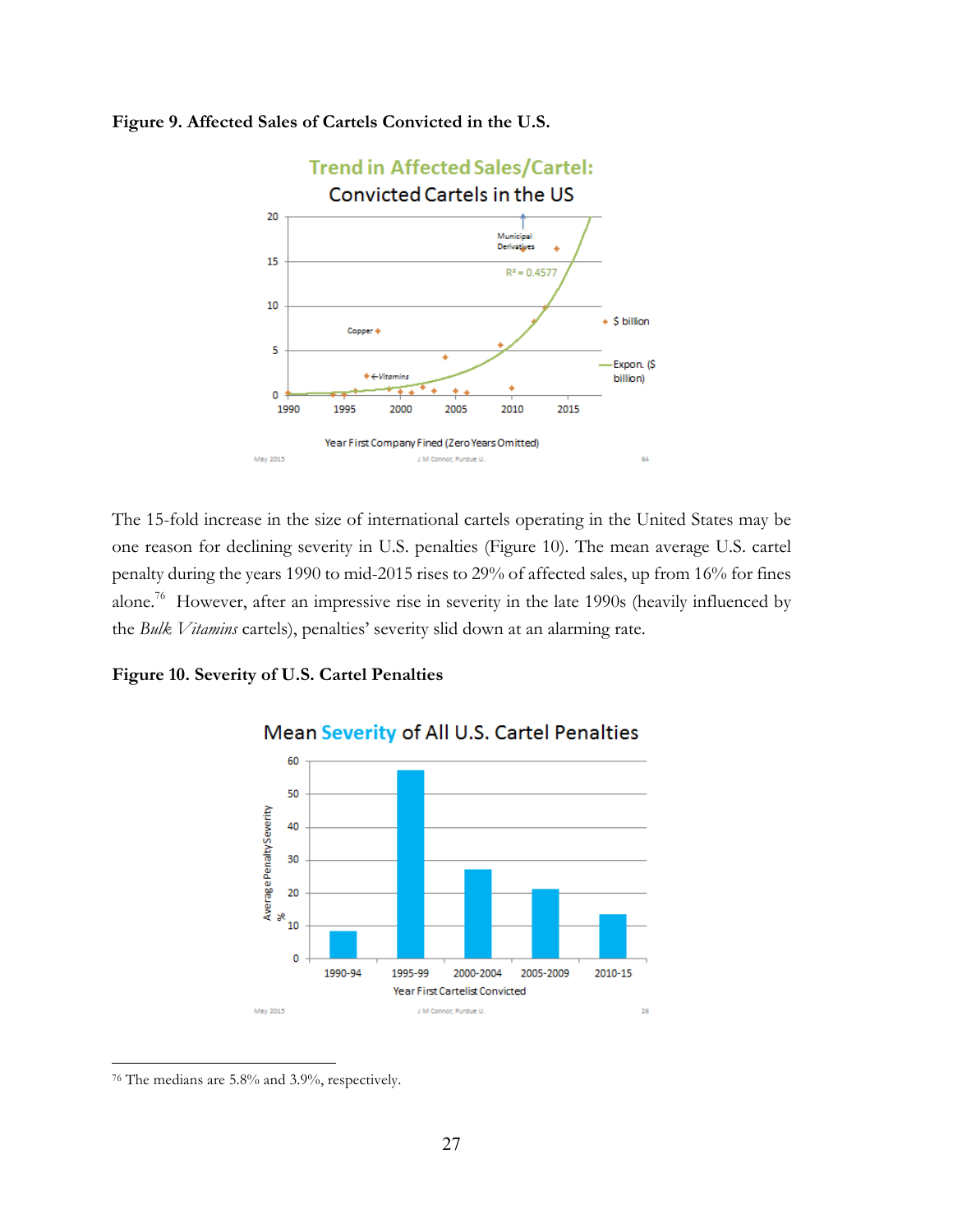

#### **Figure 9. Affected Sales of Cartels Convicted in the U.S.**

The 15-fold increase in the size of international cartels operating in the United States may be one reason for declining severity in U.S. penalties (Figure 10). The mean average U.S. cartel penalty during the years 1990 to mid-2015 rises to 29% of affected sales, up from 16% for fines alone.76 However, after an impressive rise in severity in the late 1990s (heavily influenced by the *Bulk Vitamins* cartels), penalties' severity slid down at an alarming rate.

#### **Figure 10. Severity of U.S. Cartel Penalties**



# Mean Severity of All U.S. Cartel Penalties

<sup>76</sup> The medians are 5.8% and 3.9%, respectively.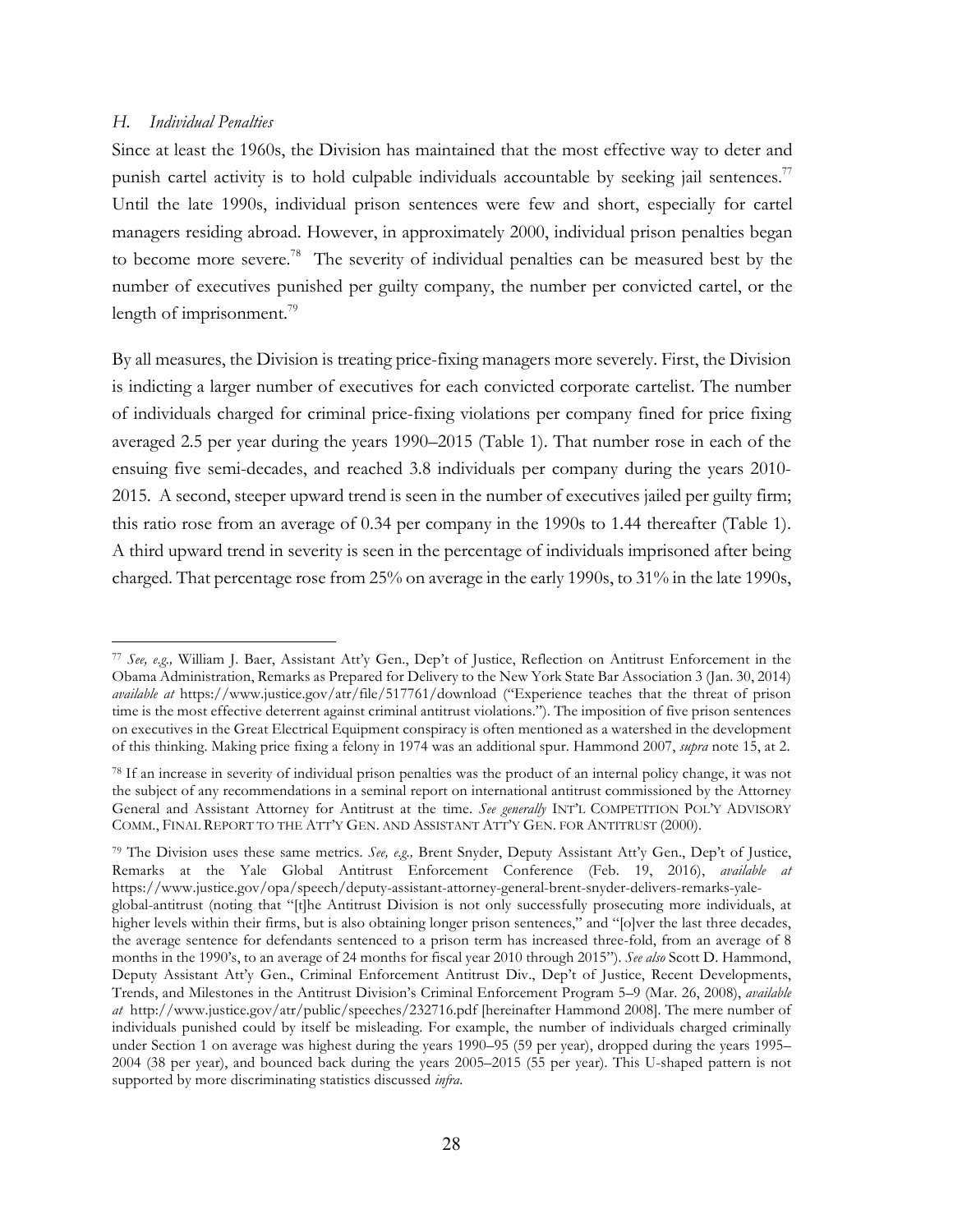#### *H. Individual Penalties*

 $\overline{a}$ 

Since at least the 1960s, the Division has maintained that the most effective way to deter and punish cartel activity is to hold culpable individuals accountable by seeking jail sentences.<sup>77</sup> Until the late 1990s, individual prison sentences were few and short, especially for cartel managers residing abroad. However, in approximately 2000, individual prison penalties began to become more severe.<sup>78</sup> The severity of individual penalties can be measured best by the number of executives punished per guilty company, the number per convicted cartel, or the length of imprisonment.<sup>79</sup>

By all measures, the Division is treating price-fixing managers more severely. First, the Division is indicting a larger number of executives for each convicted corporate cartelist. The number of individuals charged for criminal price-fixing violations per company fined for price fixing averaged 2.5 per year during the years 1990–2015 (Table 1). That number rose in each of the ensuing five semi-decades, and reached 3.8 individuals per company during the years 2010- 2015. A second, steeper upward trend is seen in the number of executives jailed per guilty firm; this ratio rose from an average of 0.34 per company in the 1990s to 1.44 thereafter (Table 1). A third upward trend in severity is seen in the percentage of individuals imprisoned after being charged. That percentage rose from 25% on average in the early 1990s, to 31% in the late 1990s,

<sup>77</sup> *See, e.g.,* William J. Baer, Assistant Att'y Gen., Dep't of Justice, Reflection on Antitrust Enforcement in the Obama Administration, Remarks as Prepared for Delivery to the New York State Bar Association 3 (Jan. 30, 2014) *available at* https://www.justice.gov/atr/file/517761/download ("Experience teaches that the threat of prison time is the most effective deterrent against criminal antitrust violations."). The imposition of five prison sentences on executives in the Great Electrical Equipment conspiracy is often mentioned as a watershed in the development of this thinking. Making price fixing a felony in 1974 was an additional spur. Hammond 2007, *supra* note 15, at 2.

<sup>78</sup> If an increase in severity of individual prison penalties was the product of an internal policy change, it was not the subject of any recommendations in a seminal report on international antitrust commissioned by the Attorney General and Assistant Attorney for Antitrust at the time. *See generally* INT'L COMPETITION POL'Y ADVISORY COMM., FINAL REPORT TO THE ATT'Y GEN. AND ASSISTANT ATT'Y GEN. FOR ANTITRUST (2000).

<sup>79</sup> The Division uses these same metrics. *See, e.g.,* Brent Snyder, Deputy Assistant Att'y Gen., Dep't of Justice, Remarks at the Yale Global Antitrust Enforcement Conference (Feb. 19, 2016), *available at* https://www.justice.gov/opa/speech/deputy-assistant-attorney-general-brent-snyder-delivers-remarks-yaleglobal-antitrust (noting that "[t]he Antitrust Division is not only successfully prosecuting more individuals, at higher levels within their firms, but is also obtaining longer prison sentences," and "[o]ver the last three decades, the average sentence for defendants sentenced to a prison term has increased three-fold, from an average of 8 months in the 1990's, to an average of 24 months for fiscal year 2010 through 2015"). *See also* Scott D. Hammond, Deputy Assistant Att'y Gen., Criminal Enforcement Antitrust Div., Dep't of Justice, Recent Developments, Trends, and Milestones in the Antitrust Division's Criminal Enforcement Program 5–9 (Mar. 26, 2008), *available at* http://www.justice.gov/atr/public/speeches/232716.pdf [hereinafter Hammond 2008]. The mere number of individuals punished could by itself be misleading. For example, the number of individuals charged criminally under Section 1 on average was highest during the years 1990–95 (59 per year), dropped during the years 1995– 2004 (38 per year), and bounced back during the years 2005–2015 (55 per year). This U-shaped pattern is not supported by more discriminating statistics discussed *infra*.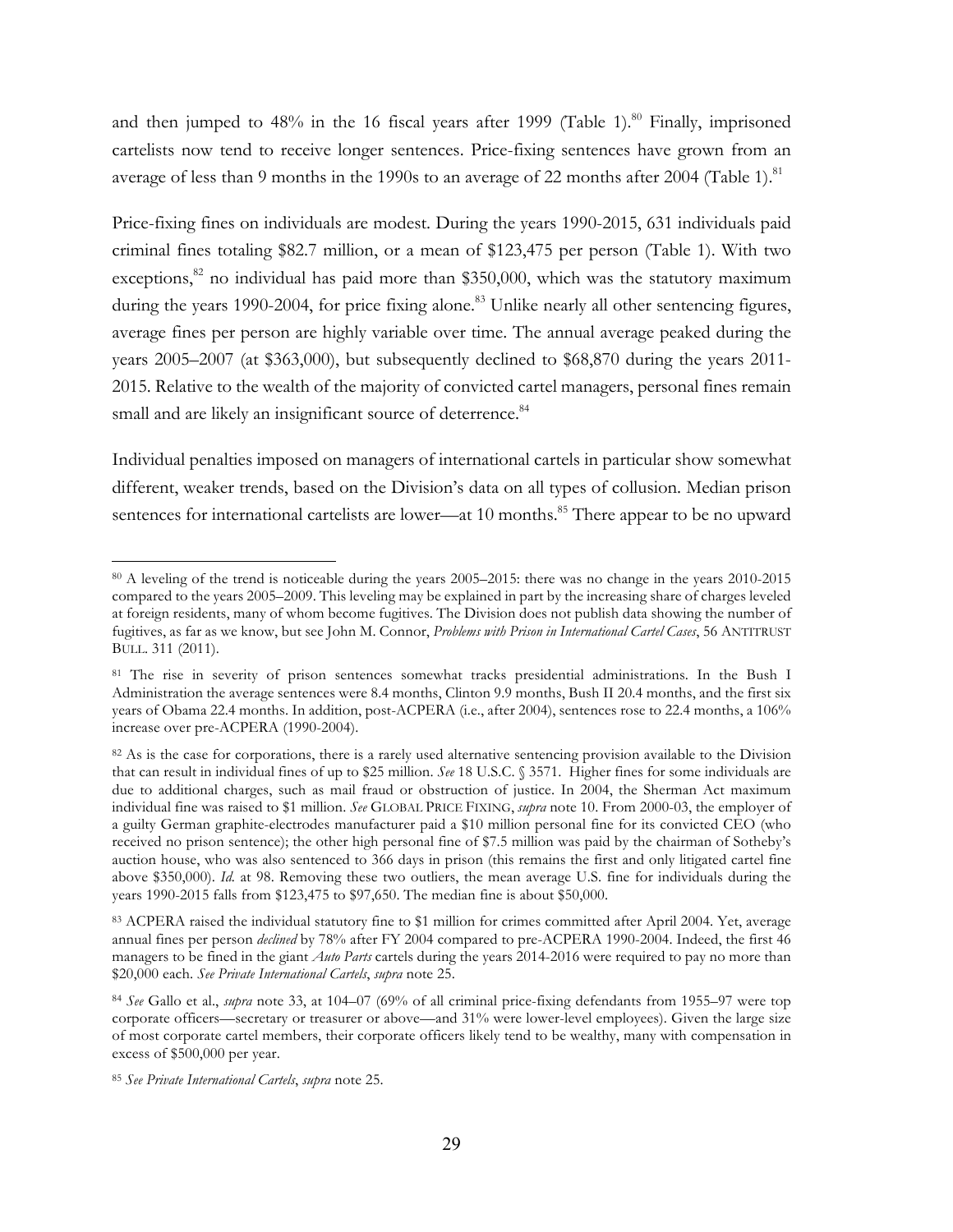and then jumped to  $48\%$  in the 16 fiscal years after 1999 (Table 1).<sup>80</sup> Finally, imprisoned cartelists now tend to receive longer sentences. Price-fixing sentences have grown from an average of less than 9 months in the 1990s to an average of 22 months after 2004 (Table 1).<sup>81</sup>

Price-fixing fines on individuals are modest. During the years 1990-2015, 631 individuals paid criminal fines totaling \$82.7 million, or a mean of \$123,475 per person (Table 1). With two exceptions, $82$  no individual has paid more than \$350,000, which was the statutory maximum during the years 1990-2004, for price fixing alone.<sup>83</sup> Unlike nearly all other sentencing figures, average fines per person are highly variable over time. The annual average peaked during the years 2005–2007 (at \$363,000), but subsequently declined to \$68,870 during the years 2011- 2015. Relative to the wealth of the majority of convicted cartel managers, personal fines remain small and are likely an insignificant source of deterrence.<sup>84</sup>

Individual penalties imposed on managers of international cartels in particular show somewhat different, weaker trends, based on the Division's data on all types of collusion. Median prison sentences for international cartelists are lower—at 10 months.<sup>85</sup> There appear to be no upward

<sup>80</sup> A leveling of the trend is noticeable during the years 2005–2015: there was no change in the years 2010-2015 compared to the years 2005–2009. This leveling may be explained in part by the increasing share of charges leveled at foreign residents, many of whom become fugitives. The Division does not publish data showing the number of fugitives, as far as we know, but see John M. Connor, *Problems with Prison in International Cartel Cases*, 56 ANTITRUST BULL. 311 (2011).

<sup>81</sup> The rise in severity of prison sentences somewhat tracks presidential administrations. In the Bush I Administration the average sentences were 8.4 months, Clinton 9.9 months, Bush II 20.4 months, and the first six years of Obama 22.4 months. In addition, post-ACPERA (i.e., after 2004), sentences rose to 22.4 months, a 106% increase over pre-ACPERA (1990-2004).

<sup>&</sup>lt;sup>82</sup> As is the case for corporations, there is a rarely used alternative sentencing provision available to the Division that can result in individual fines of up to \$25 million. *See* 18 U.S.C. § 3571. Higher fines for some individuals are due to additional charges, such as mail fraud or obstruction of justice. In 2004, the Sherman Act maximum individual fine was raised to \$1 million. *See* GLOBAL PRICE FIXING, *supra* note 10. From 2000-03, the employer of a guilty German graphite-electrodes manufacturer paid a \$10 million personal fine for its convicted CEO (who received no prison sentence); the other high personal fine of \$7.5 million was paid by the chairman of Sotheby's auction house, who was also sentenced to 366 days in prison (this remains the first and only litigated cartel fine above \$350,000). *Id.* at 98. Removing these two outliers, the mean average U.S. fine for individuals during the years 1990-2015 falls from \$123,475 to \$97,650. The median fine is about \$50,000.

<sup>83</sup> ACPERA raised the individual statutory fine to \$1 million for crimes committed after April 2004. Yet, average annual fines per person *declined* by 78% after FY 2004 compared to pre-ACPERA 1990-2004. Indeed, the first 46 managers to be fined in the giant *Auto Parts* cartels during the years 2014-2016 were required to pay no more than \$20,000 each. *See Private International Cartels*, *supra* note 25.

<sup>84</sup> *See* Gallo et al., *supra* note 33, at 104–07 (69% of all criminal price-fixing defendants from 1955–97 were top corporate officers—secretary or treasurer or above—and 31% were lower-level employees). Given the large size of most corporate cartel members, their corporate officers likely tend to be wealthy, many with compensation in excess of \$500,000 per year.

<sup>85</sup> *See Private International Cartels*, *supra* note 25.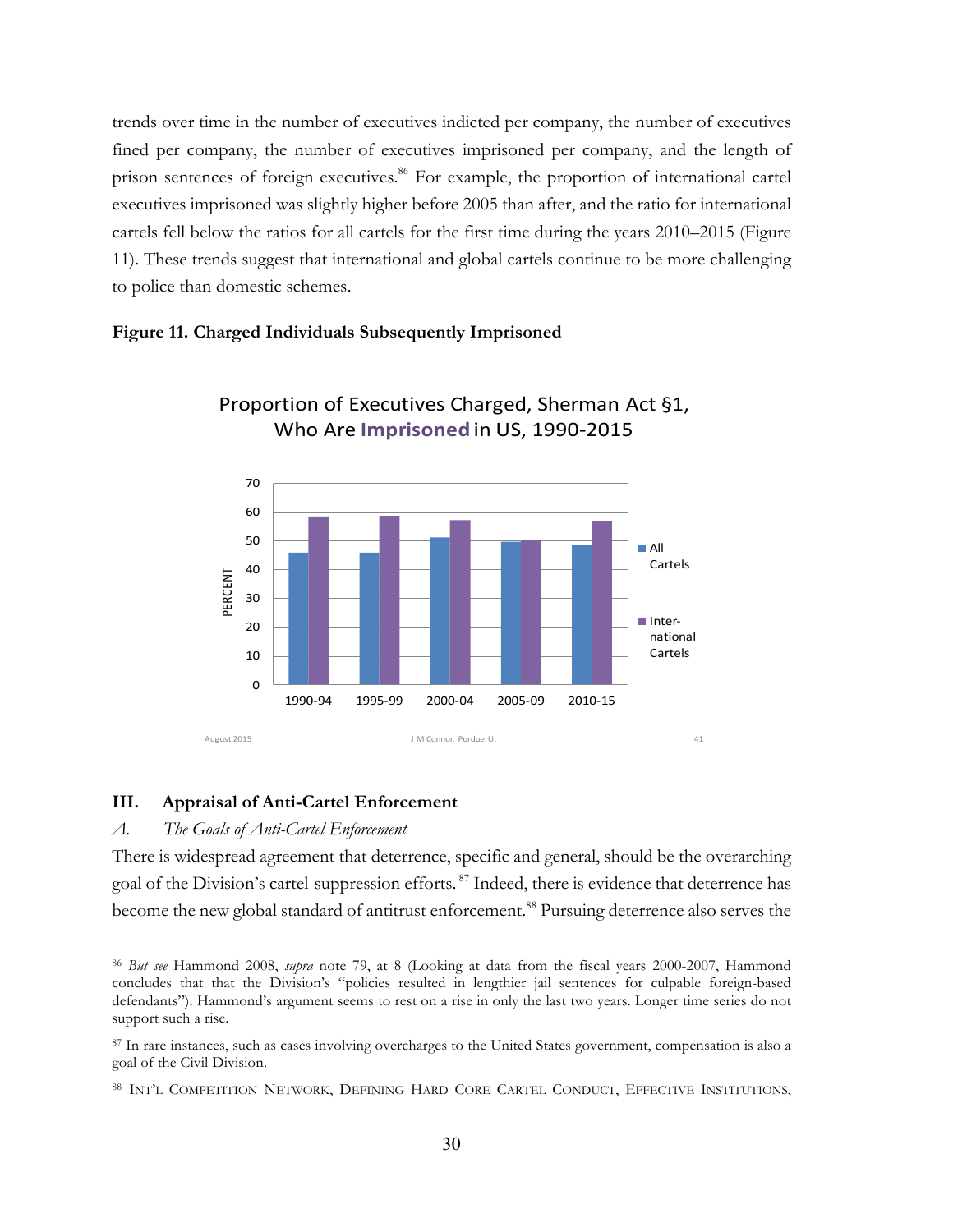trends over time in the number of executives indicted per company, the number of executives fined per company, the number of executives imprisoned per company, and the length of prison sentences of foreign executives.<sup>86</sup> For example, the proportion of international cartel executives imprisoned was slightly higher before 2005 than after, and the ratio for international cartels fell below the ratios for all cartels for the first time during the years 2010–2015 (Figure 11). These trends suggest that international and global cartels continue to be more challenging to police than domestic schemes.

#### **Figure 11. Charged Individuals Subsequently Imprisoned**



Proportion of Executives Charged, Sherman Act §1, Who Are **Imprisoned** in US, 1990-2015

#### **III. Appraisal of Anti-Cartel Enforcement**

#### *A. The Goals of Anti-Cartel Enforcement*

 $\overline{a}$ 

There is widespread agreement that deterrence, specific and general, should be the overarching goal of the Division's cartel-suppression efforts.<sup>87</sup> Indeed, there is evidence that deterrence has become the new global standard of antitrust enforcement.<sup>88</sup> Pursuing deterrence also serves the

<sup>86</sup> *But see* Hammond 2008, *supra* note 79, at 8 (Looking at data from the fiscal years 2000-2007, Hammond concludes that that the Division's "policies resulted in lengthier jail sentences for culpable foreign-based defendants"). Hammond's argument seems to rest on a rise in only the last two years. Longer time series do not support such a rise.

<sup>87</sup> In rare instances, such as cases involving overcharges to the United States government, compensation is also a goal of the Civil Division.

<sup>88</sup> INT'L COMPETITION NETWORK, DEFINING HARD CORE CARTEL CONDUCT, EFFECTIVE INSTITUTIONS,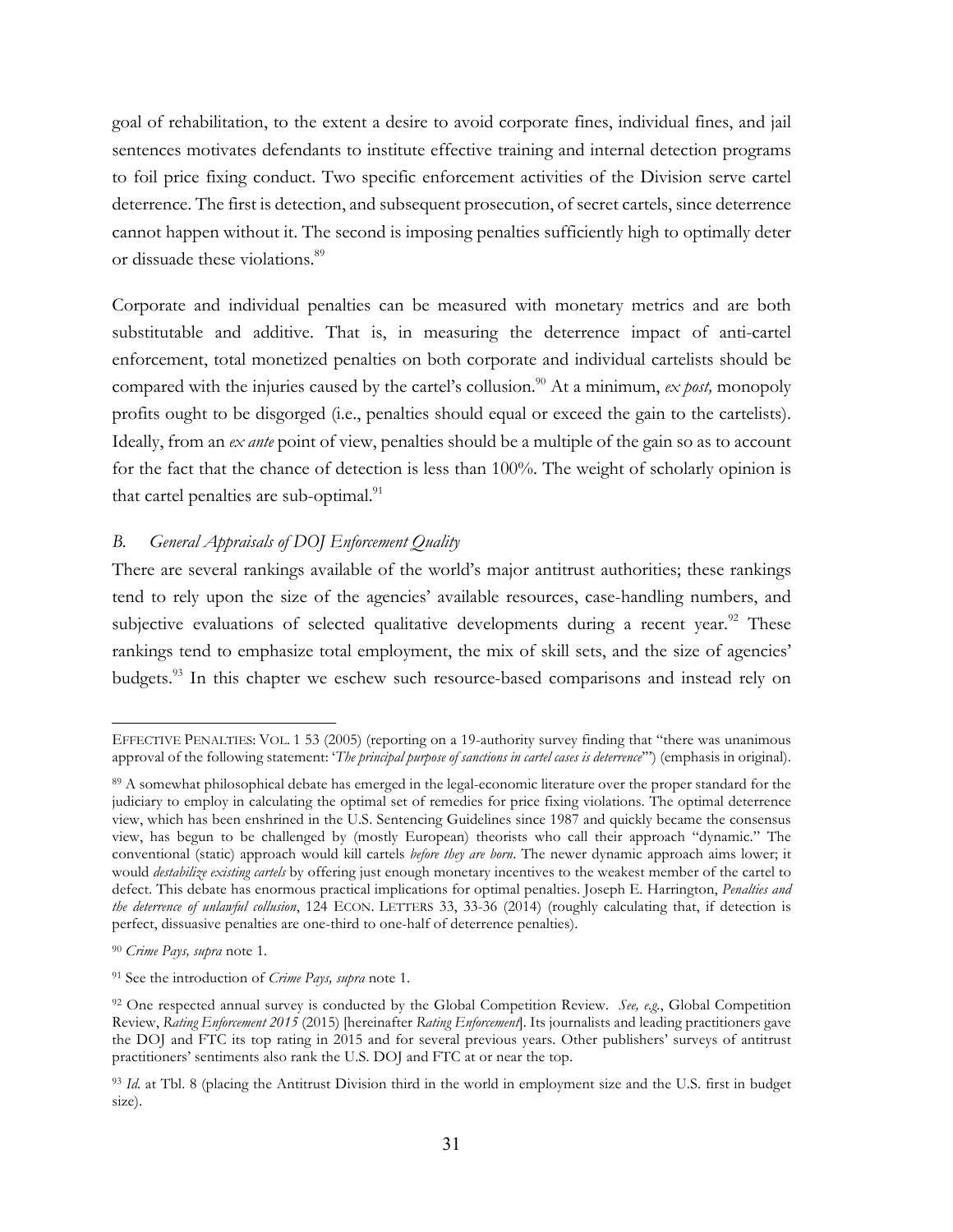goal of rehabilitation, to the extent a desire to avoid corporate fines, individual fines, and jail sentences motivates defendants to institute effective training and internal detection programs to foil price fixing conduct. Two specific enforcement activities of the Division serve cartel deterrence. The first is detection, and subsequent prosecution, of secret cartels, since deterrence cannot happen without it. The second is imposing penalties sufficiently high to optimally deter or dissuade these violations.<sup>89</sup>

Corporate and individual penalties can be measured with monetary metrics and are both substitutable and additive. That is, in measuring the deterrence impact of anti-cartel enforcement, total monetized penalties on both corporate and individual cartelists should be compared with the injuries caused by the cartel's collusion.<sup>90</sup> At a minimum, *ex post*, monopoly profits ought to be disgorged (i.e., penalties should equal or exceed the gain to the cartelists). Ideally, from an *ex ante* point of view, penalties should be a multiple of the gain so as to account for the fact that the chance of detection is less than 100%. The weight of scholarly opinion is that cartel penalties are sub-optimal.<sup>91</sup>

# *B. General Appraisals of DOJ Enforcement Quality*

There are several rankings available of the world's major antitrust authorities; these rankings tend to rely upon the size of the agencies' available resources, case-handling numbers, and subjective evaluations of selected qualitative developments during a recent year.<sup>92</sup> These rankings tend to emphasize total employment, the mix of skill sets, and the size of agencies' budgets.93 In this chapter we eschew such resource-based comparisons and instead rely on

EFFECTIVE PENALTIES: VOL. 1 53 (2005) (reporting on a 19-authority survey finding that "there was unanimous approval of the following statement: '*The principal purpose of sanctions in cartel cases is deterrence*'") (emphasis in original).

<sup>89</sup> A somewhat philosophical debate has emerged in the legal-economic literature over the proper standard for the judiciary to employ in calculating the optimal set of remedies for price fixing violations. The optimal deterrence view, which has been enshrined in the U.S. Sentencing Guidelines since 1987 and quickly became the consensus view, has begun to be challenged by (mostly European) theorists who call their approach "dynamic." The conventional (static) approach would kill cartels *before they are born*. The newer dynamic approach aims lower; it would *destabilize existing cartels* by offering just enough monetary incentives to the weakest member of the cartel to defect. This debate has enormous practical implications for optimal penalties. Joseph E. Harrington, *Penalties and the deterrence of unlawful collusion*, 124 ECON. LETTERS 33, 33-36 (2014) (roughly calculating that, if detection is perfect, dissuasive penalties are one-third to one-half of deterrence penalties).

<sup>90</sup> *Crime Pays, supra* note 1.

<sup>91</sup> See the introduction of *Crime Pays, supra* note 1.

<sup>92</sup> One respected annual survey is conducted by the Global Competition Review. *See, e.g.*, Global Competition Review, *Rating Enforcement 2015* (2015) [hereinafter *Rating Enforcement*]. Its journalists and leading practitioners gave the DOJ and FTC its top rating in 2015 and for several previous years. Other publishers' surveys of antitrust practitioners' sentiments also rank the U.S. DOJ and FTC at or near the top.

<sup>93</sup> *Id.* at Tbl. 8 (placing the Antitrust Division third in the world in employment size and the U.S. first in budget size).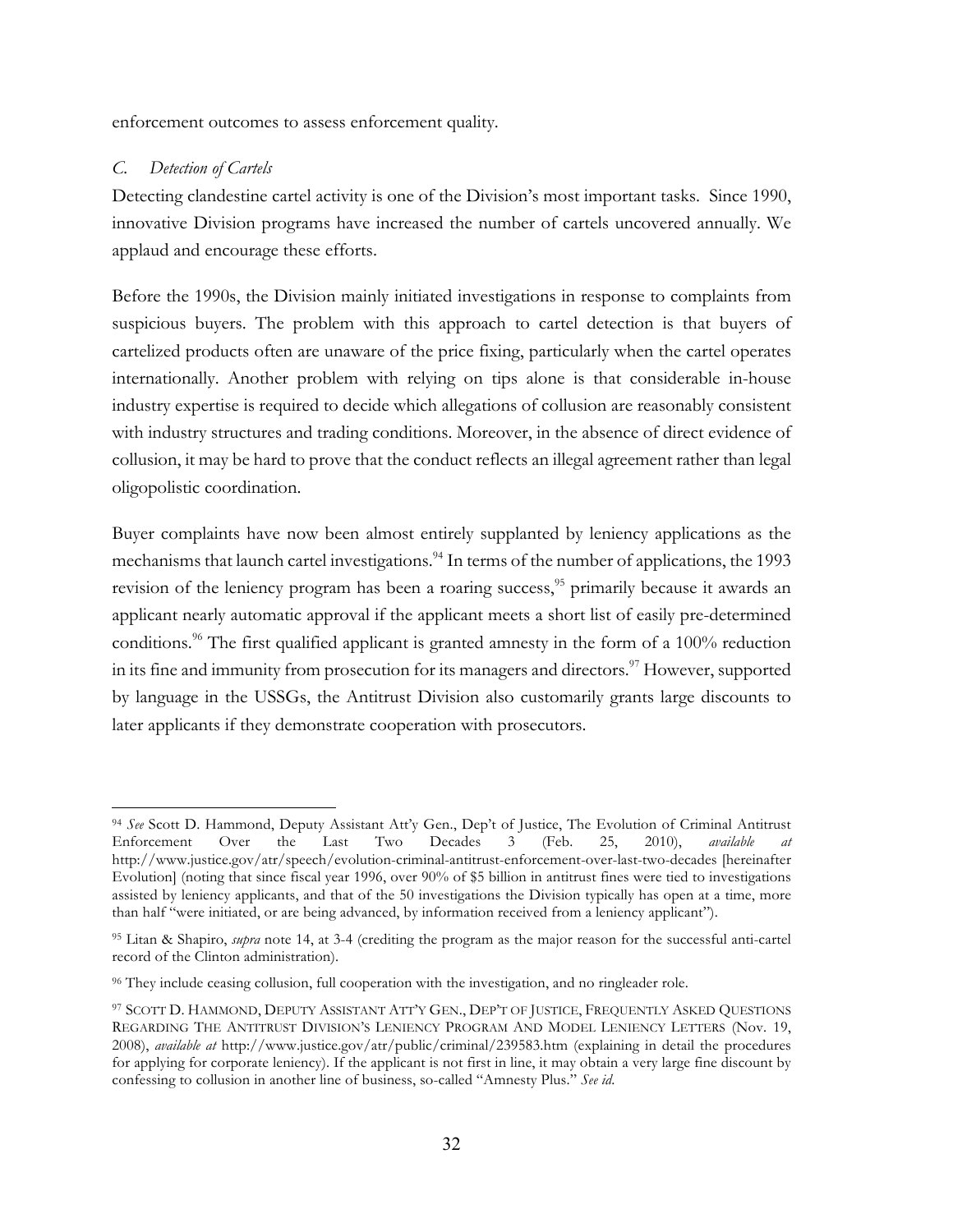enforcement outcomes to assess enforcement quality.

#### *C. Detection of Cartels*

 $\overline{a}$ 

Detecting clandestine cartel activity is one of the Division's most important tasks. Since 1990, innovative Division programs have increased the number of cartels uncovered annually. We applaud and encourage these efforts.

Before the 1990s, the Division mainly initiated investigations in response to complaints from suspicious buyers. The problem with this approach to cartel detection is that buyers of cartelized products often are unaware of the price fixing, particularly when the cartel operates internationally. Another problem with relying on tips alone is that considerable in-house industry expertise is required to decide which allegations of collusion are reasonably consistent with industry structures and trading conditions. Moreover, in the absence of direct evidence of collusion, it may be hard to prove that the conduct reflects an illegal agreement rather than legal oligopolistic coordination.

Buyer complaints have now been almost entirely supplanted by leniency applications as the mechanisms that launch cartel investigations.<sup>94</sup> In terms of the number of applications, the 1993 revision of the leniency program has been a roaring success,<sup>95</sup> primarily because it awards an applicant nearly automatic approval if the applicant meets a short list of easily pre-determined conditions.<sup>96</sup> The first qualified applicant is granted amnesty in the form of a  $100\%$  reduction in its fine and immunity from prosecution for its managers and directors.<sup>97</sup> However, supported by language in the USSGs, the Antitrust Division also customarily grants large discounts to later applicants if they demonstrate cooperation with prosecutors.

<sup>94</sup> *See* Scott D. Hammond, Deputy Assistant Att'y Gen., Dep't of Justice, The Evolution of Criminal Antitrust Enforcement Over the Last Two Decades 3 (Feb. 25, 2010), *available at* http://www.justice.gov/atr/speech/evolution-criminal-antitrust-enforcement-over-last-two-decades [hereinafter Evolution] (noting that since fiscal year 1996, over 90% of \$5 billion in antitrust fines were tied to investigations assisted by leniency applicants, and that of the 50 investigations the Division typically has open at a time, more than half "were initiated, or are being advanced, by information received from a leniency applicant").

<sup>95</sup> Litan & Shapiro, *supra* note 14, at 3-4 (crediting the program as the major reason for the successful anti-cartel record of the Clinton administration).

<sup>96</sup> They include ceasing collusion, full cooperation with the investigation, and no ringleader role.

<sup>97</sup> SCOTT D. HAMMOND, DEPUTY ASSISTANT ATT'Y GEN., DEP'T OF JUSTICE, FREQUENTLY ASKED QUESTIONS REGARDING THE ANTITRUST DIVISION'S LENIENCY PROGRAM AND MODEL LENIENCY LETTERS (Nov. 19, 2008), *available at* http://www.justice.gov/atr/public/criminal/239583.htm (explaining in detail the procedures for applying for corporate leniency). If the applicant is not first in line, it may obtain a very large fine discount by confessing to collusion in another line of business, so-called "Amnesty Plus." *See id*.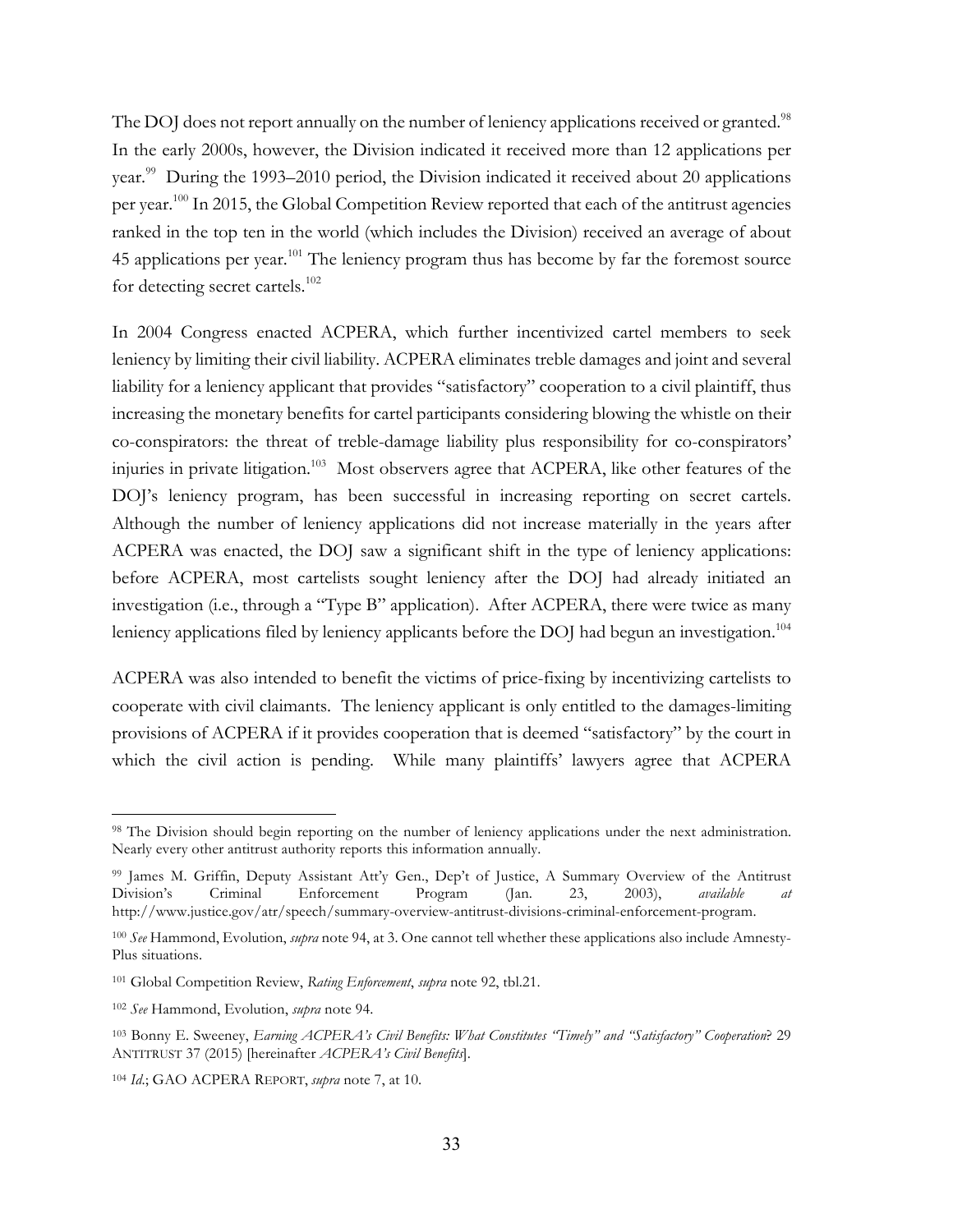The DOJ does not report annually on the number of leniency applications received or granted.<sup>98</sup> In the early 2000s, however, the Division indicated it received more than 12 applications per year.<sup>99</sup> During the 1993–2010 period, the Division indicated it received about 20 applications per year.<sup>100</sup> In 2015, the Global Competition Review reported that each of the antitrust agencies ranked in the top ten in the world (which includes the Division) received an average of about 45 applications per year.<sup>101</sup> The leniency program thus has become by far the foremost source for detecting secret cartels.<sup>102</sup>

In 2004 Congress enacted ACPERA, which further incentivized cartel members to seek leniency by limiting their civil liability. ACPERA eliminates treble damages and joint and several liability for a leniency applicant that provides "satisfactory" cooperation to a civil plaintiff, thus increasing the monetary benefits for cartel participants considering blowing the whistle on their co-conspirators: the threat of treble-damage liability plus responsibility for co-conspirators' injuries in private litigation.<sup>103</sup> Most observers agree that ACPERA, like other features of the DOJ's leniency program, has been successful in increasing reporting on secret cartels. Although the number of leniency applications did not increase materially in the years after ACPERA was enacted, the DOJ saw a significant shift in the type of leniency applications: before ACPERA, most cartelists sought leniency after the DOJ had already initiated an investigation (i.e., through a "Type B" application). After ACPERA, there were twice as many leniency applications filed by leniency applicants before the DOJ had begun an investigation.<sup>104</sup>

ACPERA was also intended to benefit the victims of price-fixing by incentivizing cartelists to cooperate with civil claimants. The leniency applicant is only entitled to the damages-limiting provisions of ACPERA if it provides cooperation that is deemed "satisfactory" by the court in which the civil action is pending. While many plaintiffs' lawyers agree that ACPERA

<sup>98</sup> The Division should begin reporting on the number of leniency applications under the next administration. Nearly every other antitrust authority reports this information annually.

<sup>99</sup> James M. Griffin, Deputy Assistant Att'y Gen., Dep't of Justice, A Summary Overview of the Antitrust Division's Criminal Enforcement Program (Jan. 23, 2003), *available at* http://www.justice.gov/atr/speech/summary-overview-antitrust-divisions-criminal-enforcement-program.

<sup>100</sup> *See* Hammond, Evolution, *supra* note 94, at 3. One cannot tell whether these applications also include Amnesty-Plus situations.

<sup>101</sup> Global Competition Review, *Rating Enforcement*, *supra* note 92, tbl.21.

<sup>102</sup> *See* Hammond, Evolution, *supra* note 94.

<sup>103</sup> Bonny E. Sweeney, *Earning ACPERA's Civil Benefits: What Constitutes "Timely" and "Satisfactory" Cooperation*? 29 ANTITRUST 37 (2015) [hereinafter *ACPERA's Civil Benefits*].

<sup>104</sup> *Id*.; GAO ACPERA REPORT, *supra* note 7, at 10.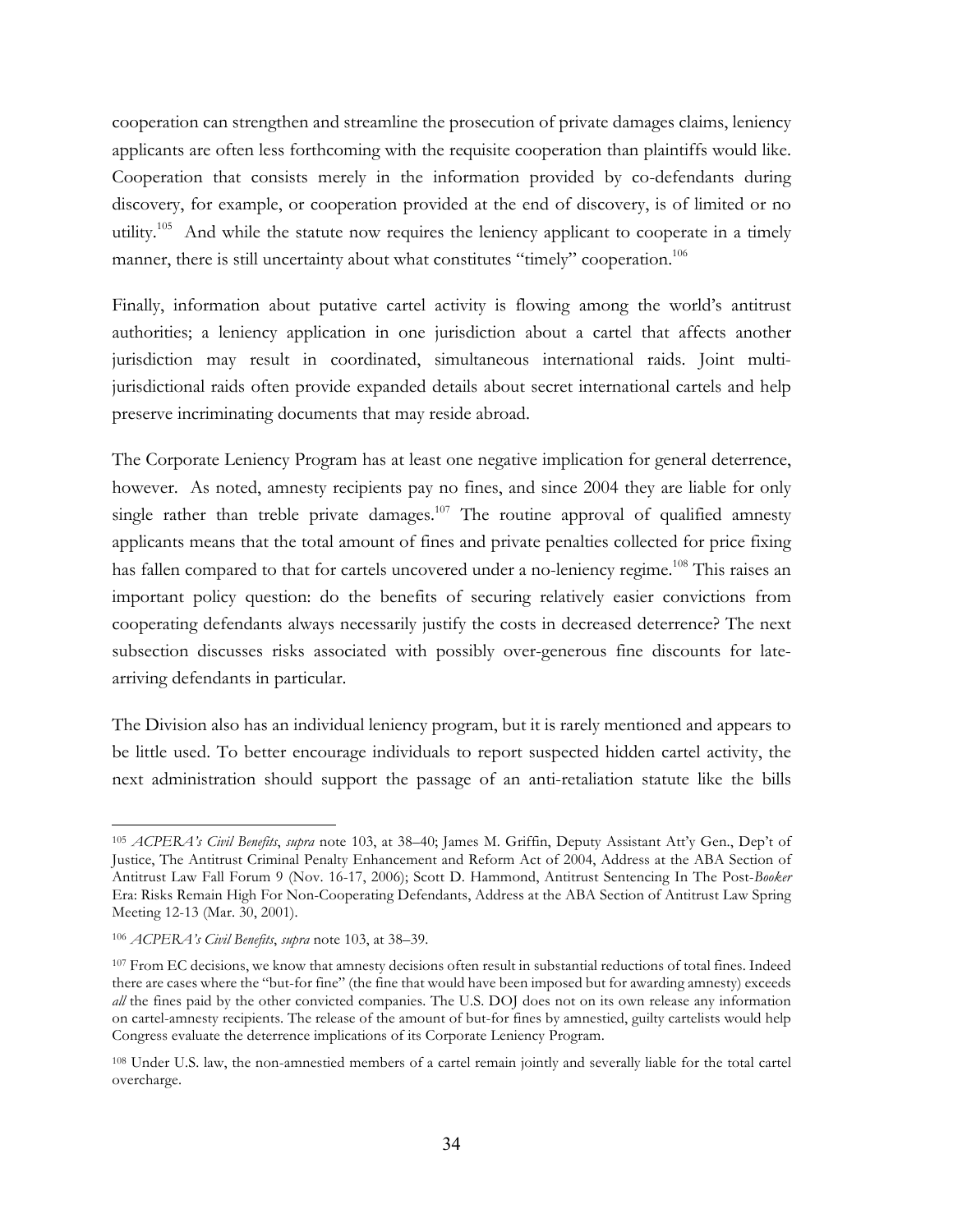cooperation can strengthen and streamline the prosecution of private damages claims, leniency applicants are often less forthcoming with the requisite cooperation than plaintiffs would like. Cooperation that consists merely in the information provided by co-defendants during discovery, for example, or cooperation provided at the end of discovery, is of limited or no utility.<sup>105</sup> And while the statute now requires the leniency applicant to cooperate in a timely manner, there is still uncertainty about what constitutes "timely" cooperation.<sup>106</sup>

Finally, information about putative cartel activity is flowing among the world's antitrust authorities; a leniency application in one jurisdiction about a cartel that affects another jurisdiction may result in coordinated, simultaneous international raids. Joint multijurisdictional raids often provide expanded details about secret international cartels and help preserve incriminating documents that may reside abroad.

The Corporate Leniency Program has at least one negative implication for general deterrence, however. As noted, amnesty recipients pay no fines, and since 2004 they are liable for only single rather than treble private damages.<sup>107</sup> The routine approval of qualified amnesty applicants means that the total amount of fines and private penalties collected for price fixing has fallen compared to that for cartels uncovered under a no-leniency regime.<sup>108</sup> This raises an important policy question: do the benefits of securing relatively easier convictions from cooperating defendants always necessarily justify the costs in decreased deterrence? The next subsection discusses risks associated with possibly over-generous fine discounts for latearriving defendants in particular.

The Division also has an individual leniency program, but it is rarely mentioned and appears to be little used. To better encourage individuals to report suspected hidden cartel activity, the next administration should support the passage of an anti-retaliation statute like the bills

<sup>105</sup> *ACPERA's Civil Benefits*, *supra* note 103, at 38–40; James M. Griffin, Deputy Assistant Att'y Gen., Dep't of Justice, The Antitrust Criminal Penalty Enhancement and Reform Act of 2004, Address at the ABA Section of Antitrust Law Fall Forum 9 (Nov. 16-17, 2006); Scott D. Hammond, Antitrust Sentencing In The Post-*Booker*  Era: Risks Remain High For Non-Cooperating Defendants, Address at the ABA Section of Antitrust Law Spring Meeting 12-13 (Mar. 30, 2001).

<sup>106</sup> *ACPERA's Civil Benefits*, *supra* note 103, at 38–39.

<sup>107</sup> From EC decisions, we know that amnesty decisions often result in substantial reductions of total fines. Indeed there are cases where the "but-for fine" (the fine that would have been imposed but for awarding amnesty) exceeds *all* the fines paid by the other convicted companies. The U.S. DOJ does not on its own release any information on cartel-amnesty recipients. The release of the amount of but-for fines by amnestied, guilty cartelists would help Congress evaluate the deterrence implications of its Corporate Leniency Program.

<sup>108</sup> Under U.S. law, the non-amnestied members of a cartel remain jointly and severally liable for the total cartel overcharge.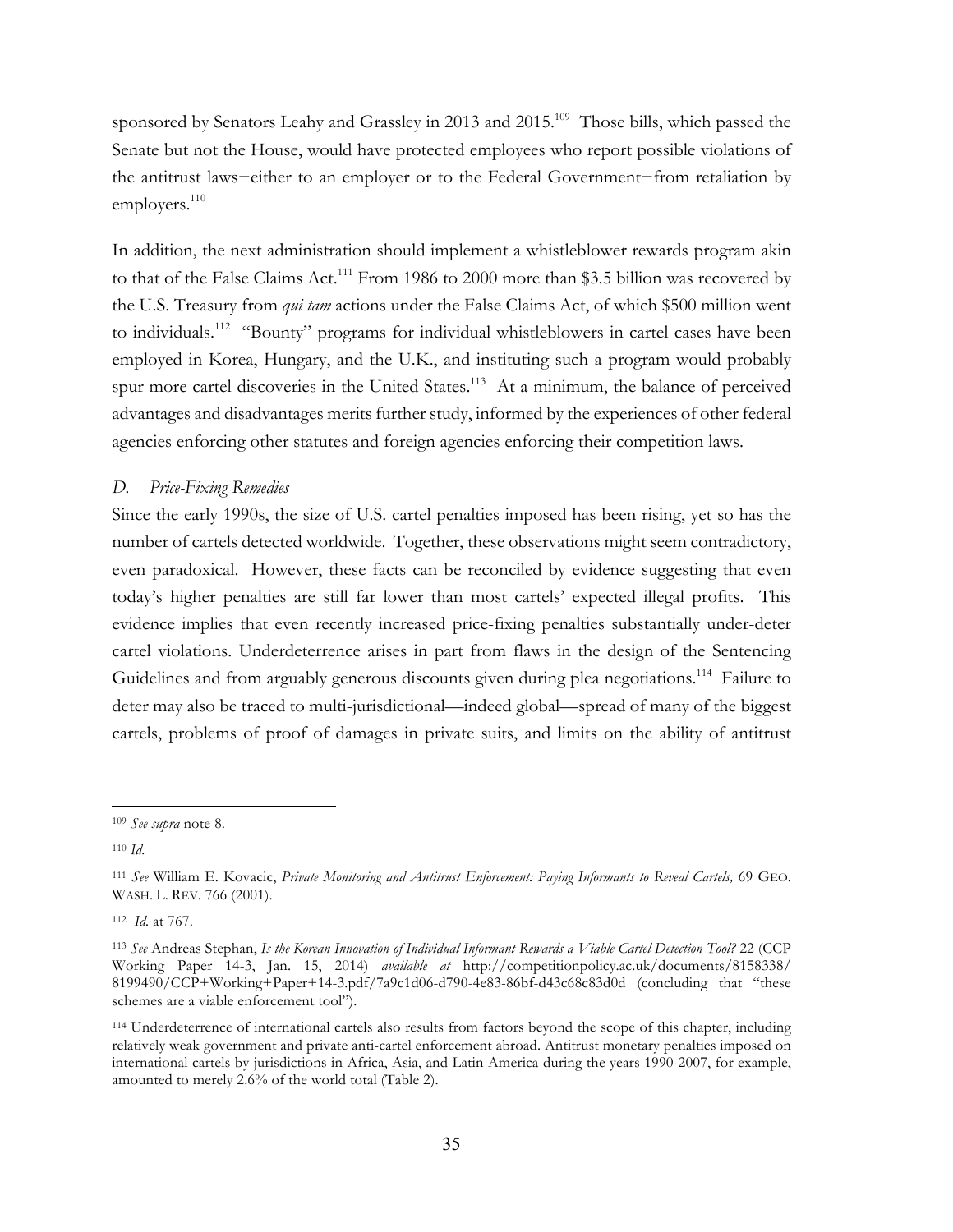sponsored by Senators Leahy and Grassley in 2013 and 2015.<sup>109</sup> Those bills, which passed the Senate but not the House, would have protected employees who report possible violations of the antitrust laws−either to an employer or to the Federal Government−from retaliation by employers. $110$ 

In addition, the next administration should implement a whistleblower rewards program akin to that of the False Claims Act.<sup>111</sup> From 1986 to 2000 more than \$3.5 billion was recovered by the U.S. Treasury from *qui tam* actions under the False Claims Act, of which \$500 million went to individuals.<sup>112</sup> "Bounty" programs for individual whistleblowers in cartel cases have been employed in Korea, Hungary, and the U.K., and instituting such a program would probably spur more cartel discoveries in the United States.<sup>113</sup> At a minimum, the balance of perceived advantages and disadvantages merits further study, informed by the experiences of other federal agencies enforcing other statutes and foreign agencies enforcing their competition laws.

# *D. Price-Fixing Remedies*

Since the early 1990s, the size of U.S. cartel penalties imposed has been rising, yet so has the number of cartels detected worldwide. Together, these observations might seem contradictory, even paradoxical. However, these facts can be reconciled by evidence suggesting that even today's higher penalties are still far lower than most cartels' expected illegal profits. This evidence implies that even recently increased price-fixing penalties substantially under-deter cartel violations. Underdeterrence arises in part from flaws in the design of the Sentencing Guidelines and from arguably generous discounts given during plea negotiations.<sup>114</sup> Failure to deter may also be traced to multi-jurisdictional—indeed global—spread of many of the biggest cartels, problems of proof of damages in private suits, and limits on the ability of antitrust

112 *Id.* at 767.

 $\overline{a}$ <sup>109</sup> *See supra* note 8.

<sup>110</sup> *Id.*

<sup>111</sup> *See* William E. Kovacic, *Private Monitoring and Antitrust Enforcement: Paying Informants to Reveal Cartels,* 69 GEO. WASH. L. REV. 766 (2001).

<sup>113</sup> *See* Andreas Stephan, *Is the Korean Innovation of Individual Informant Rewards a Viable Cartel Detection Tool?* 22 (CCP Working Paper 14-3, Jan. 15, 2014) *available at* http://competitionpolicy.ac.uk/documents/8158338/ 8199490/CCP+Working+Paper+14-3.pdf/7a9c1d06-d790-4e83-86bf-d43c68c83d0d (concluding that "these schemes are a viable enforcement tool").

<sup>114</sup> Underdeterrence of international cartels also results from factors beyond the scope of this chapter, including relatively weak government and private anti-cartel enforcement abroad. Antitrust monetary penalties imposed on international cartels by jurisdictions in Africa, Asia, and Latin America during the years 1990-2007, for example, amounted to merely 2.6% of the world total (Table 2).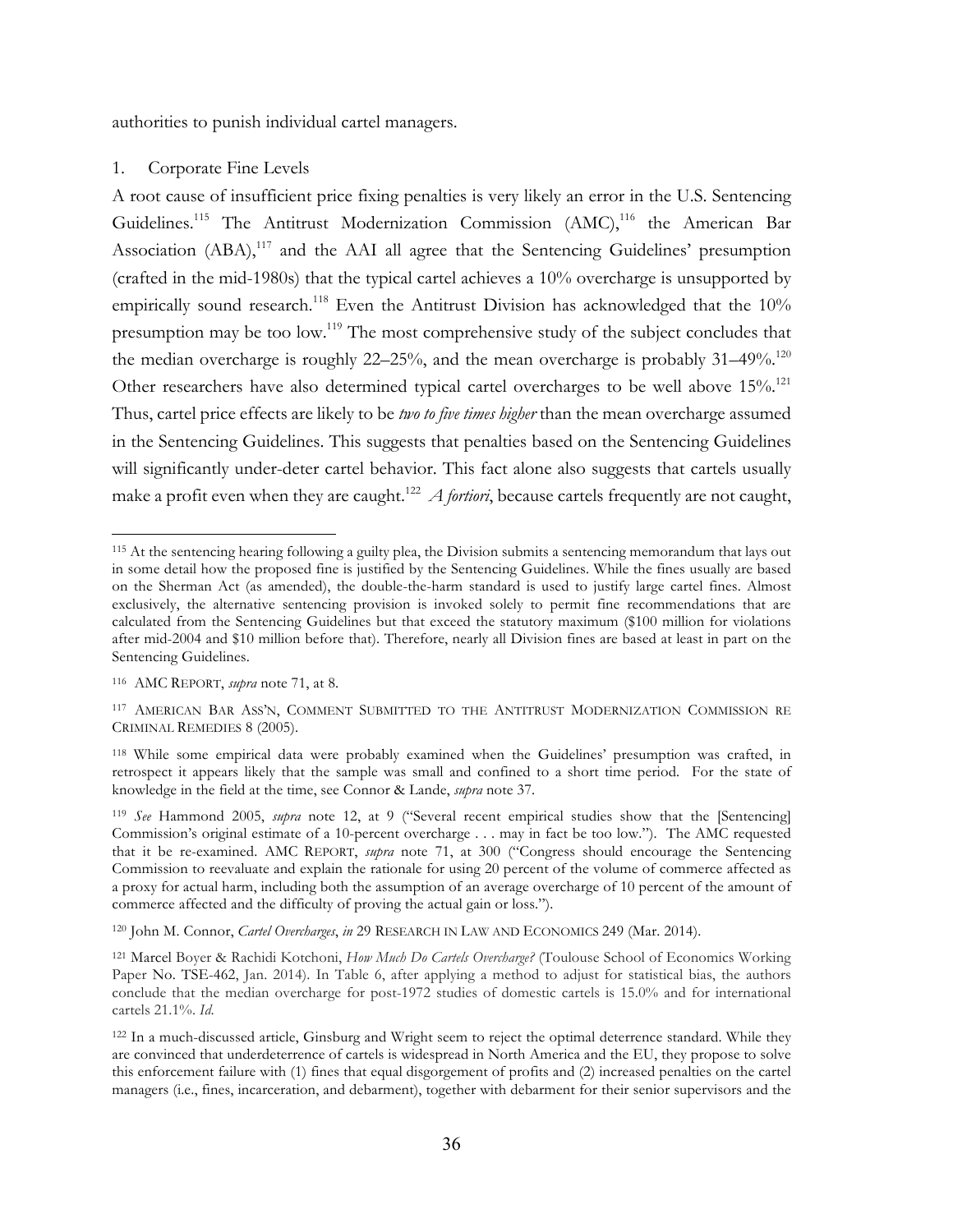authorities to punish individual cartel managers.

#### 1. Corporate Fine Levels

A root cause of insufficient price fixing penalties is very likely an error in the U.S. Sentencing Guidelines.<sup>115</sup> The Antitrust Modernization Commission (AMC),<sup>116</sup> the American Bar Association (ABA),<sup>117</sup> and the AAI all agree that the Sentencing Guidelines' presumption (crafted in the mid-1980s) that the typical cartel achieves a 10% overcharge is unsupported by empirically sound research.<sup>118</sup> Even the Antitrust Division has acknowledged that the 10% presumption may be too low.119 The most comprehensive study of the subject concludes that the median overcharge is roughly  $22-25%$ , and the mean overcharge is probably  $31-49%$ .<sup>120</sup> Other researchers have also determined typical cartel overcharges to be well above 15%.<sup>121</sup> Thus, cartel price effects are likely to be *two to five times higher* than the mean overcharge assumed in the Sentencing Guidelines. This suggests that penalties based on the Sentencing Guidelines will significantly under-deter cartel behavior. This fact alone also suggests that cartels usually make a profit even when they are caught.<sup>122</sup> *A fortiori*, because cartels frequently are not caught,

 $\overline{a}$ 

<sup>120</sup> John M. Connor, *Cartel Overcharges*, *in* 29 RESEARCH IN LAW AND ECONOMICS 249 (Mar. 2014).

<sup>&</sup>lt;sup>115</sup> At the sentencing hearing following a guilty plea, the Division submits a sentencing memorandum that lays out in some detail how the proposed fine is justified by the Sentencing Guidelines. While the fines usually are based on the Sherman Act (as amended), the double-the-harm standard is used to justify large cartel fines. Almost exclusively, the alternative sentencing provision is invoked solely to permit fine recommendations that are calculated from the Sentencing Guidelines but that exceed the statutory maximum (\$100 million for violations after mid-2004 and \$10 million before that). Therefore, nearly all Division fines are based at least in part on the Sentencing Guidelines.

<sup>116</sup> AMC REPORT, *supra* note 71, at 8.

<sup>117</sup> AMERICAN BAR ASS'N, COMMENT SUBMITTED TO THE ANTITRUST MODERNIZATION COMMISSION RE CRIMINAL REMEDIES 8 (2005).

<sup>118</sup> While some empirical data were probably examined when the Guidelines' presumption was crafted, in retrospect it appears likely that the sample was small and confined to a short time period. For the state of knowledge in the field at the time, see Connor & Lande, *supra* note 37.

<sup>119</sup> *See* Hammond 2005, *supra* note 12, at 9 ("Several recent empirical studies show that the [Sentencing] Commission's original estimate of a 10-percent overcharge . . . may in fact be too low."). The AMC requested that it be re-examined. AMC REPORT, *supra* note 71, at 300 ("Congress should encourage the Sentencing Commission to reevaluate and explain the rationale for using 20 percent of the volume of commerce affected as a proxy for actual harm, including both the assumption of an average overcharge of 10 percent of the amount of commerce affected and the difficulty of proving the actual gain or loss.").

<sup>121</sup> Marcel Boyer & Rachidi Kotchoni, *How Much Do Cartels Overcharge?* (Toulouse School of Economics Working Paper No. TSE-462, Jan. 2014). In Table 6, after applying a method to adjust for statistical bias, the authors conclude that the median overcharge for post-1972 studies of domestic cartels is 15.0% and for international cartels 21.1%. *Id*.

<sup>&</sup>lt;sup>122</sup> In a much-discussed article, Ginsburg and Wright seem to reject the optimal deterrence standard. While they are convinced that underdeterrence of cartels is widespread in North America and the EU, they propose to solve this enforcement failure with (1) fines that equal disgorgement of profits and (2) increased penalties on the cartel managers (i.e., fines, incarceration, and debarment), together with debarment for their senior supervisors and the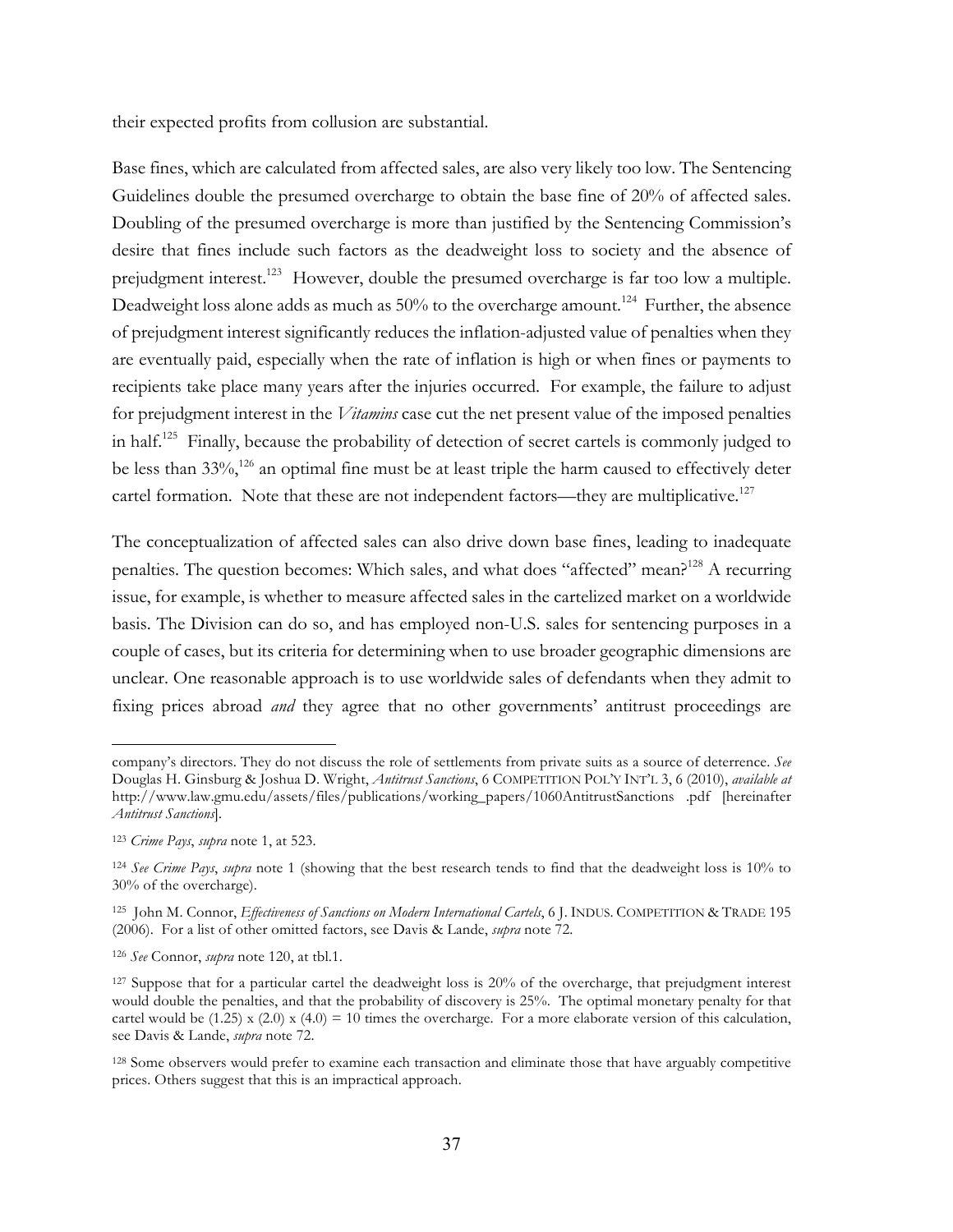their expected profits from collusion are substantial.

Base fines, which are calculated from affected sales, are also very likely too low. The Sentencing Guidelines double the presumed overcharge to obtain the base fine of 20% of affected sales. Doubling of the presumed overcharge is more than justified by the Sentencing Commission's desire that fines include such factors as the deadweight loss to society and the absence of prejudgment interest.<sup>123</sup> However, double the presumed overcharge is far too low a multiple. Deadweight loss alone adds as much as 50% to the overcharge amount.<sup>124</sup> Further, the absence of prejudgment interest significantly reduces the inflation-adjusted value of penalties when they are eventually paid, especially when the rate of inflation is high or when fines or payments to recipients take place many years after the injuries occurred. For example, the failure to adjust for prejudgment interest in the *Vitamins* case cut the net present value of the imposed penalties in half.125 Finally, because the probability of detection of secret cartels is commonly judged to be less than 33%,<sup>126</sup> an optimal fine must be at least triple the harm caused to effectively deter cartel formation. Note that these are not independent factors—they are multiplicative. $127$ 

The conceptualization of affected sales can also drive down base fines, leading to inadequate penalties. The question becomes: Which sales, and what does "affected" mean?<sup>128</sup> A recurring issue, for example, is whether to measure affected sales in the cartelized market on a worldwide basis. The Division can do so, and has employed non-U.S. sales for sentencing purposes in a couple of cases, but its criteria for determining when to use broader geographic dimensions are unclear. One reasonable approach is to use worldwide sales of defendants when they admit to fixing prices abroad *and* they agree that no other governments' antitrust proceedings are

company's directors. They do not discuss the role of settlements from private suits as a source of deterrence. *See* Douglas H. Ginsburg & Joshua D. Wright, *Antitrust Sanctions*, 6 COMPETITION POL'Y INT'L 3, 6 (2010), *available at* http://www.law.gmu.edu/assets/files/publications/working\_papers/1060AntitrustSanctions .pdf [hereinafter *Antitrust Sanctions*]*.*

<sup>123</sup> *Crime Pays*, *supra* note 1, at 523.

<sup>124</sup> *See Crime Pays*, *supra* note 1 (showing that the best research tends to find that the deadweight loss is 10% to 30% of the overcharge).

<sup>125</sup> John M. Connor, *Effectiveness of Sanctions on Modern International Cartels*, 6 J. INDUS. COMPETITION & TRADE 195 (2006). For a list of other omitted factors, see Davis & Lande, *supra* note 72.

<sup>126</sup> *See* Connor, *supra* note 120, at tbl.1.

<sup>127</sup> Suppose that for a particular cartel the deadweight loss is 20% of the overcharge, that prejudgment interest would double the penalties, and that the probability of discovery is 25%. The optimal monetary penalty for that cartel would be (1.25) x (2.0) x (4.0) = 10 times the overcharge. For a more elaborate version of this calculation, see Davis & Lande, *supra* note 72.

<sup>128</sup> Some observers would prefer to examine each transaction and eliminate those that have arguably competitive prices. Others suggest that this is an impractical approach.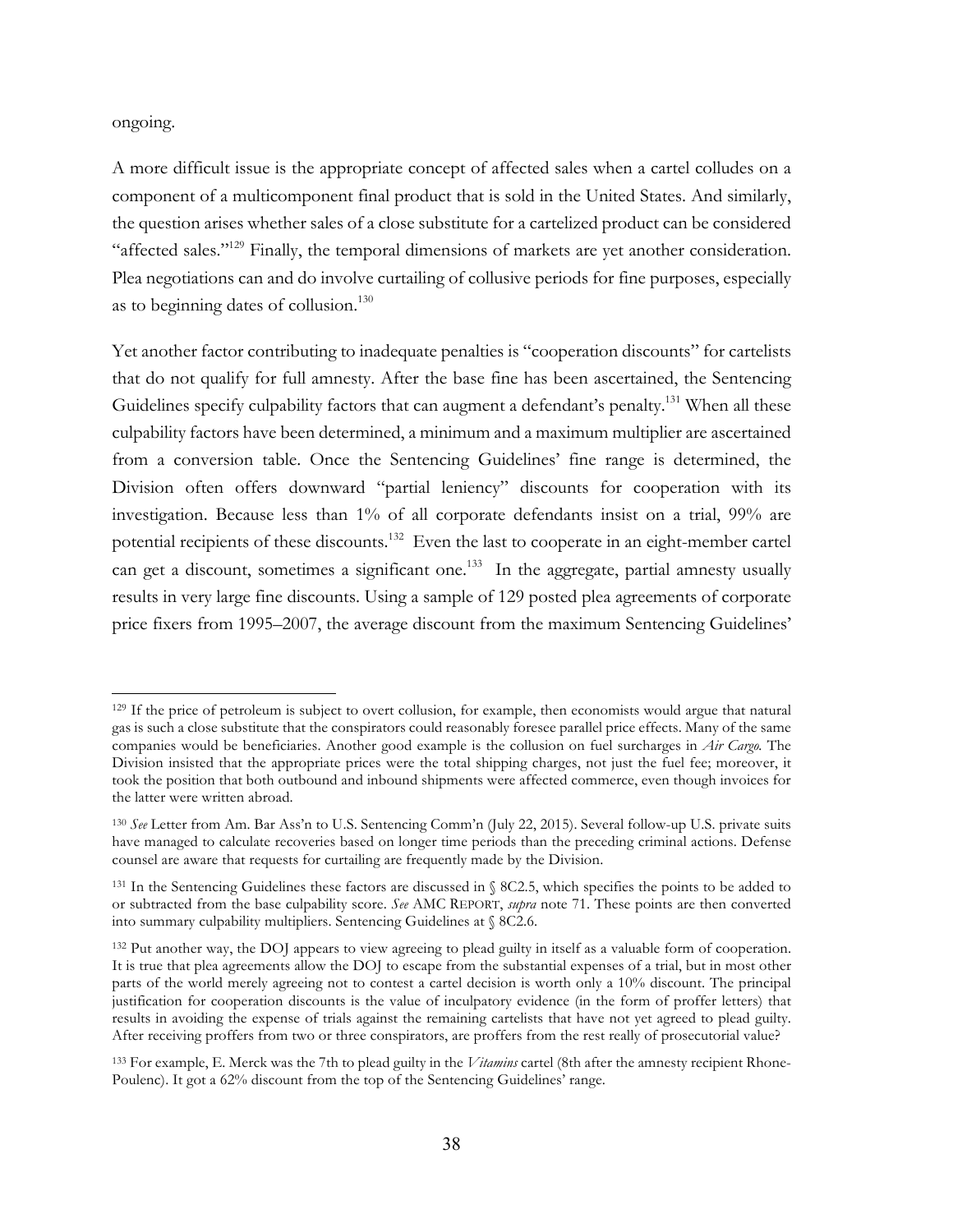ongoing.

 $\overline{a}$ 

A more difficult issue is the appropriate concept of affected sales when a cartel colludes on a component of a multicomponent final product that is sold in the United States. And similarly, the question arises whether sales of a close substitute for a cartelized product can be considered "affected sales."<sup>129</sup> Finally, the temporal dimensions of markets are yet another consideration. Plea negotiations can and do involve curtailing of collusive periods for fine purposes, especially as to beginning dates of collusion. 130

Yet another factor contributing to inadequate penalties is "cooperation discounts" for cartelists that do not qualify for full amnesty. After the base fine has been ascertained, the Sentencing Guidelines specify culpability factors that can augment a defendant's penalty.<sup>131</sup> When all these culpability factors have been determined, a minimum and a maximum multiplier are ascertained from a conversion table. Once the Sentencing Guidelines' fine range is determined, the Division often offers downward "partial leniency" discounts for cooperation with its investigation. Because less than 1% of all corporate defendants insist on a trial, 99% are potential recipients of these discounts.<sup>132</sup> Even the last to cooperate in an eight-member cartel can get a discount, sometimes a significant one.<sup>133</sup> In the aggregate, partial amnesty usually results in very large fine discounts. Using a sample of 129 posted plea agreements of corporate price fixers from 1995–2007, the average discount from the maximum Sentencing Guidelines'

<sup>&</sup>lt;sup>129</sup> If the price of petroleum is subject to overt collusion, for example, then economists would argue that natural gas is such a close substitute that the conspirators could reasonably foresee parallel price effects. Many of the same companies would be beneficiaries. Another good example is the collusion on fuel surcharges in *Air Cargo.* The Division insisted that the appropriate prices were the total shipping charges, not just the fuel fee; moreover, it took the position that both outbound and inbound shipments were affected commerce, even though invoices for the latter were written abroad.

<sup>130</sup> *See* Letter from Am. Bar Ass'n to U.S. Sentencing Comm'n (July 22, 2015). Several follow-up U.S. private suits have managed to calculate recoveries based on longer time periods than the preceding criminal actions. Defense counsel are aware that requests for curtailing are frequently made by the Division.

<sup>131</sup> In the Sentencing Guidelines these factors are discussed in § 8C2.5, which specifies the points to be added to or subtracted from the base culpability score. *See* AMC REPORT, *supra* note 71. These points are then converted into summary culpability multipliers. Sentencing Guidelines at § 8C2.6.

<sup>132</sup> Put another way, the DOJ appears to view agreeing to plead guilty in itself as a valuable form of cooperation. It is true that plea agreements allow the DOJ to escape from the substantial expenses of a trial, but in most other parts of the world merely agreeing not to contest a cartel decision is worth only a 10% discount. The principal justification for cooperation discounts is the value of inculpatory evidence (in the form of proffer letters) that results in avoiding the expense of trials against the remaining cartelists that have not yet agreed to plead guilty. After receiving proffers from two or three conspirators, are proffers from the rest really of prosecutorial value?

<sup>133</sup> For example, E. Merck was the 7th to plead guilty in the *Vitamins* cartel (8th after the amnesty recipient Rhone-Poulenc). It got a 62% discount from the top of the Sentencing Guidelines' range.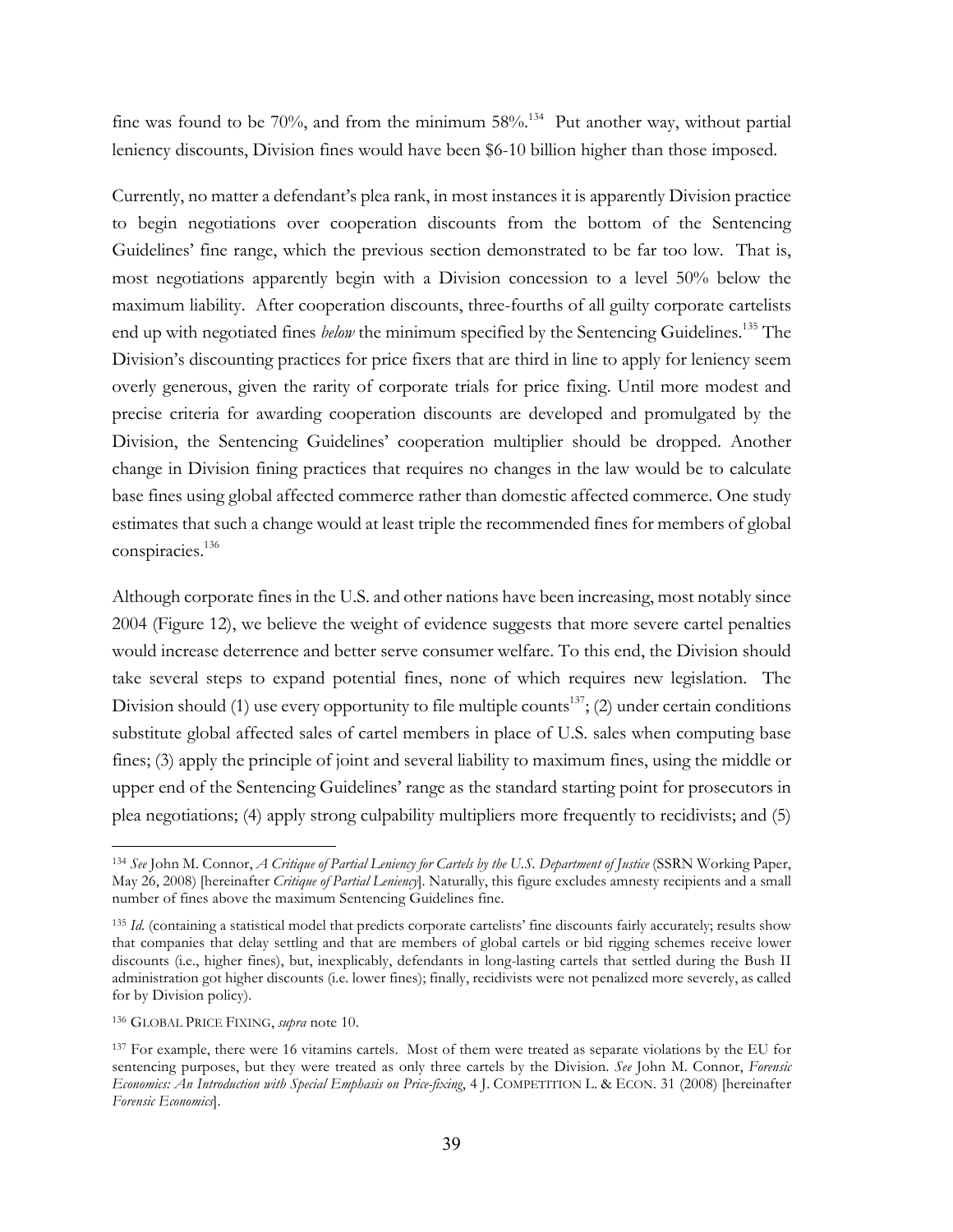fine was found to be 70%, and from the minimum  $58\%$ .<sup>134</sup> Put another way, without partial leniency discounts, Division fines would have been \$6-10 billion higher than those imposed.

Currently, no matter a defendant's plea rank, in most instances it is apparently Division practice to begin negotiations over cooperation discounts from the bottom of the Sentencing Guidelines' fine range, which the previous section demonstrated to be far too low. That is, most negotiations apparently begin with a Division concession to a level 50% below the maximum liability. After cooperation discounts, three-fourths of all guilty corporate cartelists end up with negotiated fines *below* the minimum specified by the Sentencing Guidelines.<sup>135</sup> The Division's discounting practices for price fixers that are third in line to apply for leniency seem overly generous, given the rarity of corporate trials for price fixing. Until more modest and precise criteria for awarding cooperation discounts are developed and promulgated by the Division, the Sentencing Guidelines' cooperation multiplier should be dropped. Another change in Division fining practices that requires no changes in the law would be to calculate base fines using global affected commerce rather than domestic affected commerce. One study estimates that such a change would at least triple the recommended fines for members of global conspiracies.136

Although corporate fines in the U.S. and other nations have been increasing, most notably since 2004 (Figure 12), we believe the weight of evidence suggests that more severe cartel penalties would increase deterrence and better serve consumer welfare. To this end, the Division should take several steps to expand potential fines, none of which requires new legislation. The Division should (1) use every opportunity to file multiple counts<sup>137</sup>; (2) under certain conditions substitute global affected sales of cartel members in place of U.S. sales when computing base fines; (3) apply the principle of joint and several liability to maximum fines, using the middle or upper end of the Sentencing Guidelines' range as the standard starting point for prosecutors in plea negotiations; (4) apply strong culpability multipliers more frequently to recidivists; and (5)

<sup>&</sup>lt;sup>134</sup> See John M. Connor, *A Critique of Partial Leniency for Cartels by the U.S. Department of Justice* (SSRN Working Paper, May 26, 2008) [hereinafter *Critique of Partial Leniency*]. Naturally, this figure excludes amnesty recipients and a small number of fines above the maximum Sentencing Guidelines fine.

<sup>&</sup>lt;sup>135</sup> *Id.* (containing a statistical model that predicts corporate cartelists' fine discounts fairly accurately; results show that companies that delay settling and that are members of global cartels or bid rigging schemes receive lower discounts (i.e., higher fines), but, inexplicably, defendants in long-lasting cartels that settled during the Bush II administration got higher discounts (i.e. lower fines); finally, recidivists were not penalized more severely, as called for by Division policy).

<sup>136</sup> GLOBAL PRICE FIXING, *supra* note 10.

<sup>&</sup>lt;sup>137</sup> For example, there were 16 vitamins cartels. Most of them were treated as separate violations by the EU for sentencing purposes, but they were treated as only three cartels by the Division. *See* John M. Connor, *Forensic Economics: An Introduction with Special Emphasis on Price-fixing*, 4 J. COMPETITION L. & ECON. 31 (2008) [hereinafter *Forensic Economics*].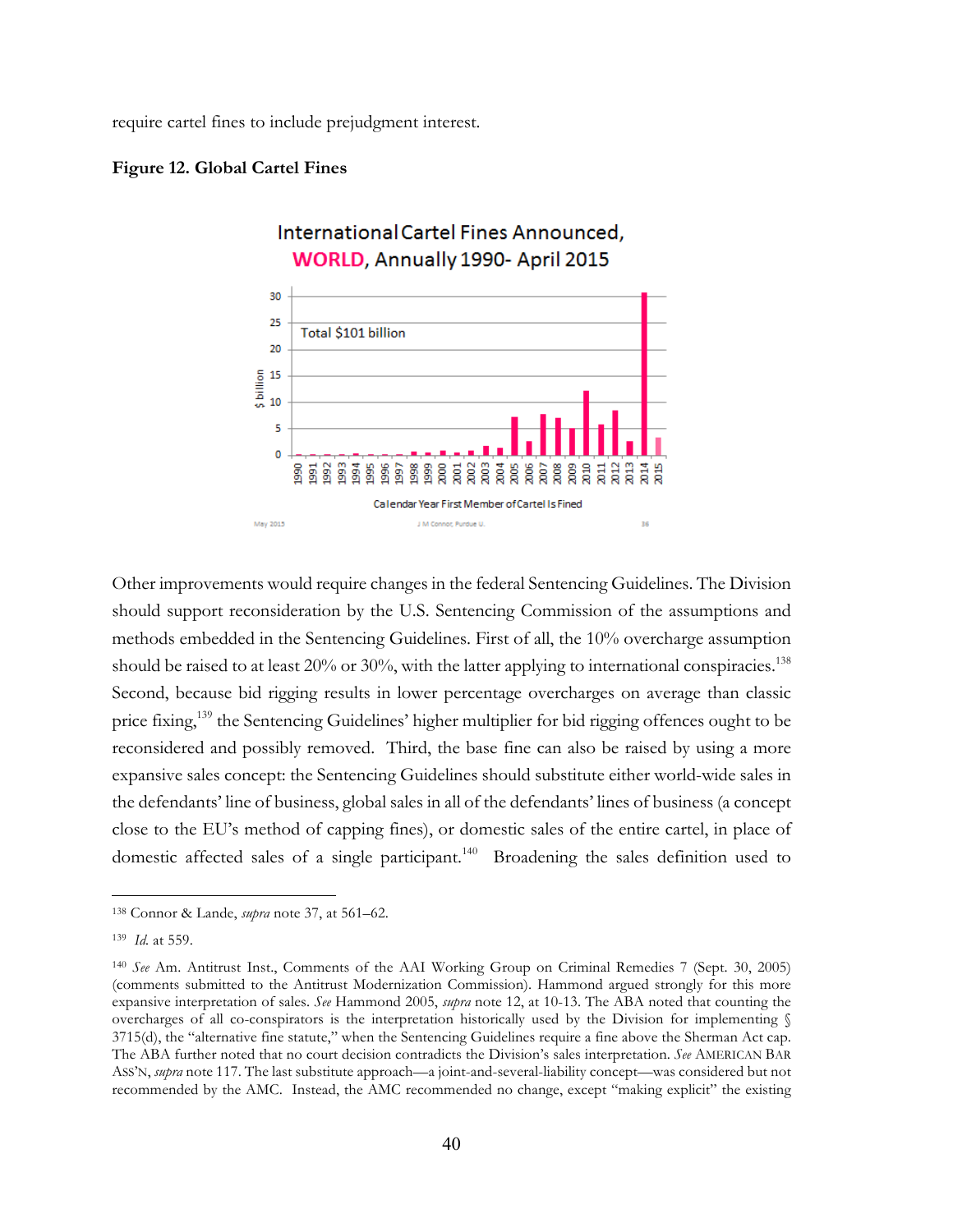require cartel fines to include prejudgment interest.





Other improvements would require changes in the federal Sentencing Guidelines. The Division should support reconsideration by the U.S. Sentencing Commission of the assumptions and methods embedded in the Sentencing Guidelines. First of all, the 10% overcharge assumption should be raised to at least  $20\%$  or  $30\%$ , with the latter applying to international conspiracies.<sup>138</sup> Second, because bid rigging results in lower percentage overcharges on average than classic price fixing,<sup>139</sup> the Sentencing Guidelines' higher multiplier for bid rigging offences ought to be reconsidered and possibly removed. Third, the base fine can also be raised by using a more expansive sales concept: the Sentencing Guidelines should substitute either world-wide sales in the defendants' line of business, global sales in all of the defendants' lines of business (a concept close to the EU's method of capping fines), or domestic sales of the entire cartel, in place of domestic affected sales of a single participant.<sup>140</sup> Broadening the sales definition used to

<sup>138</sup> Connor & Lande, *supra* note 37, at 561–62.

<sup>139</sup> *Id.* at 559.

<sup>140</sup> *See* Am. Antitrust Inst., Comments of the AAI Working Group on Criminal Remedies 7 (Sept. 30, 2005) (comments submitted to the Antitrust Modernization Commission). Hammond argued strongly for this more expansive interpretation of sales. *See* Hammond 2005, *supra* note 12, at 10-13. The ABA noted that counting the overcharges of all co-conspirators is the interpretation historically used by the Division for implementing § 3715(d), the "alternative fine statute," when the Sentencing Guidelines require a fine above the Sherman Act cap. The ABA further noted that no court decision contradicts the Division's sales interpretation. *See* AMERICAN BAR ASS'N, *supra* note 117. The last substitute approach—a joint-and-several-liability concept—was considered but not recommended by the AMC. Instead, the AMC recommended no change, except "making explicit" the existing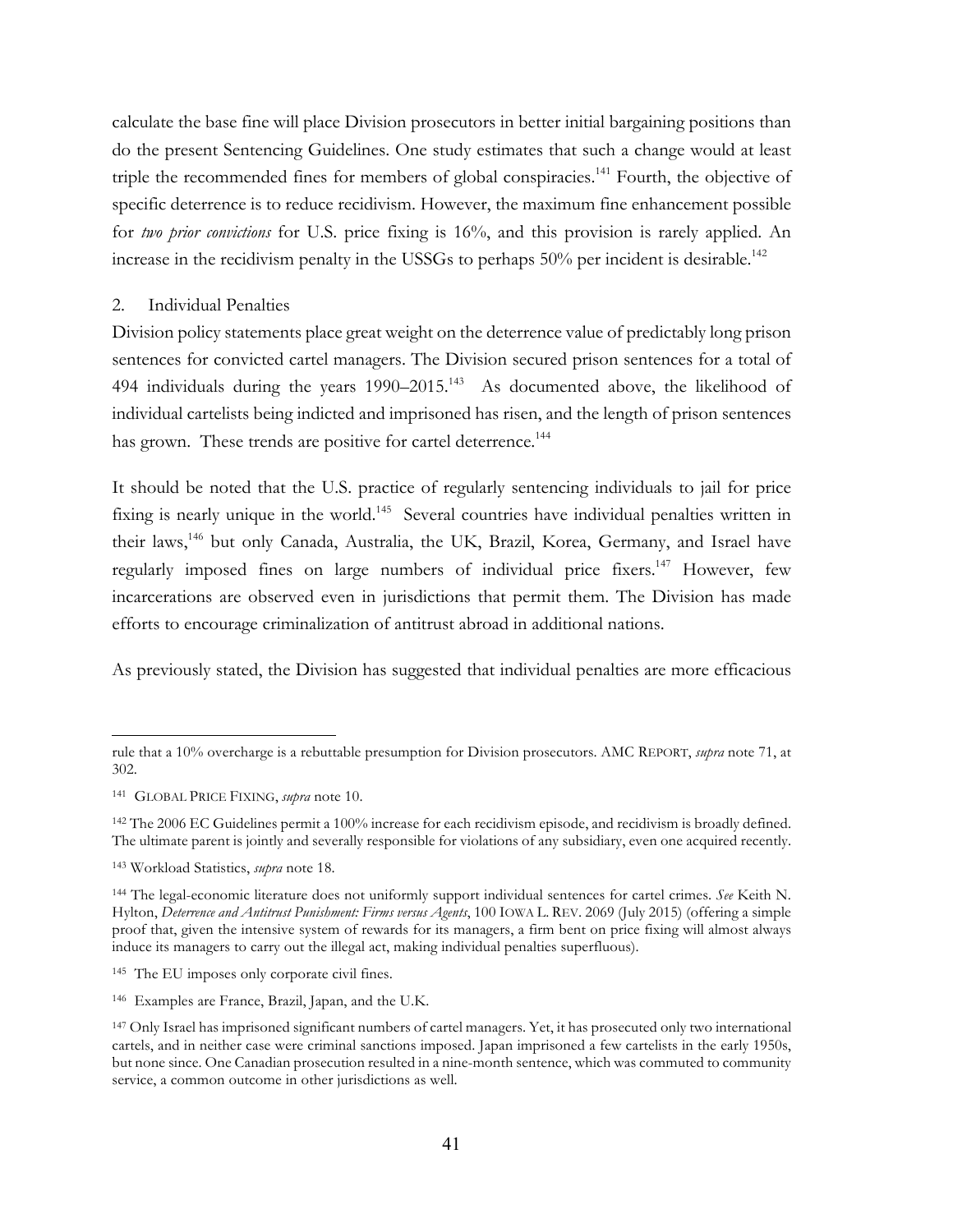calculate the base fine will place Division prosecutors in better initial bargaining positions than do the present Sentencing Guidelines. One study estimates that such a change would at least triple the recommended fines for members of global conspiracies.<sup>141</sup> Fourth, the objective of specific deterrence is to reduce recidivism. However, the maximum fine enhancement possible for *two prior convictions* for U.S. price fixing is 16%, and this provision is rarely applied. An increase in the recidivism penalty in the USSGs to perhaps  $50\%$  per incident is desirable.<sup>142</sup>

#### 2. Individual Penalties

Division policy statements place great weight on the deterrence value of predictably long prison sentences for convicted cartel managers. The Division secured prison sentences for a total of 494 individuals during the years  $1990-2015$ .<sup>143</sup> As documented above, the likelihood of individual cartelists being indicted and imprisoned has risen, and the length of prison sentences has grown. These trends are positive for cartel deterrence.<sup>144</sup>

It should be noted that the U.S. practice of regularly sentencing individuals to jail for price fixing is nearly unique in the world.<sup>145</sup> Several countries have individual penalties written in their laws,<sup>146</sup> but only Canada, Australia, the UK, Brazil, Korea, Germany, and Israel have regularly imposed fines on large numbers of individual price fixers.<sup>147</sup> However, few incarcerations are observed even in jurisdictions that permit them. The Division has made efforts to encourage criminalization of antitrust abroad in additional nations.

As previously stated, the Division has suggested that individual penalties are more efficacious

rule that a 10% overcharge is a rebuttable presumption for Division prosecutors. AMC REPORT, *supra* note 71, at 302.

<sup>141</sup> GLOBAL PRICE FIXING, *supra* note 10.

<sup>142</sup> The 2006 EC Guidelines permit a 100% increase for each recidivism episode, and recidivism is broadly defined. The ultimate parent is jointly and severally responsible for violations of any subsidiary, even one acquired recently.

<sup>143</sup> Workload Statistics, *supra* note 18.

<sup>144</sup> The legal-economic literature does not uniformly support individual sentences for cartel crimes. *See* Keith N. Hylton, *Deterrence and Antitrust Punishment: Firms versus Agents*, 100 IOWA L. REV. 2069 (July 2015) (offering a simple proof that, given the intensive system of rewards for its managers, a firm bent on price fixing will almost always induce its managers to carry out the illegal act, making individual penalties superfluous).

<sup>145</sup> The EU imposes only corporate civil fines.

<sup>146</sup> Examples are France, Brazil, Japan, and the U.K.

<sup>&</sup>lt;sup>147</sup> Only Israel has imprisoned significant numbers of cartel managers. Yet, it has prosecuted only two international cartels, and in neither case were criminal sanctions imposed. Japan imprisoned a few cartelists in the early 1950s, but none since. One Canadian prosecution resulted in a nine-month sentence, which was commuted to community service, a common outcome in other jurisdictions as well.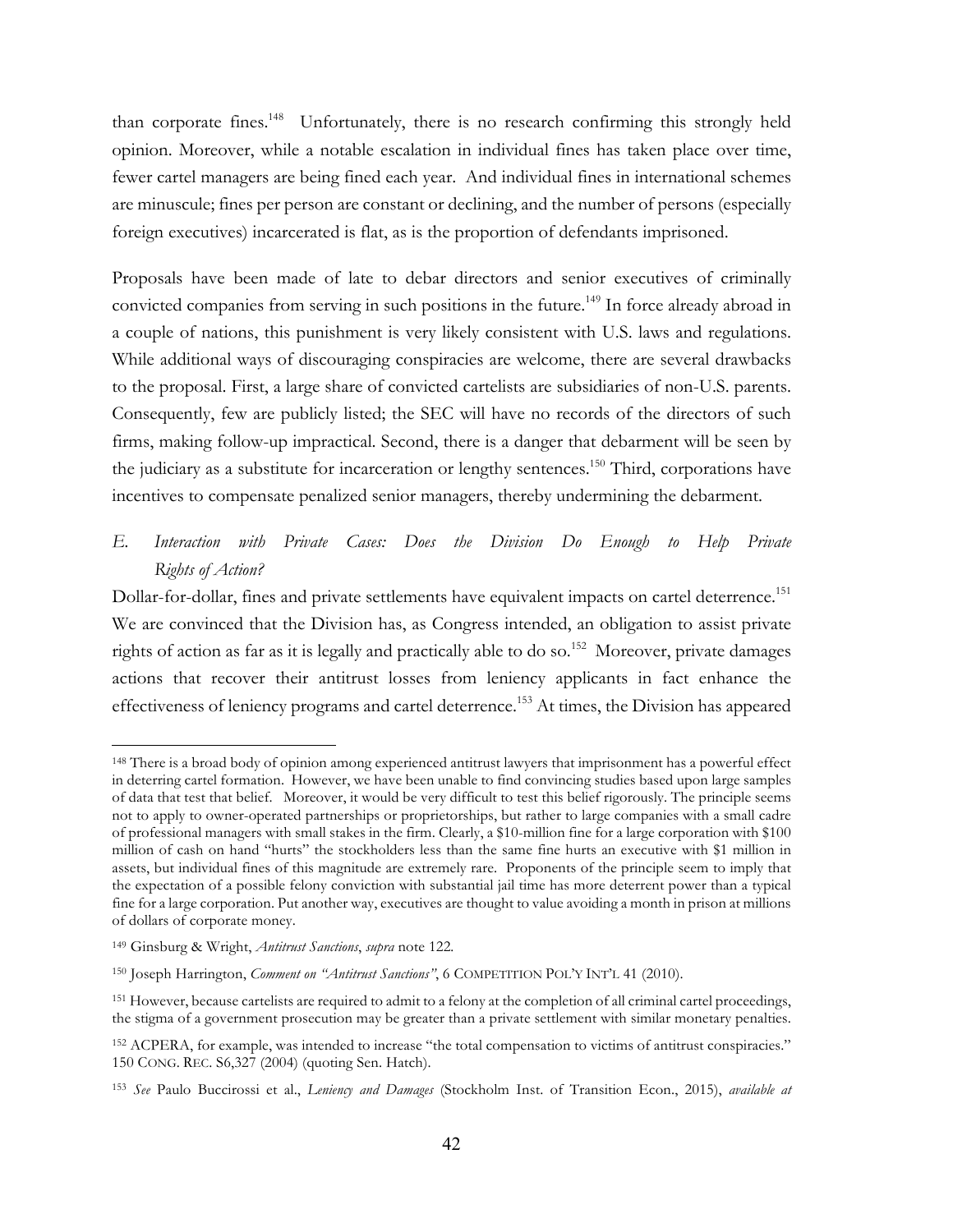than corporate fines.<sup>148</sup> Unfortunately, there is no research confirming this strongly held opinion. Moreover, while a notable escalation in individual fines has taken place over time, fewer cartel managers are being fined each year. And individual fines in international schemes are minuscule; fines per person are constant or declining, and the number of persons (especially foreign executives) incarcerated is flat, as is the proportion of defendants imprisoned.

Proposals have been made of late to debar directors and senior executives of criminally convicted companies from serving in such positions in the future.<sup>149</sup> In force already abroad in a couple of nations, this punishment is very likely consistent with U.S. laws and regulations. While additional ways of discouraging conspiracies are welcome, there are several drawbacks to the proposal. First, a large share of convicted cartelists are subsidiaries of non-U.S. parents. Consequently, few are publicly listed; the SEC will have no records of the directors of such firms, making follow-up impractical. Second, there is a danger that debarment will be seen by the judiciary as a substitute for incarceration or lengthy sentences.<sup>150</sup> Third, corporations have incentives to compensate penalized senior managers, thereby undermining the debarment.

# *E. Interaction with Private Cases: Does the Division Do Enough to Help Private Rights of Action?*

Dollar-for-dollar, fines and private settlements have equivalent impacts on cartel deterrence.<sup>151</sup> We are convinced that the Division has, as Congress intended, an obligation to assist private rights of action as far as it is legally and practically able to do so.<sup>152</sup> Moreover, private damages actions that recover their antitrust losses from leniency applicants in fact enhance the effectiveness of leniency programs and cartel deterrence.<sup>153</sup> At times, the Division has appeared

<sup>&</sup>lt;sup>148</sup> There is a broad body of opinion among experienced antitrust lawyers that imprisonment has a powerful effect in deterring cartel formation. However, we have been unable to find convincing studies based upon large samples of data that test that belief. Moreover, it would be very difficult to test this belief rigorously. The principle seems not to apply to owner-operated partnerships or proprietorships, but rather to large companies with a small cadre of professional managers with small stakes in the firm. Clearly, a \$10-million fine for a large corporation with \$100 million of cash on hand "hurts" the stockholders less than the same fine hurts an executive with \$1 million in assets, but individual fines of this magnitude are extremely rare. Proponents of the principle seem to imply that the expectation of a possible felony conviction with substantial jail time has more deterrent power than a typical fine for a large corporation. Put another way, executives are thought to value avoiding a month in prison at millions of dollars of corporate money.

<sup>149</sup> Ginsburg & Wright, *Antitrust Sanctions*, *supra* note 122*.*

<sup>150</sup> Joseph Harrington, *Comment on "Antitrust Sanctions"*, 6 COMPETITION POL'Y INT'L 41 (2010).

<sup>151</sup> However, because cartelists are required to admit to a felony at the completion of all criminal cartel proceedings, the stigma of a government prosecution may be greater than a private settlement with similar monetary penalties.

<sup>152</sup> ACPERA, for example, was intended to increase "the total compensation to victims of antitrust conspiracies." 150 CONG. REC. S6,327 (2004) (quoting Sen. Hatch).

<sup>153</sup> *See* Paulo Buccirossi et al., *Leniency and Damages* (Stockholm Inst. of Transition Econ., 2015), *available at*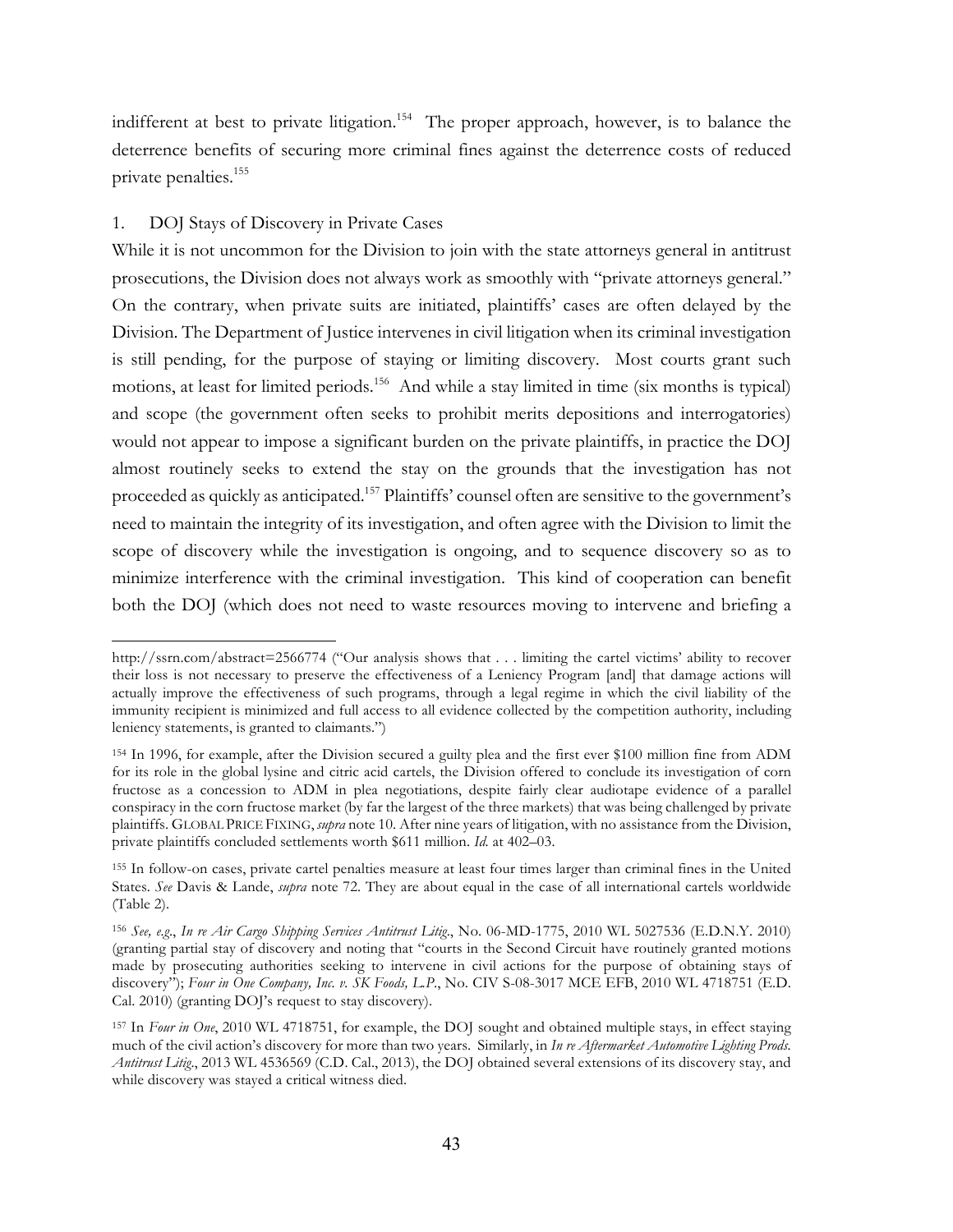indifferent at best to private litigation.<sup>154</sup> The proper approach, however, is to balance the deterrence benefits of securing more criminal fines against the deterrence costs of reduced private penalties.155

# 1. DOJ Stays of Discovery in Private Cases

 $\overline{a}$ 

While it is not uncommon for the Division to join with the state attorneys general in antitrust prosecutions, the Division does not always work as smoothly with "private attorneys general." On the contrary, when private suits are initiated, plaintiffs' cases are often delayed by the Division. The Department of Justice intervenes in civil litigation when its criminal investigation is still pending, for the purpose of staying or limiting discovery. Most courts grant such motions, at least for limited periods.<sup>156</sup> And while a stay limited in time (six months is typical) and scope (the government often seeks to prohibit merits depositions and interrogatories) would not appear to impose a significant burden on the private plaintiffs, in practice the DOJ almost routinely seeks to extend the stay on the grounds that the investigation has not proceeded as quickly as anticipated.<sup>157</sup> Plaintiffs' counsel often are sensitive to the government's need to maintain the integrity of its investigation, and often agree with the Division to limit the scope of discovery while the investigation is ongoing, and to sequence discovery so as to minimize interference with the criminal investigation. This kind of cooperation can benefit both the DOJ (which does not need to waste resources moving to intervene and briefing a

http://ssrn.com/abstract=2566774 ("Our analysis shows that . . . limiting the cartel victims' ability to recover their loss is not necessary to preserve the effectiveness of a Leniency Program [and] that damage actions will actually improve the effectiveness of such programs, through a legal regime in which the civil liability of the immunity recipient is minimized and full access to all evidence collected by the competition authority, including leniency statements, is granted to claimants.")

<sup>154</sup> In 1996, for example, after the Division secured a guilty plea and the first ever \$100 million fine from ADM for its role in the global lysine and citric acid cartels, the Division offered to conclude its investigation of corn fructose as a concession to ADM in plea negotiations, despite fairly clear audiotape evidence of a parallel conspiracy in the corn fructose market (by far the largest of the three markets) that was being challenged by private plaintiffs. GLOBAL PRICE FIXING, *supra* note 10. After nine years of litigation, with no assistance from the Division, private plaintiffs concluded settlements worth \$611 million. *Id.* at 402–03.

<sup>155</sup> In follow-on cases, private cartel penalties measure at least four times larger than criminal fines in the United States. *See* Davis & Lande, *supra* note 72. They are about equal in the case of all international cartels worldwide (Table 2).

<sup>156</sup> *See, e.g*., *In re Air Cargo Shipping Services Antitrust Litig*., No. 06-MD-1775, 2010 WL 5027536 (E.D.N.Y. 2010) (granting partial stay of discovery and noting that "courts in the Second Circuit have routinely granted motions made by prosecuting authorities seeking to intervene in civil actions for the purpose of obtaining stays of discovery"); *Four in One Company, Inc. v. SK Foods, L.P*., No. CIV S-08-3017 MCE EFB, 2010 WL 4718751 (E.D. Cal. 2010) (granting DOJ's request to stay discovery).

<sup>157</sup> In *Four in One*, 2010 WL 4718751, for example, the DOJ sought and obtained multiple stays, in effect staying much of the civil action's discovery for more than two years. Similarly, in *In re Aftermarket Automotive Lighting Prods. Antitrust Litig*., 2013 WL 4536569 (C.D. Cal., 2013), the DOJ obtained several extensions of its discovery stay, and while discovery was stayed a critical witness died.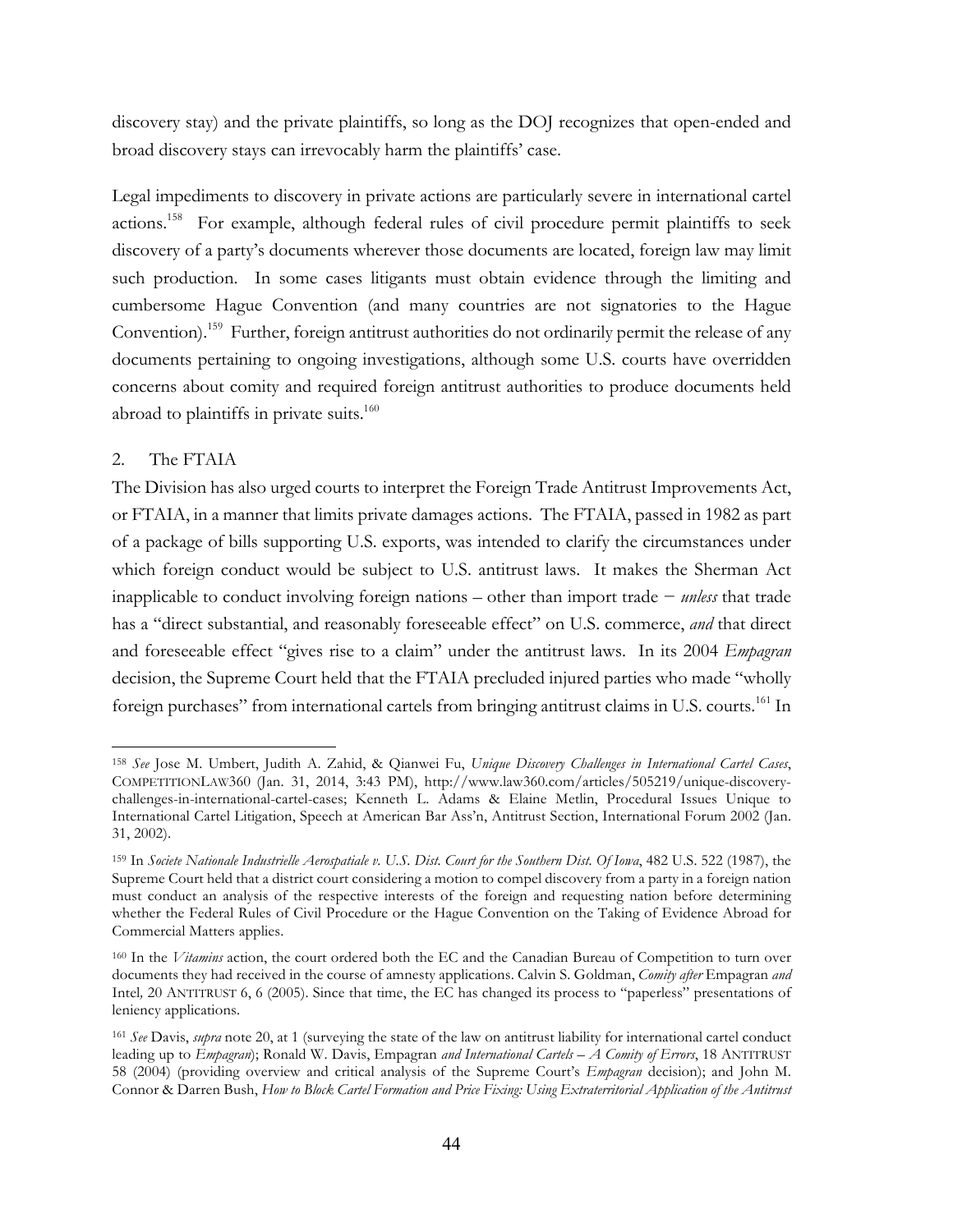discovery stay) and the private plaintiffs, so long as the DOJ recognizes that open-ended and broad discovery stays can irrevocably harm the plaintiffs' case.

Legal impediments to discovery in private actions are particularly severe in international cartel actions.158 For example, although federal rules of civil procedure permit plaintiffs to seek discovery of a party's documents wherever those documents are located, foreign law may limit such production. In some cases litigants must obtain evidence through the limiting and cumbersome Hague Convention (and many countries are not signatories to the Hague Convention). 159 Further, foreign antitrust authorities do not ordinarily permit the release of any documents pertaining to ongoing investigations, although some U.S. courts have overridden concerns about comity and required foreign antitrust authorities to produce documents held abroad to plaintiffs in private suits. $160$ 

# 2. The FTAIA

 $\overline{a}$ 

The Division has also urged courts to interpret the Foreign Trade Antitrust Improvements Act, or FTAIA, in a manner that limits private damages actions. The FTAIA, passed in 1982 as part of a package of bills supporting U.S. exports, was intended to clarify the circumstances under which foreign conduct would be subject to U.S. antitrust laws. It makes the Sherman Act inapplicable to conduct involving foreign nations – other than import trade − *unless* that trade has a "direct substantial, and reasonably foreseeable effect" on U.S. commerce, *and* that direct and foreseeable effect "gives rise to a claim" under the antitrust laws. In its 2004 *Empagran*  decision, the Supreme Court held that the FTAIA precluded injured parties who made "wholly foreign purchases" from international cartels from bringing antitrust claims in U.S. courts.<sup>161</sup> In

<sup>158</sup> *See* Jose M. Umbert, Judith A. Zahid, & Qianwei Fu, *Unique Discovery Challenges in International Cartel Cases*, COMPETITIONLAW360 (Jan. 31, 2014, 3:43 PM), http://www.law360.com/articles/505219/unique-discoverychallenges-in-international-cartel-cases; Kenneth L. Adams & Elaine Metlin, Procedural Issues Unique to International Cartel Litigation, Speech at American Bar Ass'n, Antitrust Section, International Forum 2002 (Jan. 31, 2002).

<sup>159</sup> In *Societe Nationale Industrielle Aerospatiale v. U.S. Dist. Court for the Southern Dist. Of Iowa*, 482 U.S. 522 (1987), the Supreme Court held that a district court considering a motion to compel discovery from a party in a foreign nation must conduct an analysis of the respective interests of the foreign and requesting nation before determining whether the Federal Rules of Civil Procedure or the Hague Convention on the Taking of Evidence Abroad for Commercial Matters applies.

<sup>160</sup> In the *Vitamins* action, the court ordered both the EC and the Canadian Bureau of Competition to turn over documents they had received in the course of amnesty applications. Calvin S. Goldman, *Comity after* Empagran *and*  Intel*,* 20 ANTITRUST 6, 6 (2005). Since that time, the EC has changed its process to "paperless" presentations of leniency applications.

<sup>161</sup> *See* Davis, *supra* note 20, at 1 (surveying the state of the law on antitrust liability for international cartel conduct leading up to *Empagran*); Ronald W. Davis, Empagran *and International Cartels – A Comity of Errors*, 18 ANTITRUST 58 (2004) (providing overview and critical analysis of the Supreme Court's *Empagran* decision); and John M. Connor & Darren Bush, *How to Block Cartel Formation and Price Fixing: Using Extraterritorial Application of the Antitrust*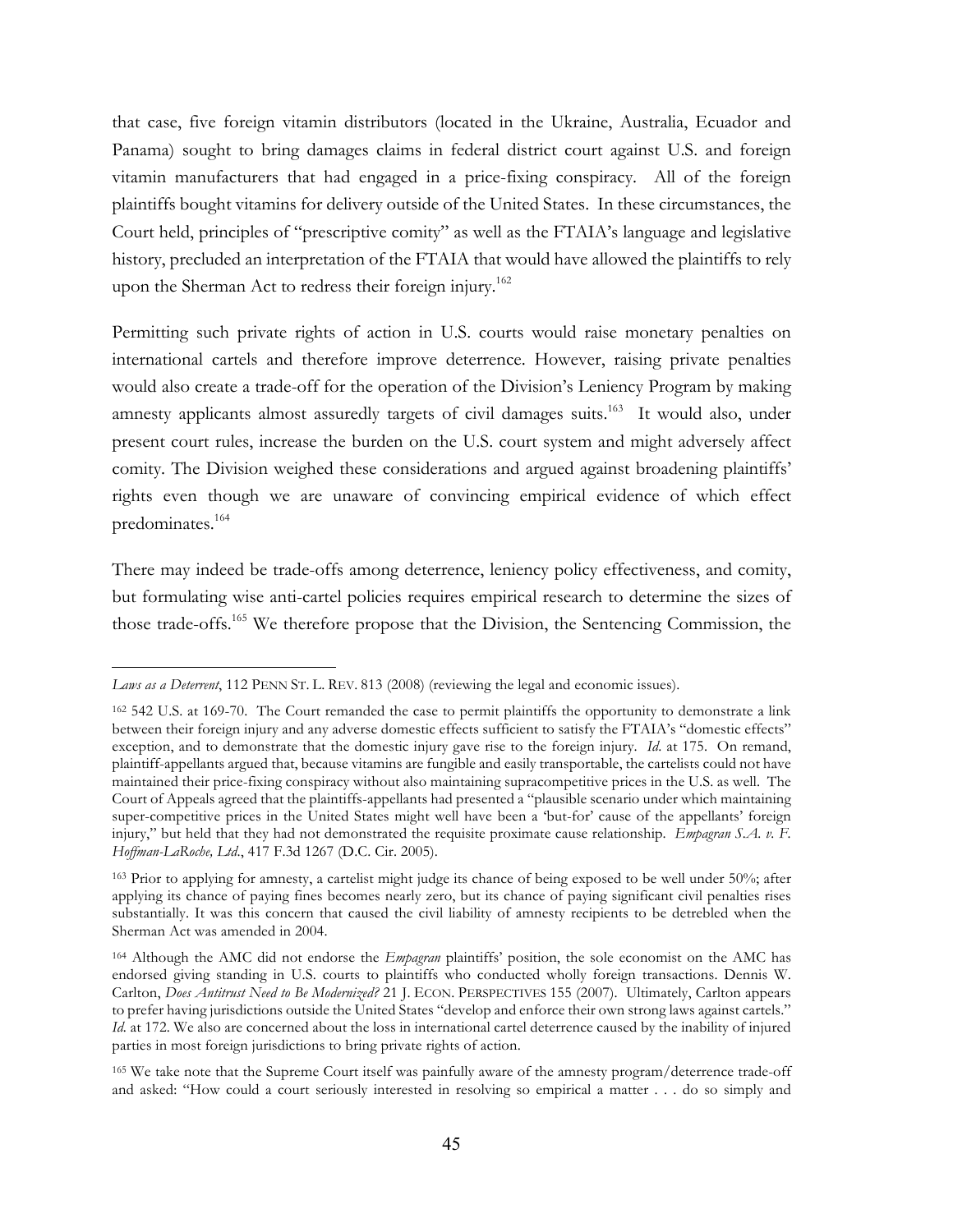that case, five foreign vitamin distributors (located in the Ukraine, Australia, Ecuador and Panama) sought to bring damages claims in federal district court against U.S. and foreign vitamin manufacturers that had engaged in a price-fixing conspiracy. All of the foreign plaintiffs bought vitamins for delivery outside of the United States. In these circumstances, the Court held, principles of "prescriptive comity" as well as the FTAIA's language and legislative history, precluded an interpretation of the FTAIA that would have allowed the plaintiffs to rely upon the Sherman Act to redress their foreign injury.<sup>162</sup>

Permitting such private rights of action in U.S. courts would raise monetary penalties on international cartels and therefore improve deterrence. However, raising private penalties would also create a trade-off for the operation of the Division's Leniency Program by making amnesty applicants almost assuredly targets of civil damages suits.<sup>163</sup> It would also, under present court rules, increase the burden on the U.S. court system and might adversely affect comity. The Division weighed these considerations and argued against broadening plaintiffs' rights even though we are unaware of convincing empirical evidence of which effect predominates.164

There may indeed be trade-offs among deterrence, leniency policy effectiveness, and comity, but formulating wise anti-cartel policies requires empirical research to determine the sizes of those trade-offs.165 We therefore propose that the Division, the Sentencing Commission, the

*Laws as a Deterrent*, 112 PENN ST. L. REV. 813 (2008) (reviewing the legal and economic issues).

<sup>&</sup>lt;sup>162</sup> 542 U.S. at 169-70. The Court remanded the case to permit plaintiffs the opportunity to demonstrate a link between their foreign injury and any adverse domestic effects sufficient to satisfy the FTAIA's "domestic effects" exception, and to demonstrate that the domestic injury gave rise to the foreign injury. *Id*. at 175. On remand, plaintiff-appellants argued that, because vitamins are fungible and easily transportable, the cartelists could not have maintained their price-fixing conspiracy without also maintaining supracompetitive prices in the U.S. as well. The Court of Appeals agreed that the plaintiffs-appellants had presented a "plausible scenario under which maintaining super-competitive prices in the United States might well have been a 'but-for' cause of the appellants' foreign injury," but held that they had not demonstrated the requisite proximate cause relationship. *Empagran S.A. v. F. Hoffman-LaRoche, Ltd*., 417 F.3d 1267 (D.C. Cir. 2005).

<sup>163</sup> Prior to applying for amnesty, a cartelist might judge its chance of being exposed to be well under 50%; after applying its chance of paying fines becomes nearly zero, but its chance of paying significant civil penalties rises substantially. It was this concern that caused the civil liability of amnesty recipients to be detrebled when the Sherman Act was amended in 2004.

<sup>164</sup> Although the AMC did not endorse the *Empagran* plaintiffs' position, the sole economist on the AMC has endorsed giving standing in U.S. courts to plaintiffs who conducted wholly foreign transactions. Dennis W. Carlton, *Does Antitrust Need to Be Modernized?* 21 J. ECON. PERSPECTIVES 155 (2007). Ultimately, Carlton appears to prefer having jurisdictions outside the United States "develop and enforce their own strong laws against cartels." *Id.* at 172. We also are concerned about the loss in international cartel deterrence caused by the inability of injured parties in most foreign jurisdictions to bring private rights of action.

<sup>165</sup> We take note that the Supreme Court itself was painfully aware of the amnesty program/deterrence trade-off and asked: "How could a court seriously interested in resolving so empirical a matter . . . do so simply and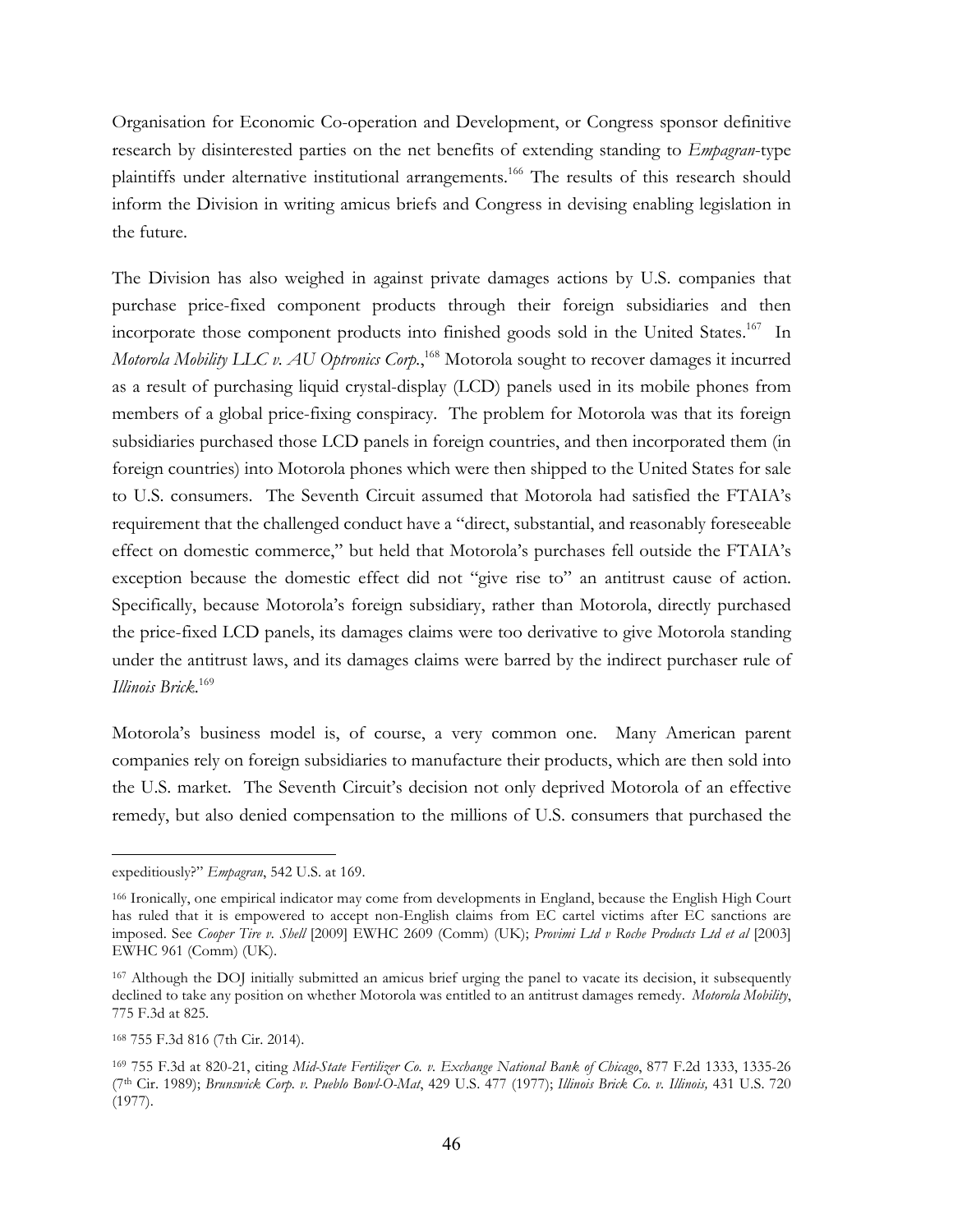Organisation for Economic Co-operation and Development, or Congress sponsor definitive research by disinterested parties on the net benefits of extending standing to *Empagran*-type plaintiffs under alternative institutional arrangements.<sup>166</sup> The results of this research should inform the Division in writing amicus briefs and Congress in devising enabling legislation in the future.

The Division has also weighed in against private damages actions by U.S. companies that purchase price-fixed component products through their foreign subsidiaries and then incorporate those component products into finished goods sold in the United States. 167 In *Motorola Mobility LLC v. AU Optronics Corp.*, <sup>168</sup> Motorola sought to recover damages it incurred as a result of purchasing liquid crystal-display (LCD) panels used in its mobile phones from members of a global price-fixing conspiracy. The problem for Motorola was that its foreign subsidiaries purchased those LCD panels in foreign countries, and then incorporated them (in foreign countries) into Motorola phones which were then shipped to the United States for sale to U.S. consumers. The Seventh Circuit assumed that Motorola had satisfied the FTAIA's requirement that the challenged conduct have a "direct, substantial, and reasonably foreseeable effect on domestic commerce," but held that Motorola's purchases fell outside the FTAIA's exception because the domestic effect did not "give rise to" an antitrust cause of action. Specifically, because Motorola's foreign subsidiary, rather than Motorola, directly purchased the price-fixed LCD panels, its damages claims were too derivative to give Motorola standing under the antitrust laws, and its damages claims were barred by the indirect purchaser rule of *Illinois Brick*. 169

Motorola's business model is, of course, a very common one. Many American parent companies rely on foreign subsidiaries to manufacture their products, which are then sold into the U.S. market. The Seventh Circuit's decision not only deprived Motorola of an effective remedy, but also denied compensation to the millions of U.S. consumers that purchased the

expeditiously?" *Empagran*, 542 U.S. at 169.

<sup>166</sup> Ironically, one empirical indicator may come from developments in England, because the English High Court has ruled that it is empowered to accept non-English claims from EC cartel victims after EC sanctions are imposed. See *Cooper Tire v. Shell* [2009] EWHC 2609 (Comm) (UK); *Provimi Ltd v Roche Products Ltd et al* [2003] EWHC 961 (Comm) (UK).

<sup>167</sup> Although the DOJ initially submitted an amicus brief urging the panel to vacate its decision, it subsequently declined to take any position on whether Motorola was entitled to an antitrust damages remedy. *Motorola Mobility*, 775 F.3d at 825.

<sup>168</sup> 755 F.3d 816 (7th Cir. 2014).

<sup>169</sup> 755 F.3d at 820-21, citing *Mid-State Fertilizer Co. v. Exchange National Bank of Chicago*, 877 F.2d 1333, 1335-26 (7th Cir. 1989); *Brunswick Corp. v. Pueblo Bowl-O-Mat*, 429 U.S. 477 (1977); *Illinois Brick Co. v. Illinois,* 431 U.S. 720 (1977).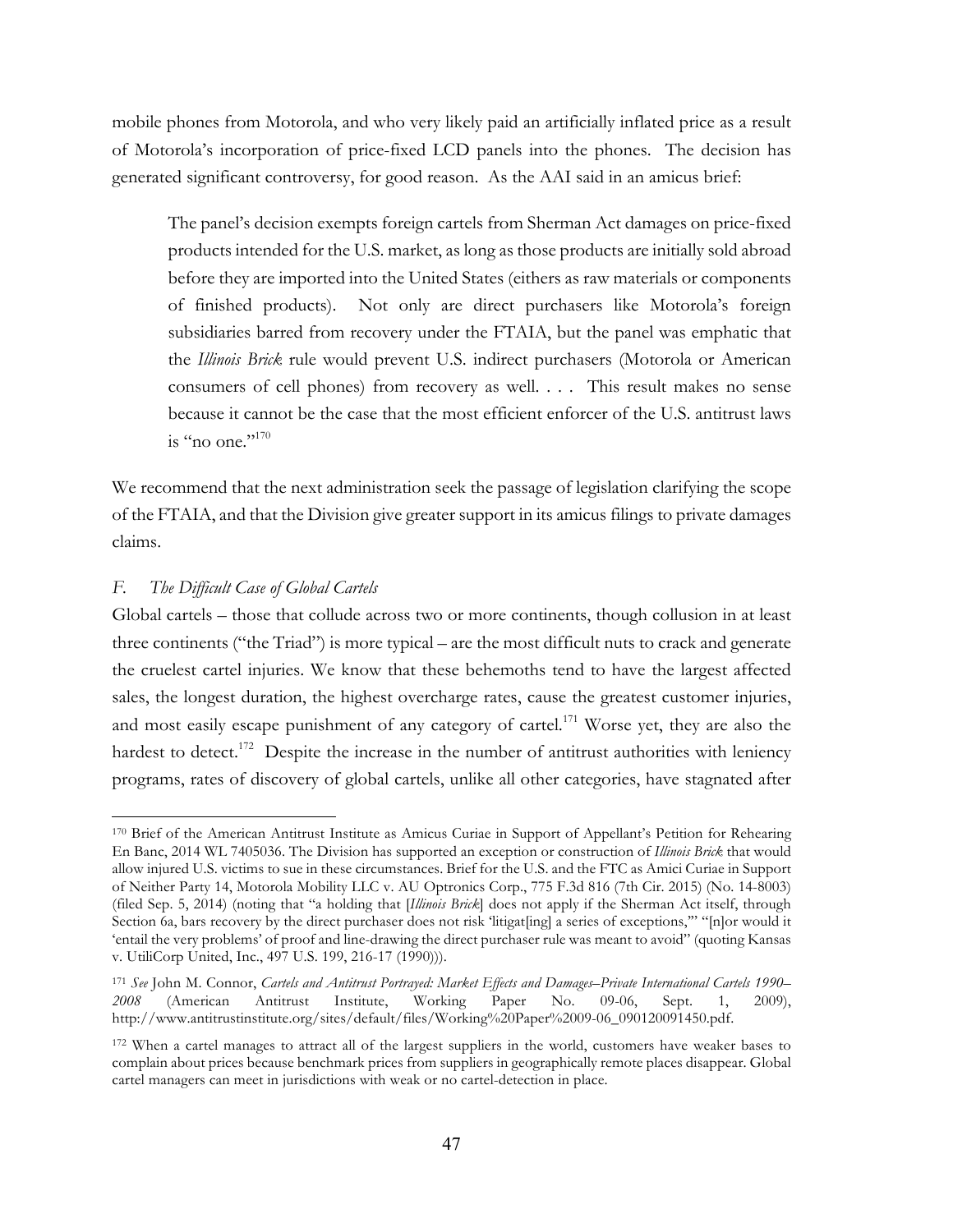mobile phones from Motorola, and who very likely paid an artificially inflated price as a result of Motorola's incorporation of price-fixed LCD panels into the phones. The decision has generated significant controversy, for good reason. As the AAI said in an amicus brief:

The panel's decision exempts foreign cartels from Sherman Act damages on price-fixed products intended for the U.S. market, as long as those products are initially sold abroad before they are imported into the United States (eithers as raw materials or components of finished products). Not only are direct purchasers like Motorola's foreign subsidiaries barred from recovery under the FTAIA, but the panel was emphatic that the *Illinois Brick* rule would prevent U.S. indirect purchasers (Motorola or American consumers of cell phones) from recovery as well. . . . This result makes no sense because it cannot be the case that the most efficient enforcer of the U.S. antitrust laws is "no one." $170$ 

We recommend that the next administration seek the passage of legislation clarifying the scope of the FTAIA, and that the Division give greater support in its amicus filings to private damages claims.

# *F. The Difficult Case of Global Cartels*

 $\overline{a}$ 

Global cartels – those that collude across two or more continents, though collusion in at least three continents ("the Triad") is more typical – are the most difficult nuts to crack and generate the cruelest cartel injuries. We know that these behemoths tend to have the largest affected sales, the longest duration, the highest overcharge rates, cause the greatest customer injuries, and most easily escape punishment of any category of cartel.<sup>171</sup> Worse yet, they are also the hardest to detect.<sup>172</sup> Despite the increase in the number of antitrust authorities with leniency programs, rates of discovery of global cartels, unlike all other categories, have stagnated after

<sup>170</sup> Brief of the American Antitrust Institute as Amicus Curiae in Support of Appellant's Petition for Rehearing En Banc, 2014 WL 7405036. The Division has supported an exception or construction of *Illinois Brick* that would allow injured U.S. victims to sue in these circumstances. Brief for the U.S. and the FTC as Amici Curiae in Support of Neither Party 14, Motorola Mobility LLC v. AU Optronics Corp., 775 F.3d 816 (7th Cir. 2015) (No. 14-8003) (filed Sep. 5, 2014) (noting that "a holding that [*Illinois Brick*] does not apply if the Sherman Act itself, through Section 6a, bars recovery by the direct purchaser does not risk 'litigat[ing] a series of exceptions,'" "[n]or would it 'entail the very problems' of proof and line-drawing the direct purchaser rule was meant to avoid" (quoting Kansas v. UtiliCorp United, Inc., 497 U.S. 199, 216-17 (1990))).

<sup>171</sup> *See* John M. Connor, *Cartels and Antitrust Portrayed: Market Effects and Damages–Private International Cartels 1990– 2008* (American Antitrust Institute, Working Paper No. 09-06, Sept. 1, 2009), http://www.antitrustinstitute.org/sites/default/files/Working%20Paper%2009-06\_090120091450.pdf.

<sup>&</sup>lt;sup>172</sup> When a cartel manages to attract all of the largest suppliers in the world, customers have weaker bases to complain about prices because benchmark prices from suppliers in geographically remote places disappear. Global cartel managers can meet in jurisdictions with weak or no cartel-detection in place.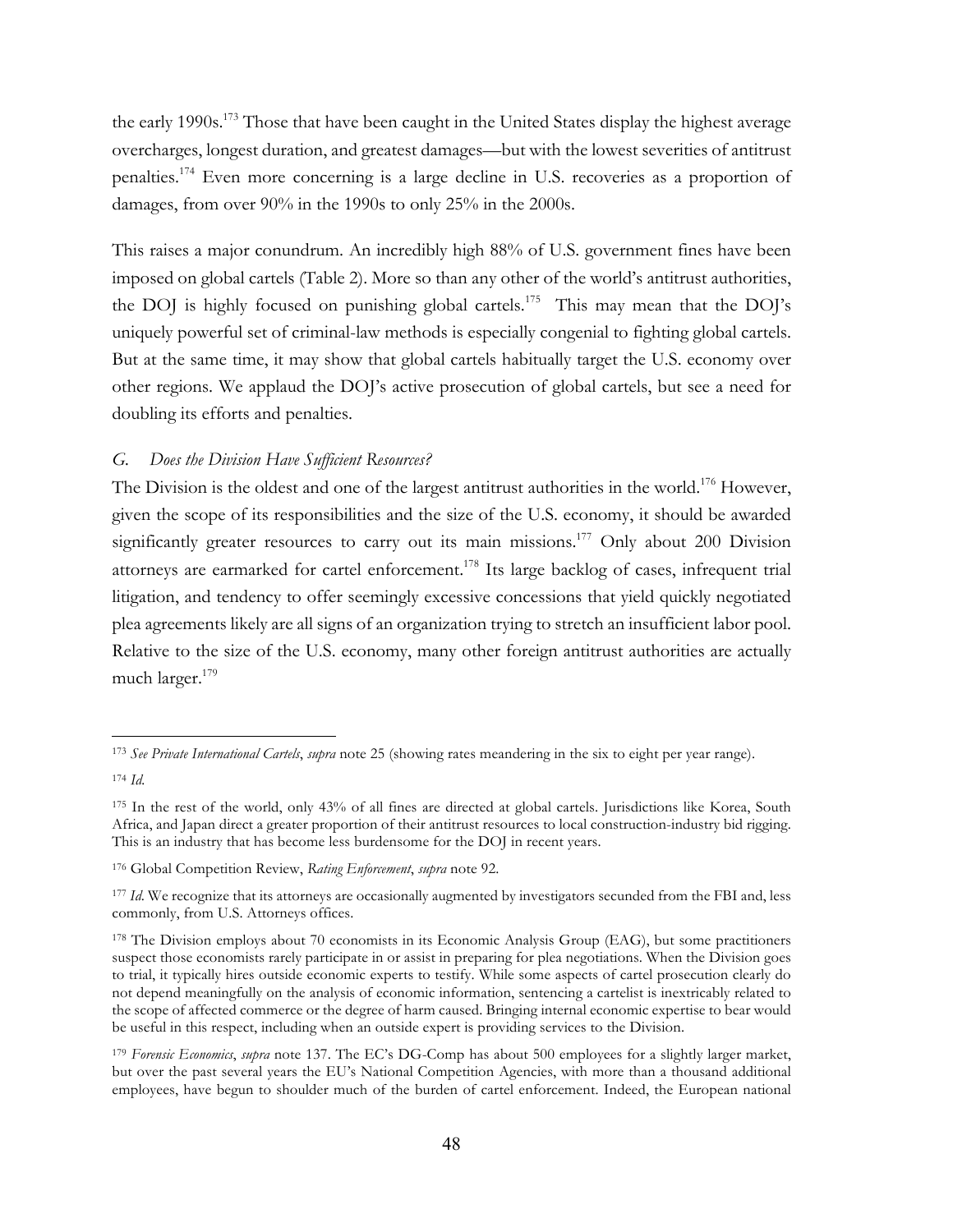the early 1990s.<sup>173</sup> Those that have been caught in the United States display the highest average overcharges, longest duration, and greatest damages—but with the lowest severities of antitrust penalties.174 Even more concerning is a large decline in U.S. recoveries as a proportion of damages, from over 90% in the 1990s to only 25% in the 2000s.

This raises a major conundrum. An incredibly high 88% of U.S. government fines have been imposed on global cartels (Table 2). More so than any other of the world's antitrust authorities, the DOJ is highly focused on punishing global cartels.<sup>175</sup> This may mean that the DOJ's uniquely powerful set of criminal-law methods is especially congenial to fighting global cartels. But at the same time, it may show that global cartels habitually target the U.S. economy over other regions. We applaud the DOJ's active prosecution of global cartels, but see a need for doubling its efforts and penalties.

# *G. Does the Division Have Sufficient Resources?*

The Division is the oldest and one of the largest antitrust authorities in the world.<sup>176</sup> However, given the scope of its responsibilities and the size of the U.S. economy, it should be awarded significantly greater resources to carry out its main missions.<sup>177</sup> Only about 200 Division attorneys are earmarked for cartel enforcement.<sup>178</sup> Its large backlog of cases, infrequent trial litigation, and tendency to offer seemingly excessive concessions that yield quickly negotiated plea agreements likely are all signs of an organization trying to stretch an insufficient labor pool. Relative to the size of the U.S. economy, many other foreign antitrust authorities are actually much larger.<sup>179</sup>

<sup>173</sup> *See Private International Cartels*, *supra* note 25 (showing rates meandering in the six to eight per year range).

<sup>174</sup> *Id.* 

<sup>175</sup> In the rest of the world, only 43% of all fines are directed at global cartels. Jurisdictions like Korea, South Africa, and Japan direct a greater proportion of their antitrust resources to local construction-industry bid rigging. This is an industry that has become less burdensome for the DOJ in recent years.

<sup>176</sup> Global Competition Review, *Rating Enforcement*, *supra* note 92.

<sup>&</sup>lt;sup>177</sup> *Id*. We recognize that its attorneys are occasionally augmented by investigators secunded from the FBI and, less commonly, from U.S. Attorneys offices.

<sup>178</sup> The Division employs about 70 economists in its Economic Analysis Group (EAG), but some practitioners suspect those economists rarely participate in or assist in preparing for plea negotiations. When the Division goes to trial, it typically hires outside economic experts to testify. While some aspects of cartel prosecution clearly do not depend meaningfully on the analysis of economic information, sentencing a cartelist is inextricably related to the scope of affected commerce or the degree of harm caused. Bringing internal economic expertise to bear would be useful in this respect, including when an outside expert is providing services to the Division.

<sup>179</sup> *Forensic Economics*, *supra* note 137. The EC's DG-Comp has about 500 employees for a slightly larger market, but over the past several years the EU's National Competition Agencies, with more than a thousand additional employees, have begun to shoulder much of the burden of cartel enforcement. Indeed, the European national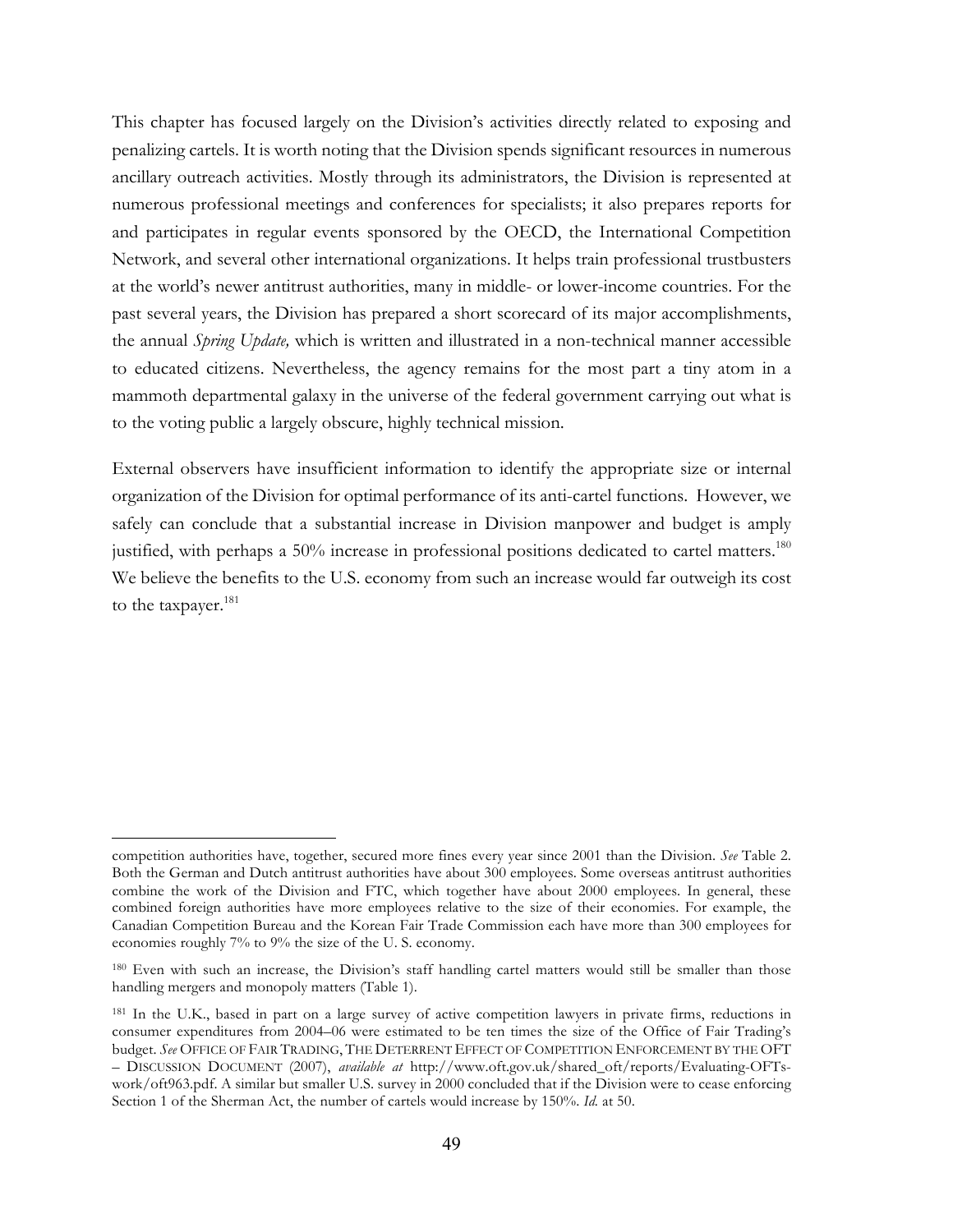This chapter has focused largely on the Division's activities directly related to exposing and penalizing cartels. It is worth noting that the Division spends significant resources in numerous ancillary outreach activities. Mostly through its administrators, the Division is represented at numerous professional meetings and conferences for specialists; it also prepares reports for and participates in regular events sponsored by the OECD, the International Competition Network, and several other international organizations. It helps train professional trustbusters at the world's newer antitrust authorities, many in middle- or lower-income countries. For the past several years, the Division has prepared a short scorecard of its major accomplishments, the annual *Spring Update,* which is written and illustrated in a non-technical manner accessible to educated citizens. Nevertheless, the agency remains for the most part a tiny atom in a mammoth departmental galaxy in the universe of the federal government carrying out what is to the voting public a largely obscure, highly technical mission.

External observers have insufficient information to identify the appropriate size or internal organization of the Division for optimal performance of its anti-cartel functions. However, we safely can conclude that a substantial increase in Division manpower and budget is amply justified, with perhaps a 50% increase in professional positions dedicated to cartel matters.<sup>180</sup> We believe the benefits to the U.S. economy from such an increase would far outweigh its cost to the taxpayer.<sup>181</sup>

competition authorities have, together, secured more fines every year since 2001 than the Division. *See* Table 2. Both the German and Dutch antitrust authorities have about 300 employees. Some overseas antitrust authorities combine the work of the Division and FTC, which together have about 2000 employees. In general, these combined foreign authorities have more employees relative to the size of their economies. For example, the Canadian Competition Bureau and the Korean Fair Trade Commission each have more than 300 employees for economies roughly 7% to 9% the size of the U. S. economy.

<sup>180</sup> Even with such an increase, the Division's staff handling cartel matters would still be smaller than those handling mergers and monopoly matters (Table 1).

<sup>181</sup> In the U.K., based in part on a large survey of active competition lawyers in private firms, reductions in consumer expenditures from 2004–06 were estimated to be ten times the size of the Office of Fair Trading's budget. *See* OFFICE OF FAIR TRADING, THE DETERRENT EFFECT OF COMPETITION ENFORCEMENT BY THE OFT – DISCUSSION DOCUMENT (2007), *available at* http://www.oft.gov.uk/shared\_oft/reports/Evaluating-OFTswork/oft963.pdf. A similar but smaller U.S. survey in 2000 concluded that if the Division were to cease enforcing Section 1 of the Sherman Act, the number of cartels would increase by 150%. *Id.* at 50.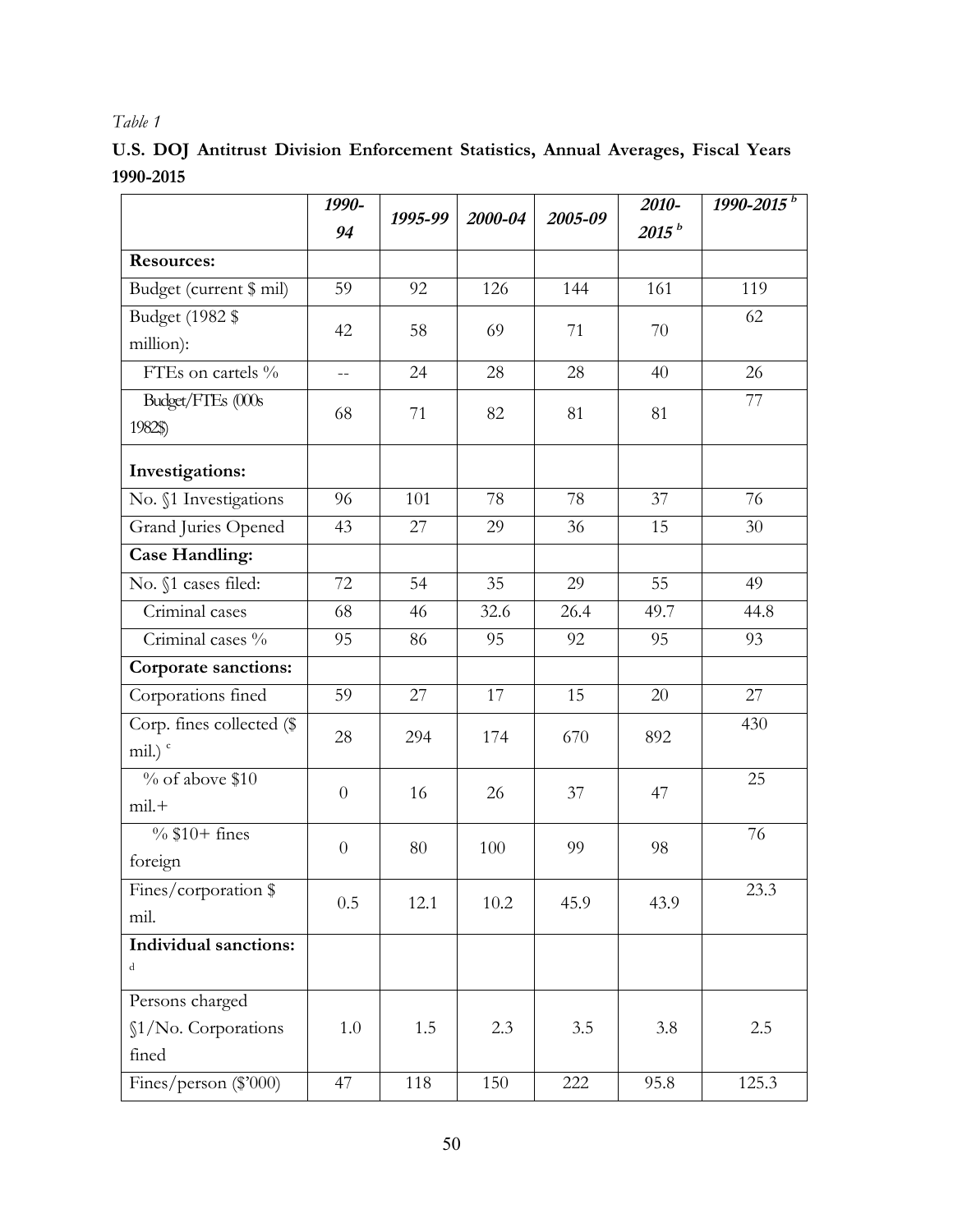# *Table 1*

**U.S. DOJ Antitrust Division Enforcement Statistics, Annual Averages, Fiscal Years 1990-2015**

|                              | 1990-          | 1995-99 | 2000-04 |         | 2010-             | 1990-2015 <sup>b</sup> |
|------------------------------|----------------|---------|---------|---------|-------------------|------------------------|
|                              | 94             |         |         | 2005-09 | 2015 <sup>b</sup> |                        |
| <b>Resources:</b>            |                |         |         |         |                   |                        |
| Budget (current \$ mil)      | 59             | 92      | 126     | 144     | 161               | 119                    |
| Budget (1982 \$              | 42             | 58      | 69      | 71      | 70                | 62                     |
| million):                    |                |         |         |         |                   |                        |
| FTEs on cartels %            | $\overline{a}$ | 24      | 28      | 28      | 40                | 26                     |
| Budget/FTEs (000s            | 68             | 71      | 82      | 81      | 81                | 77                     |
| 1982\$)                      |                |         |         |         |                   |                        |
| Investigations:              |                |         |         |         |                   |                        |
| No. §1 Investigations        | 96             | 101     | 78      | 78      | 37                | 76                     |
| Grand Juries Opened          | 43             | 27      | 29      | 36      | 15                | 30                     |
| <b>Case Handling:</b>        |                |         |         |         |                   |                        |
| No. §1 cases filed:          | 72             | 54      | 35      | 29      | 55                | 49                     |
| Criminal cases               | 68             | 46      | 32.6    | 26.4    | 49.7              | 44.8                   |
| Criminal cases %             | 95             | 86      | 95      | 92      | 95                | 93                     |
| Corporate sanctions:         |                |         |         |         |                   |                        |
| Corporations fined           | 59             | 27      | 17      | 15      | 20                | 27                     |
| Corp. fines collected (\$    | 28             | 294     | 174     | 670     | 892               | 430                    |
| mil.) $\degree$              |                |         |         |         |                   |                        |
| $\%$ of above \$10           | $\theta$       | 16      | 26      | 37      | 47                | 25                     |
| $mil. +$                     |                |         |         |         |                   |                        |
| $\%$ \$10+ fines             | $\theta$       | 80      | 100     | 99      | 98                | 76                     |
| foreign                      |                |         |         |         |                   |                        |
| Fines/corporation \$         | 0.5            | 12.1    | 10.2    | 45.9    | 43.9              | 23.3                   |
| mil.                         |                |         |         |         |                   |                        |
| <b>Individual sanctions:</b> |                |         |         |         |                   |                        |
| d                            |                |         |         |         |                   |                        |
| Persons charged              |                |         |         |         |                   |                        |
| §1/No. Corporations          | 1.0            | 1.5     | 2.3     | 3.5     | 3.8               | 2.5                    |
| fined                        |                |         |         |         |                   |                        |
| Fines/person (\$'000)        | 47             | 118     | 150     | 222     | 95.8              | 125.3                  |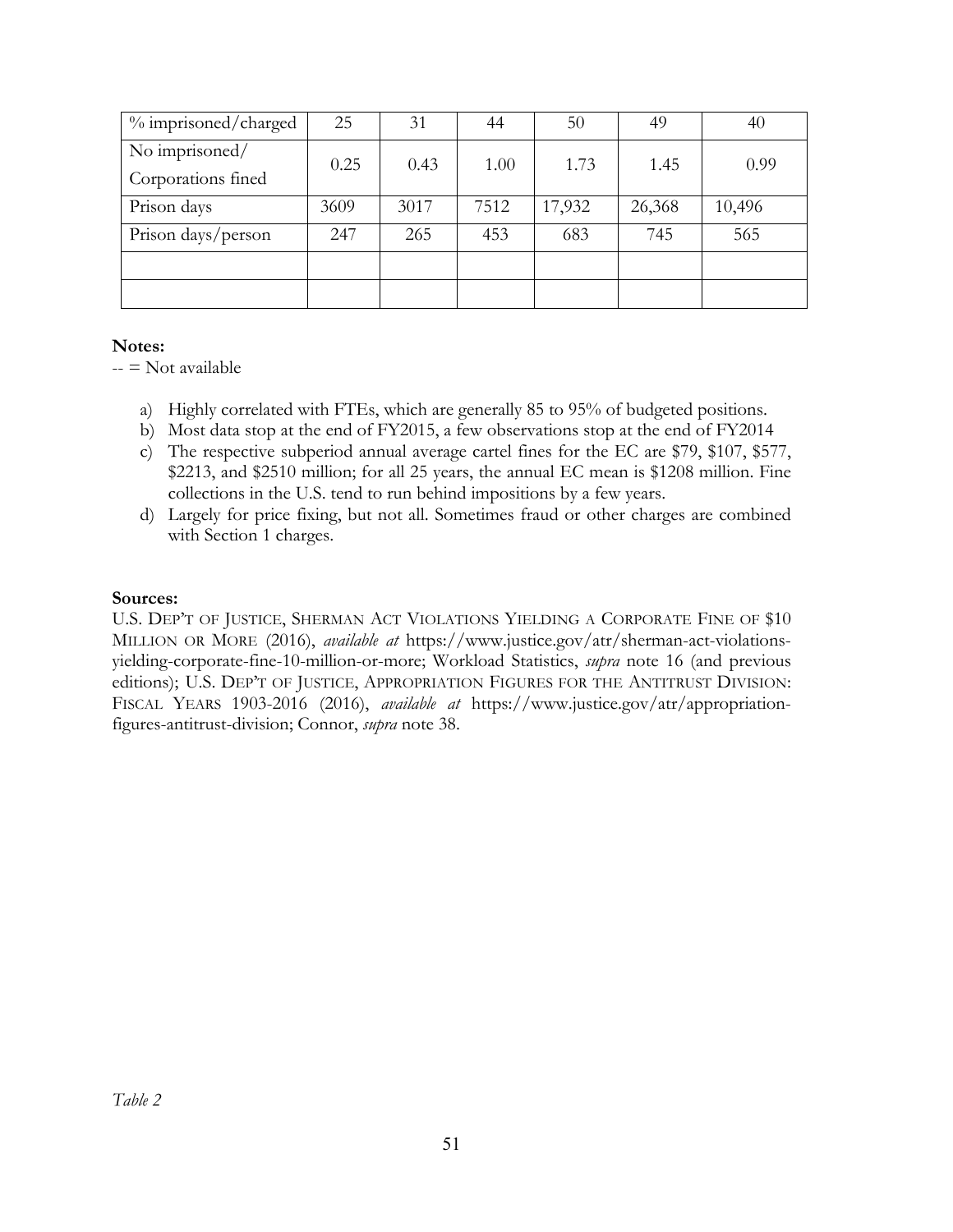| % imprisoned/charged | 25   | 31   | 44   | 50     | 49     | 40     |  |
|----------------------|------|------|------|--------|--------|--------|--|
| No imprisoned/       | 0.25 | 0.43 | 1.00 | 1.73   | 1.45   | 0.99   |  |
| Corporations fined   |      |      |      |        |        |        |  |
| Prison days          | 3609 | 3017 | 7512 | 17,932 | 26,368 | 10,496 |  |
| Prison days/person   | 247  | 265  | 453  | 683    | 745    | 565    |  |
|                      |      |      |      |        |        |        |  |
|                      |      |      |      |        |        |        |  |

# **Notes:**

 $-$  = Not available

- a) Highly correlated with FTEs, which are generally 85 to 95% of budgeted positions.
- b) Most data stop at the end of FY2015, a few observations stop at the end of FY2014
- c) The respective subperiod annual average cartel fines for the EC are \$79, \$107, \$577, \$2213, and \$2510 million; for all 25 years, the annual EC mean is \$1208 million. Fine collections in the U.S. tend to run behind impositions by a few years.
- d) Largely for price fixing, but not all. Sometimes fraud or other charges are combined with Section 1 charges.

# **Sources:**

U.S. DEP'T OF JUSTICE, SHERMAN ACT VIOLATIONS YIELDING A CORPORATE FINE OF \$10 MILLION OR MORE (2016), *available at* https://www.justice.gov/atr/sherman-act-violationsyielding-corporate-fine-10-million-or-more; Workload Statistics, *supra* note 16 (and previous editions); U.S. DEP'T OF JUSTICE, APPROPRIATION FIGURES FOR THE ANTITRUST DIVISION: FISCAL YEARS 1903-2016 (2016), *available at* https://www.justice.gov/atr/appropriationfigures-antitrust-division; Connor, *supra* note 38.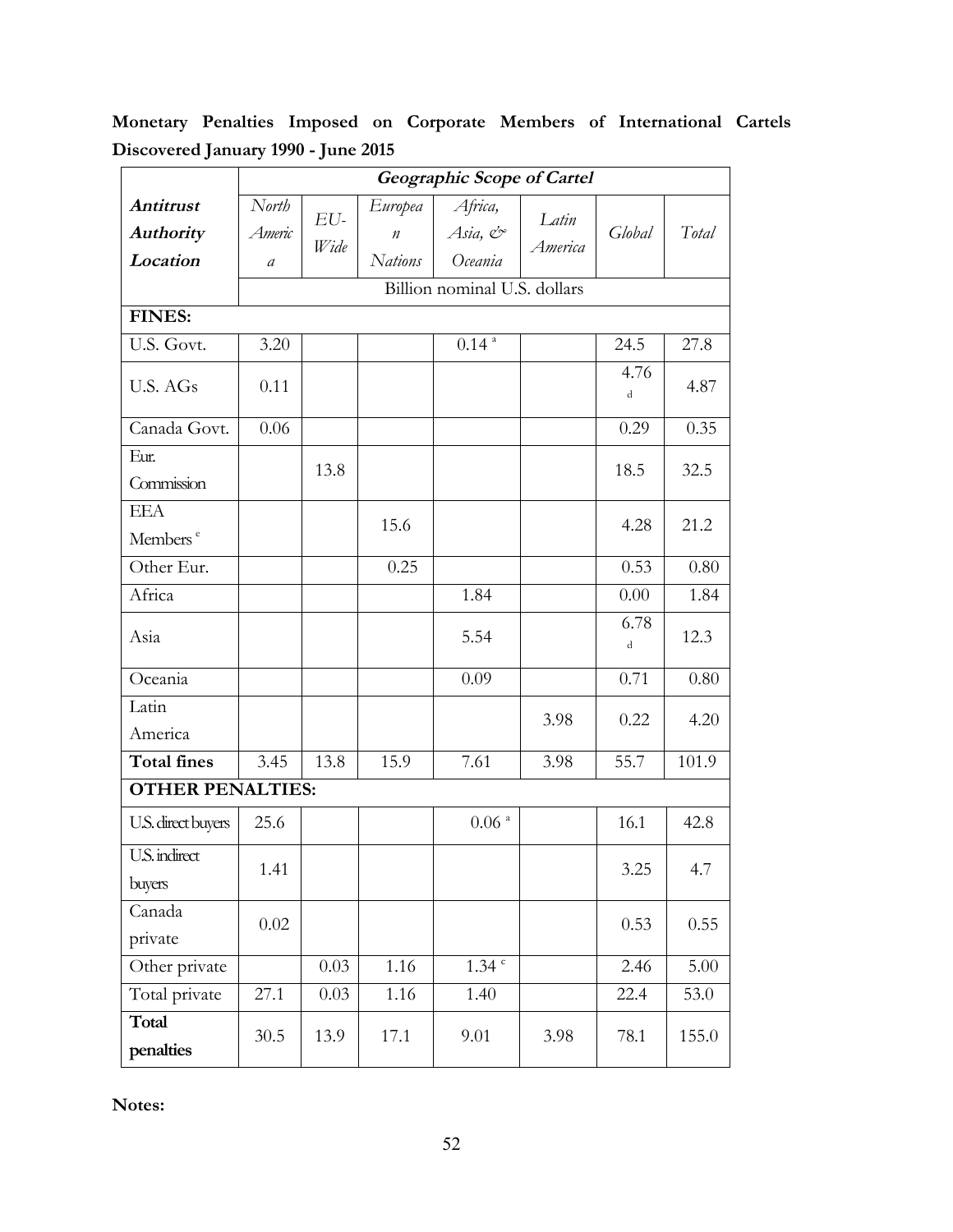**Monetary Penalties Imposed on Corporate Members of International Cartels Discovered January 1990 - June 2015**

|                         | <b>Geographic Scope of Cartel</b> |      |                  |                     |         |           |       |  |  |  |
|-------------------------|-----------------------------------|------|------------------|---------------------|---------|-----------|-------|--|--|--|
| <b>Antitrust</b>        | North                             | EU-  | Europea          | Africa,             | Latin   |           |       |  |  |  |
| <b>Authority</b>        | Americ                            | Wide | $\boldsymbol{n}$ | Asia, &             | America | Global    | Total |  |  |  |
| Location                | $\mathfrak a$                     |      | <b>Nations</b>   | Oceania             |         |           |       |  |  |  |
|                         | Billion nominal U.S. dollars      |      |                  |                     |         |           |       |  |  |  |
| <b>FINES:</b>           |                                   |      |                  |                     |         |           |       |  |  |  |
| U.S. Govt.              | 3.20                              |      |                  | $0.14$ <sup>a</sup> |         | 24.5      | 27.8  |  |  |  |
| U.S. AGs                | 0.11                              |      |                  |                     |         | 4.76<br>d | 4.87  |  |  |  |
| Canada Govt.            | 0.06                              |      |                  |                     |         | 0.29      | 0.35  |  |  |  |
| Eur.                    |                                   | 13.8 |                  |                     |         | 18.5      | 32.5  |  |  |  |
| Commission              |                                   |      |                  |                     |         |           |       |  |  |  |
| <b>EEA</b>              |                                   |      | 15.6             |                     |         | 4.28      | 21.2  |  |  |  |
| Members <sup>e</sup>    |                                   |      |                  |                     |         |           |       |  |  |  |
| Other Eur.              |                                   |      | 0.25             |                     |         | 0.53      | 0.80  |  |  |  |
| Africa                  |                                   |      |                  | 1.84                |         | 0.00      | 1.84  |  |  |  |
| Asia                    |                                   |      |                  | 5.54                |         | 6.78<br>d | 12.3  |  |  |  |
| Oceania                 |                                   |      |                  | 0.09                |         | 0.71      | 0.80  |  |  |  |
| Latin                   |                                   |      |                  |                     | 3.98    | 0.22      | 4.20  |  |  |  |
| America                 |                                   |      |                  |                     |         |           |       |  |  |  |
| <b>Total fines</b>      | 3.45                              | 13.8 | 15.9             | 7.61                | 3.98    | 55.7      | 101.9 |  |  |  |
| <b>OTHER PENALTIES:</b> |                                   |      |                  |                     |         |           |       |  |  |  |
| U.S. direct buyers      | 25.6                              |      |                  | $0.06$ $^{\rm a}$   |         | 16.1      | 42.8  |  |  |  |
| U.S. indirect           | 1.41                              |      |                  |                     |         |           |       |  |  |  |
| buyers                  |                                   |      |                  |                     |         | 3.25      | 4.7   |  |  |  |
| Canada                  | 0.02                              |      |                  |                     |         | 0.53      | 0.55  |  |  |  |
| private                 |                                   |      |                  |                     |         |           |       |  |  |  |
| Other private           |                                   | 0.03 | 1.16             | $1.34$ <sup>c</sup> |         | 2.46      | 5.00  |  |  |  |
| Total private           | 27.1                              | 0.03 | 1.16             | 1.40                |         | 22.4      | 53.0  |  |  |  |
| Total<br>penalties      | 30.5                              | 13.9 | 17.1             | 9.01                | 3.98    | 78.1      | 155.0 |  |  |  |

**Notes:**